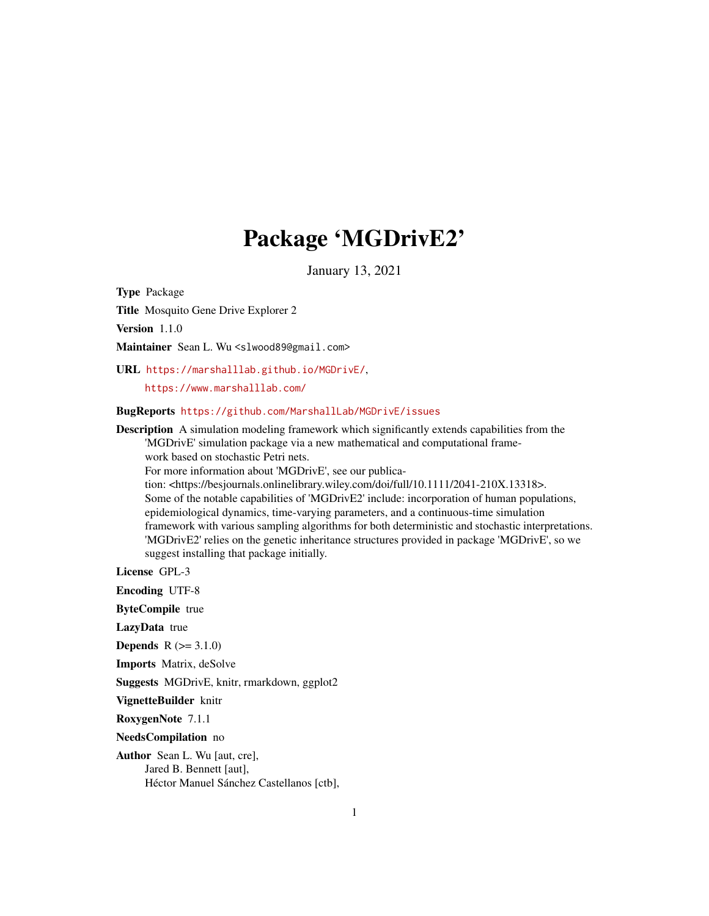# Package 'MGDrivE2'

January 13, 2021

<span id="page-0-0"></span>Type Package

Title Mosquito Gene Drive Explorer 2

Version 1.1.0

Maintainer Sean L. Wu <slwood89@gmail.com>

URL <https://marshalllab.github.io/MGDrivE/>,

<https://www.marshalllab.com/>

BugReports <https://github.com/MarshallLab/MGDrivE/issues>

Description A simulation modeling framework which significantly extends capabilities from the 'MGDrivE' simulation package via a new mathematical and computational framework based on stochastic Petri nets.

For more information about 'MGDrivE', see our publica-

tion: <https://besjournals.onlinelibrary.wiley.com/doi/full/10.1111/2041-210X.13318>. Some of the notable capabilities of 'MGDrivE2' include: incorporation of human populations, epidemiological dynamics, time-varying parameters, and a continuous-time simulation framework with various sampling algorithms for both deterministic and stochastic interpretations. 'MGDrivE2' relies on the genetic inheritance structures provided in package 'MGDrivE', so we suggest installing that package initially.

License GPL-3

Encoding UTF-8

ByteCompile true

LazyData true

**Depends**  $R$  ( $>= 3.1.0$ )

Imports Matrix, deSolve

Suggests MGDrivE, knitr, rmarkdown, ggplot2

VignetteBuilder knitr

RoxygenNote 7.1.1

NeedsCompilation no

Author Sean L. Wu [aut, cre], Jared B. Bennett [aut], Héctor Manuel Sánchez Castellanos [ctb],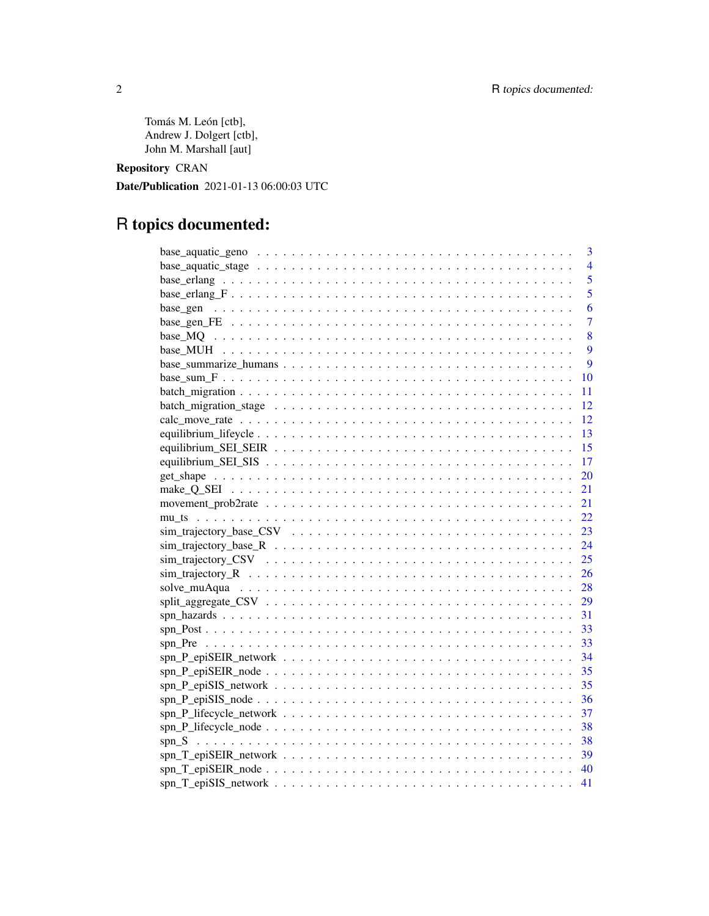Tomás M. León [ctb], Andrew J. Dolgert [ctb], John M. Marshall [aut]

Repository CRAN

Date/Publication 2021-01-13 06:00:03 UTC

# R topics documented:

| $\overline{3}$                                                                                             |
|------------------------------------------------------------------------------------------------------------|
| $\overline{4}$                                                                                             |
| 5                                                                                                          |
| 5                                                                                                          |
| 6                                                                                                          |
| 7                                                                                                          |
| 8                                                                                                          |
| 9                                                                                                          |
| 9                                                                                                          |
| 10                                                                                                         |
| 11                                                                                                         |
| 12                                                                                                         |
| 12                                                                                                         |
| -13                                                                                                        |
| -15                                                                                                        |
| $-17$                                                                                                      |
|                                                                                                            |
| 21                                                                                                         |
| 21                                                                                                         |
| 22                                                                                                         |
|                                                                                                            |
|                                                                                                            |
|                                                                                                            |
|                                                                                                            |
|                                                                                                            |
| $split\_aggregate\_CSV \ldots \ldots \ldots \ldots \ldots \ldots \ldots \ldots \ldots \ldots \ldots$<br>29 |
|                                                                                                            |
|                                                                                                            |
|                                                                                                            |
| 34                                                                                                         |
| -35                                                                                                        |
| 35                                                                                                         |
|                                                                                                            |
|                                                                                                            |
|                                                                                                            |
|                                                                                                            |
|                                                                                                            |
|                                                                                                            |
|                                                                                                            |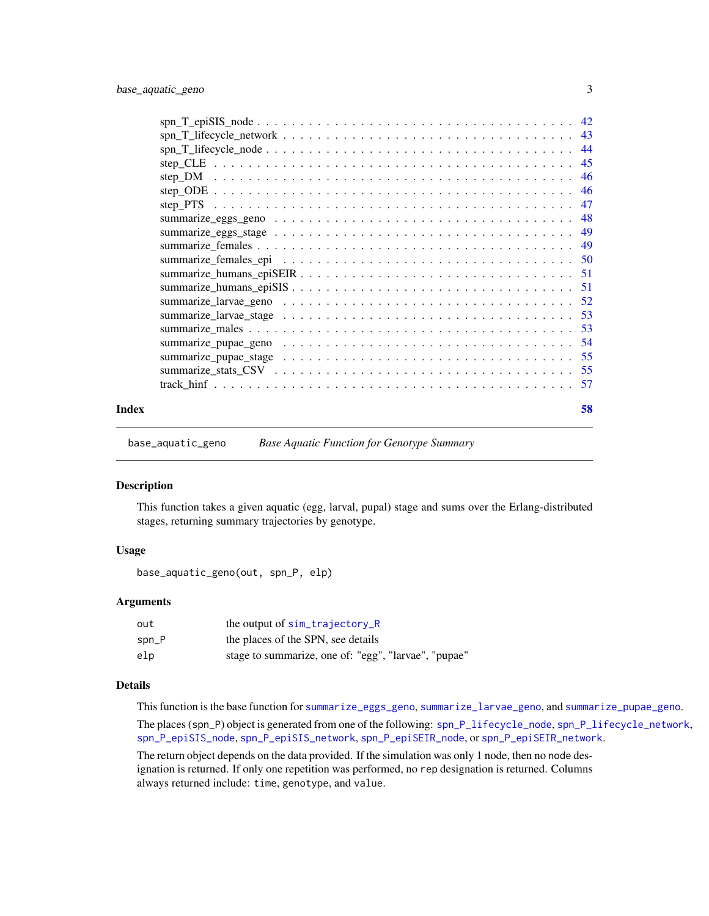<span id="page-2-0"></span>

| Index | 58 |
|-------|----|
|       |    |

<span id="page-2-1"></span>base\_aquatic\_geno *Base Aquatic Function for Genotype Summary*

#### Description

This function takes a given aquatic (egg, larval, pupal) stage and sums over the Erlang-distributed stages, returning summary trajectories by genotype.

# Usage

```
base_aquatic_geno(out, spn_P, elp)
```
# Arguments

| out      | the output of sim_trajectory_R                       |
|----------|------------------------------------------------------|
| $spin_P$ | the places of the SPN, see details                   |
| elp      | stage to summarize, one of: "egg", "larvae", "pupae" |

# Details

This function is the base function for [summarize\\_eggs\\_geno](#page-47-1), [summarize\\_larvae\\_geno](#page-51-1), and [summarize\\_pupae\\_geno](#page-53-1). The places (spn\_P) object is generated from one of the following: [spn\\_P\\_lifecycle\\_node](#page-37-1), [spn\\_P\\_lifecycle\\_network](#page-36-1), [spn\\_P\\_epiSIS\\_node](#page-35-1), [spn\\_P\\_epiSIS\\_network](#page-34-1), [spn\\_P\\_epiSEIR\\_node](#page-34-2), or [spn\\_P\\_epiSEIR\\_network](#page-33-1).

The return object depends on the data provided. If the simulation was only 1 node, then no node designation is returned. If only one repetition was performed, no rep designation is returned. Columns always returned include: time, genotype, and value.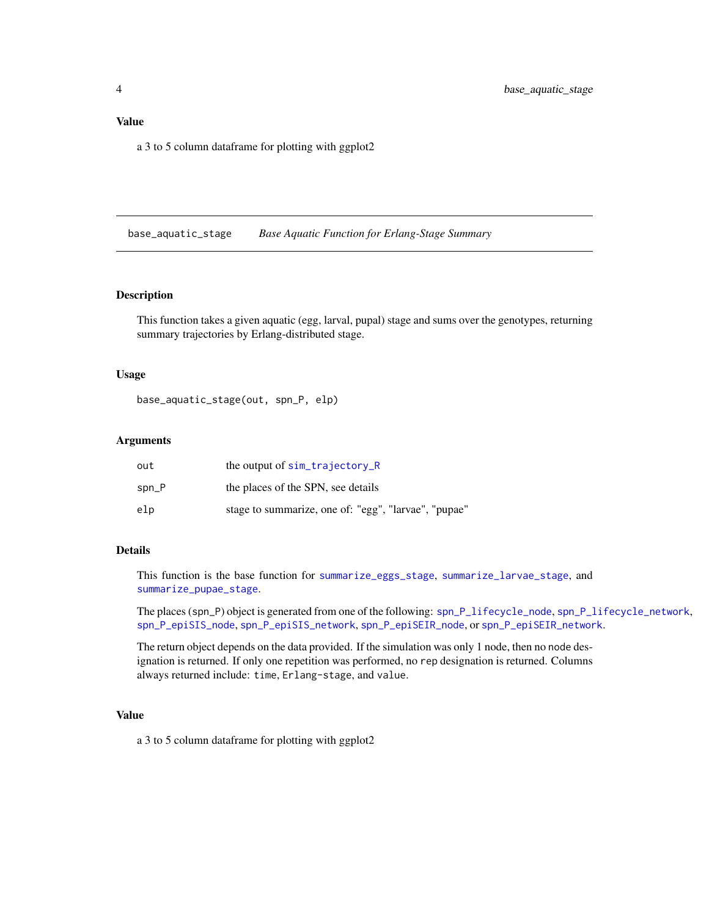# <span id="page-3-0"></span>Value

a 3 to 5 column dataframe for plotting with ggplot2

<span id="page-3-1"></span>base\_aquatic\_stage *Base Aquatic Function for Erlang-Stage Summary*

#### Description

This function takes a given aquatic (egg, larval, pupal) stage and sums over the genotypes, returning summary trajectories by Erlang-distributed stage.

# Usage

base\_aquatic\_stage(out, spn\_P, elp)

# Arguments

| out     | the output of $sim\_trajectory_R$                    |
|---------|------------------------------------------------------|
| $spn_P$ | the places of the SPN, see details                   |
| elp     | stage to summarize, one of: "egg", "larvae", "pupae" |

# Details

This function is the base function for [summarize\\_eggs\\_stage](#page-48-1), [summarize\\_larvae\\_stage](#page-52-1), and [summarize\\_pupae\\_stage](#page-54-1).

The places (spn\_P) object is generated from one of the following: [spn\\_P\\_lifecycle\\_node](#page-37-1), [spn\\_P\\_lifecycle\\_network](#page-36-1), [spn\\_P\\_epiSIS\\_node](#page-35-1), [spn\\_P\\_epiSIS\\_network](#page-34-1), [spn\\_P\\_epiSEIR\\_node](#page-34-2), or [spn\\_P\\_epiSEIR\\_network](#page-33-1).

The return object depends on the data provided. If the simulation was only 1 node, then no node designation is returned. If only one repetition was performed, no rep designation is returned. Columns always returned include: time, Erlang-stage, and value.

# Value

a 3 to 5 column dataframe for plotting with ggplot2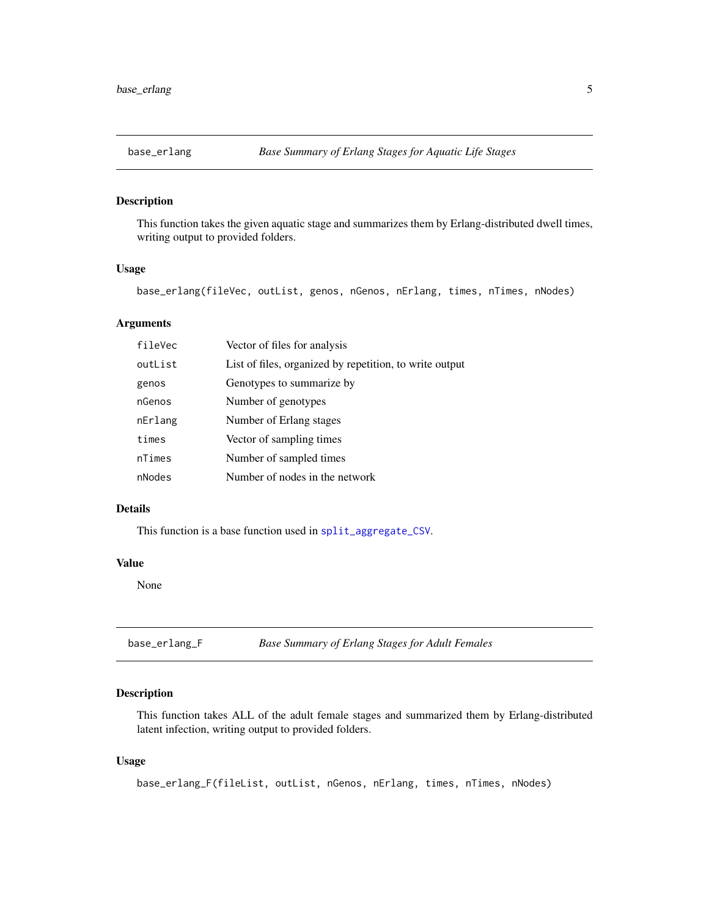<span id="page-4-0"></span>

#### Description

This function takes the given aquatic stage and summarizes them by Erlang-distributed dwell times, writing output to provided folders.

#### Usage

base\_erlang(fileVec, outList, genos, nGenos, nErlang, times, nTimes, nNodes)

# Arguments

| fileVec | Vector of files for analysis                            |
|---------|---------------------------------------------------------|
| outList | List of files, organized by repetition, to write output |
| genos   | Genotypes to summarize by                               |
| nGenos  | Number of genotypes                                     |
| nErlang | Number of Erlang stages                                 |
| times   | Vector of sampling times                                |
| nTimes  | Number of sampled times                                 |
| nNodes  | Number of nodes in the network                          |

# Details

This function is a base function used in [split\\_aggregate\\_CSV](#page-28-1).

#### Value

None

base\_erlang\_F *Base Summary of Erlang Stages for Adult Females*

# Description

This function takes ALL of the adult female stages and summarized them by Erlang-distributed latent infection, writing output to provided folders.

#### Usage

base\_erlang\_F(fileList, outList, nGenos, nErlang, times, nTimes, nNodes)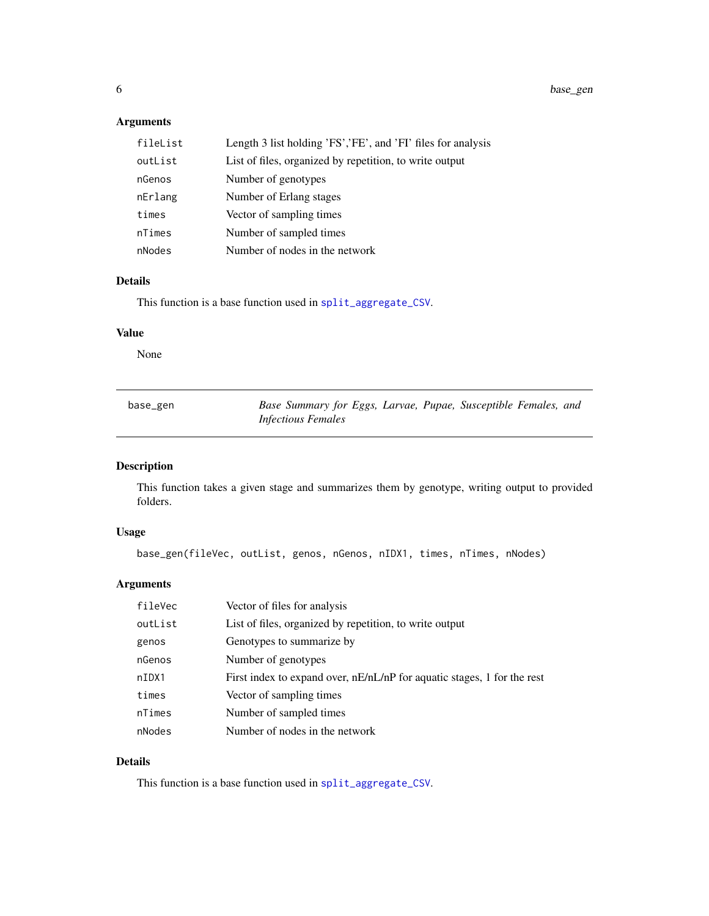<span id="page-5-0"></span>6 base\_gen

# Arguments

| fileList | Length 3 list holding 'FS','FE', and 'FI' files for analysis |
|----------|--------------------------------------------------------------|
| outList  | List of files, organized by repetition, to write output      |
| nGenos   | Number of genotypes                                          |
| nErlang  | Number of Erlang stages                                      |
| times    | Vector of sampling times                                     |
| nTimes   | Number of sampled times                                      |
| nNodes   | Number of nodes in the network                               |

# Details

This function is a base function used in [split\\_aggregate\\_CSV](#page-28-1).

# Value

None

| base_gen | Base Summary for Eggs, Larvae, Pupae, Susceptible Females, and |
|----------|----------------------------------------------------------------|
|          | <i>Infectious Females</i>                                      |

# Description

This function takes a given stage and summarizes them by genotype, writing output to provided folders.

# Usage

base\_gen(fileVec, outList, genos, nGenos, nIDX1, times, nTimes, nNodes)

# Arguments

| fileVec | Vector of files for analysis                                            |
|---------|-------------------------------------------------------------------------|
| outList | List of files, organized by repetition, to write output                 |
| genos   | Genotypes to summarize by                                               |
| nGenos  | Number of genotypes                                                     |
| nIDX1   | First index to expand over, nE/nL/nP for aquatic stages, 1 for the rest |
| times   | Vector of sampling times                                                |
| nTimes  | Number of sampled times                                                 |
| nNodes  | Number of nodes in the network                                          |

# Details

This function is a base function used in [split\\_aggregate\\_CSV](#page-28-1).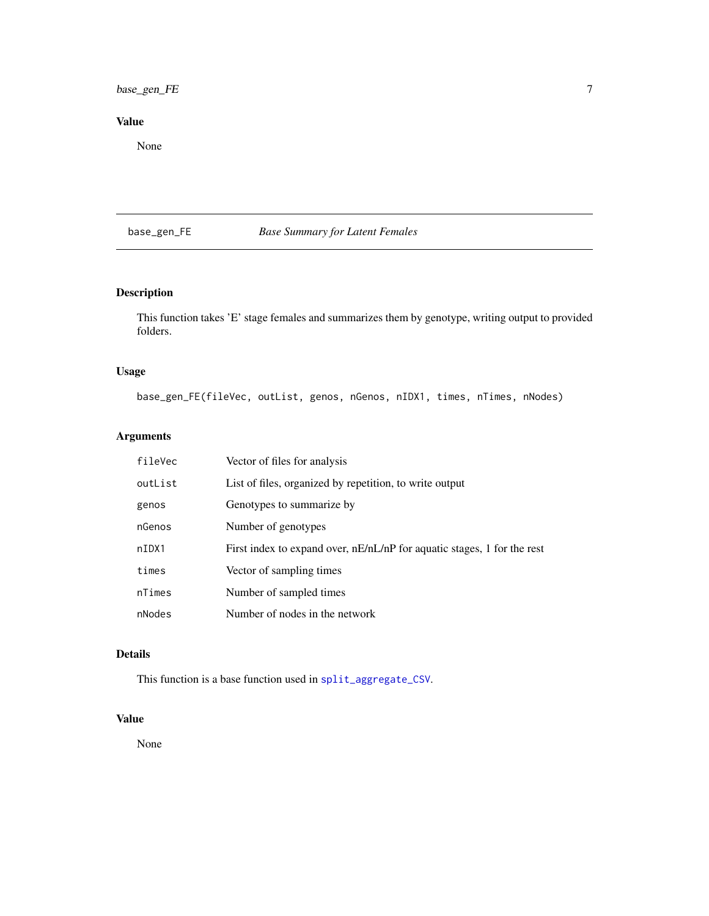# <span id="page-6-0"></span>base\_gen\_FE 7

# Value

None

# base\_gen\_FE *Base Summary for Latent Females*

# Description

This function takes 'E' stage females and summarizes them by genotype, writing output to provided folders.

# Usage

base\_gen\_FE(fileVec, outList, genos, nGenos, nIDX1, times, nTimes, nNodes)

# Arguments

| fileVec | Vector of files for analysis                                            |
|---------|-------------------------------------------------------------------------|
| outList | List of files, organized by repetition, to write output                 |
| genos   | Genotypes to summarize by                                               |
| nGenos  | Number of genotypes                                                     |
| nIDX1   | First index to expand over, nE/nL/nP for aquatic stages, 1 for the rest |
| times   | Vector of sampling times                                                |
| nTimes  | Number of sampled times                                                 |
| nNodes  | Number of nodes in the network                                          |

# Details

This function is a base function used in [split\\_aggregate\\_CSV](#page-28-1).

# Value

None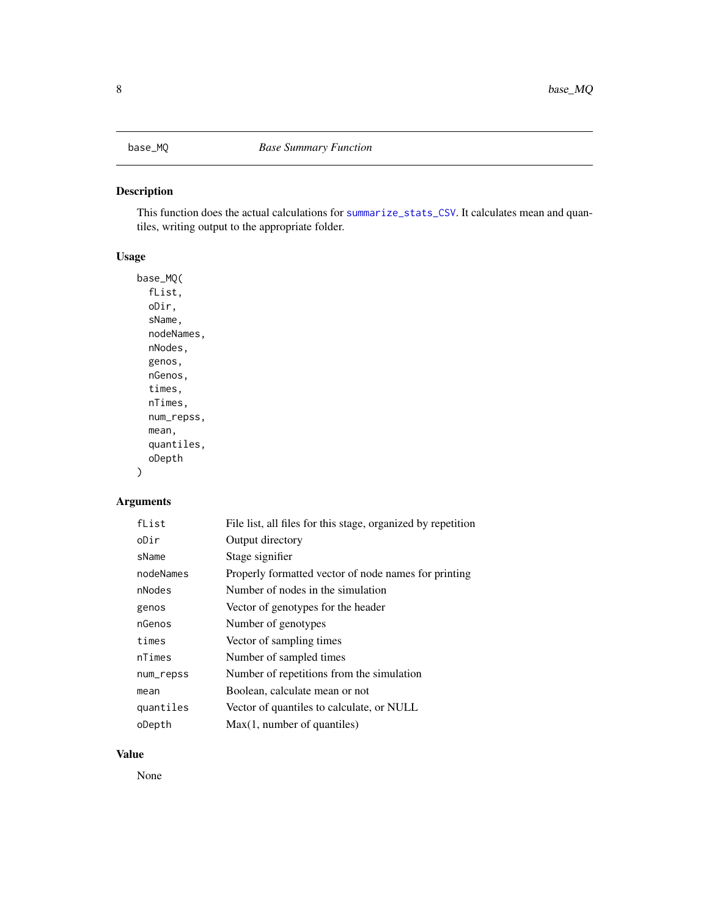# <span id="page-7-0"></span>Description

This function does the actual calculations for [summarize\\_stats\\_CSV](#page-54-2). It calculates mean and quantiles, writing output to the appropriate folder.

# Usage

```
base_MQ(
  fList,
  oDir,
  sName,
 nodeNames,
  nNodes,
  genos,
 nGenos,
  times,
 nTimes,
 num_repss,
 mean,
  quantiles,
  oDepth
```
# Arguments

 $\mathcal{L}$ 

| fList     | File list, all files for this stage, organized by repetition |
|-----------|--------------------------------------------------------------|
| oDir      | Output directory                                             |
| sName     | Stage signifier                                              |
| nodeNames | Properly formatted vector of node names for printing         |
| nNodes    | Number of nodes in the simulation                            |
| genos     | Vector of genotypes for the header                           |
| nGenos    | Number of genotypes                                          |
| times     | Vector of sampling times                                     |
| nTimes    | Number of sampled times                                      |
| num_repss | Number of repetitions from the simulation                    |
| mean      | Boolean, calculate mean or not                               |
| quantiles | Vector of quantiles to calculate, or NULL                    |
| oDepth    | Max(1, number of quantiles)                                  |

# Value

None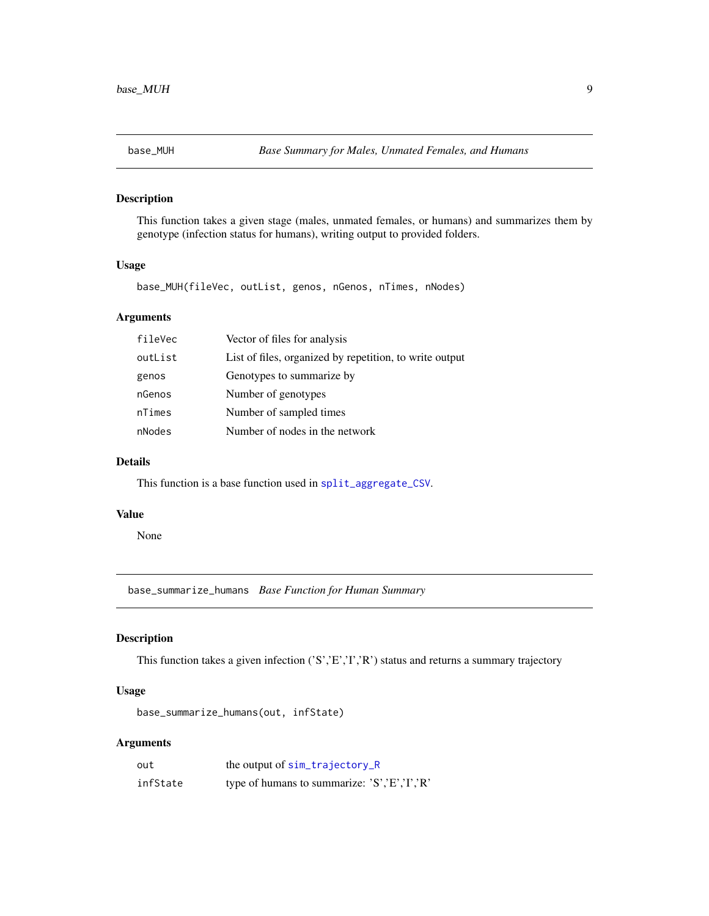# <span id="page-8-0"></span>Description

This function takes a given stage (males, unmated females, or humans) and summarizes them by genotype (infection status for humans), writing output to provided folders.

#### Usage

base\_MUH(fileVec, outList, genos, nGenos, nTimes, nNodes)

# Arguments

| fileVec | Vector of files for analysis                            |
|---------|---------------------------------------------------------|
| outList | List of files, organized by repetition, to write output |
| genos   | Genotypes to summarize by                               |
| nGenos  | Number of genotypes                                     |
| nTimes  | Number of sampled times                                 |
| nNodes  | Number of nodes in the network                          |

# Details

This function is a base function used in [split\\_aggregate\\_CSV](#page-28-1).

#### Value

None

<span id="page-8-1"></span>base\_summarize\_humans *Base Function for Human Summary*

# Description

This function takes a given infection ('S','E','I','R') status and returns a summary trajectory

# Usage

base\_summarize\_humans(out, infState)

| out      | the output of sim_trajectory_R               |
|----------|----------------------------------------------|
| infState | type of humans to summarize: 'S','E','I','R' |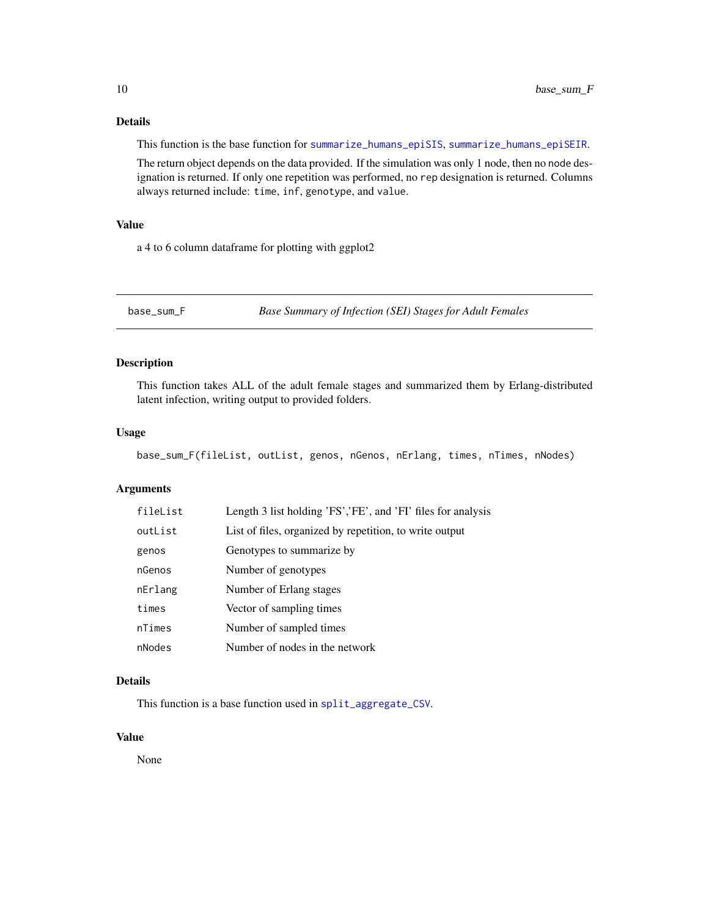# <span id="page-9-0"></span>Details

This function is the base function for [summarize\\_humans\\_epiSIS](#page-50-1), [summarize\\_humans\\_epiSEIR](#page-50-2).

The return object depends on the data provided. If the simulation was only 1 node, then no node designation is returned. If only one repetition was performed, no rep designation is returned. Columns always returned include: time, inf, genotype, and value.

# Value

a 4 to 6 column dataframe for plotting with ggplot2

base\_sum\_F *Base Summary of Infection (SEI) Stages for Adult Females*

# Description

This function takes ALL of the adult female stages and summarized them by Erlang-distributed latent infection, writing output to provided folders.

#### Usage

base\_sum\_F(fileList, outList, genos, nGenos, nErlang, times, nTimes, nNodes)

# Arguments

| fileList | Length 3 list holding 'FS','FE', and 'FI' files for analysis |
|----------|--------------------------------------------------------------|
| outList  | List of files, organized by repetition, to write output      |
| genos    | Genotypes to summarize by                                    |
| nGenos   | Number of genotypes                                          |
| nErlang  | Number of Erlang stages                                      |
| times    | Vector of sampling times                                     |
| nTimes   | Number of sampled times                                      |
| nNodes   | Number of nodes in the network                               |

# Details

This function is a base function used in [split\\_aggregate\\_CSV](#page-28-1).

# Value

None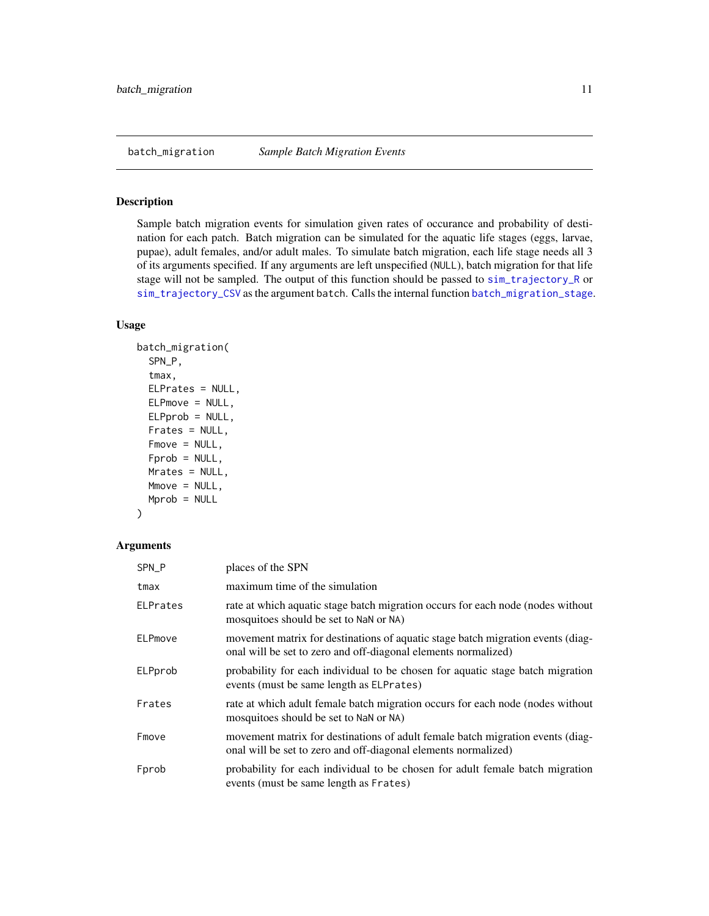#### <span id="page-10-1"></span><span id="page-10-0"></span>Description

Sample batch migration events for simulation given rates of occurance and probability of destination for each patch. Batch migration can be simulated for the aquatic life stages (eggs, larvae, pupae), adult females, and/or adult males. To simulate batch migration, each life stage needs all 3 of its arguments specified. If any arguments are left unspecified (NULL), batch migration for that life stage will not be sampled. The output of this function should be passed to [sim\\_trajectory\\_R](#page-25-1) or [sim\\_trajectory\\_CSV](#page-24-1) as the argument batch. Calls the internal function [batch\\_migration\\_stage](#page-11-1).

# Usage

```
batch_migration(
  SPN_P,
  tmax,
 ELPrates = NULL,
 ELPmove = NULL,
 ELPprob = NULL,
  Frates = NULL,
  Fmove = NULL,
  Fprob = NULL,Mrates = NULL,
 Mmove = NULL,
 Mprob = NULL
```
# )

| SPN_P           | places of the SPN                                                                                                                                 |
|-----------------|---------------------------------------------------------------------------------------------------------------------------------------------------|
| tmax            | maximum time of the simulation                                                                                                                    |
| <b>ELPrates</b> | rate at which aquatic stage batch migration occurs for each node (nodes without<br>mosquitoes should be set to NaN or NA)                         |
| ELPmove         | movement matrix for destinations of aquatic stage batch migration events (diag-<br>onal will be set to zero and off-diagonal elements normalized) |
| ELPprob         | probability for each individual to be chosen for aquatic stage batch migration<br>events (must be same length as ELPrates)                        |
| Frates          | rate at which adult female batch migration occurs for each node (nodes without<br>mosquitoes should be set to NaN or NA)                          |
| Fmove           | movement matrix for destinations of adult female batch migration events (diag-<br>onal will be set to zero and off-diagonal elements normalized)  |
| Fprob           | probability for each individual to be chosen for adult female batch migration<br>events (must be same length as Frates)                           |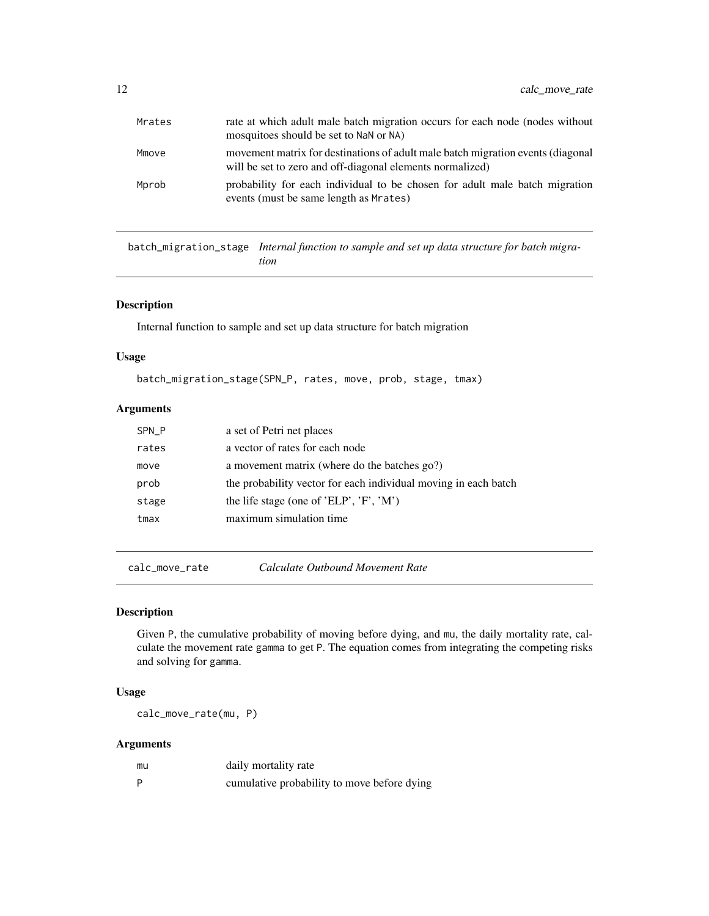<span id="page-11-0"></span>

| Mrates | rate at which adult male batch migration occurs for each node (nodes without<br>mosquitoes should be set to NaN or NA)                       |
|--------|----------------------------------------------------------------------------------------------------------------------------------------------|
| Mmove  | movement matrix for destinations of adult male batch migration events (diagonal<br>will be set to zero and off-diagonal elements normalized) |
| Mprob  | probability for each individual to be chosen for adult male batch migration<br>events (must be same length as Mrates)                        |

<span id="page-11-1"></span>batch\_migration\_stage *Internal function to sample and set up data structure for batch migration*

# Description

Internal function to sample and set up data structure for batch migration

# Usage

batch\_migration\_stage(SPN\_P, rates, move, prob, stage, tmax)

# Arguments

| SPN_P | a set of Petri net places                                       |
|-------|-----------------------------------------------------------------|
| rates | a vector of rates for each node                                 |
| move  | a movement matrix (where do the batches go?)                    |
| prob  | the probability vector for each individual moving in each batch |
| stage | the life stage (one of 'ELP', 'F', 'M')                         |
| tmax  | maximum simulation time                                         |
|       |                                                                 |

calc\_move\_rate *Calculate Outbound Movement Rate*

# Description

Given P, the cumulative probability of moving before dying, and mu, the daily mortality rate, calculate the movement rate gamma to get P. The equation comes from integrating the competing risks and solving for gamma.

# Usage

calc\_move\_rate(mu, P)

| mu | daily mortality rate                        |
|----|---------------------------------------------|
| D  | cumulative probability to move before dying |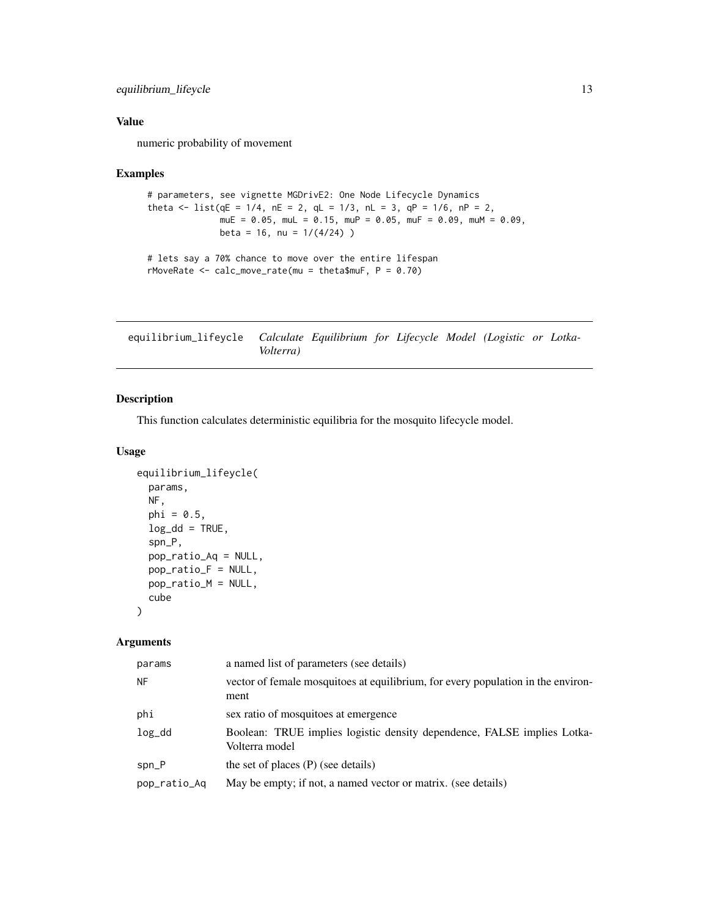<span id="page-12-0"></span>equilibrium\_lifeycle 13

# Value

numeric probability of movement

#### Examples

```
# parameters, see vignette MGDrivE2: One Node Lifecycle Dynamics
theta \le list(qE = 1/4, nE = 2, qL = 1/3, nL = 3, qP = 1/6, nP = 2,
              mUE = 0.05, mUL = 0.15, mUP = 0.05, mUF = 0.09, mUM = 0.09,
              beta = 16, nu = 1/(4/24))
# lets say a 70% chance to move over the entire lifespan
rMoveRate \leq calc_move_rate(mu = theta$muF, P = 0.70)
```
<span id="page-12-1"></span>equilibrium\_lifeycle *Calculate Equilibrium for Lifecycle Model (Logistic or Lotka-Volterra)*

# Description

This function calculates deterministic equilibria for the mosquito lifecycle model.

## Usage

```
equilibrium_lifeycle(
 params,
  NF,
  phi = 0.5,
  log_d d = TRUE,
  spn_P,
  pop_ratio_Aq = NULL,
  pop_ratio_F = NULL,
 pop_ratio_M = NULL,
  cube
)
```

| params       | a named list of parameters (see details)                                                  |
|--------------|-------------------------------------------------------------------------------------------|
| <b>NF</b>    | vector of female mosquitoes at equilibrium, for every population in the environ-<br>ment  |
| phi          | sex ratio of mosquitoes at emergence                                                      |
| log_dd       | Boolean: TRUE implies logistic density dependence, FALSE implies Lotka-<br>Volterra model |
| spn_P        | the set of places $(P)$ (see details)                                                     |
| pop_ratio_Aq | May be empty; if not, a named vector or matrix. (see details)                             |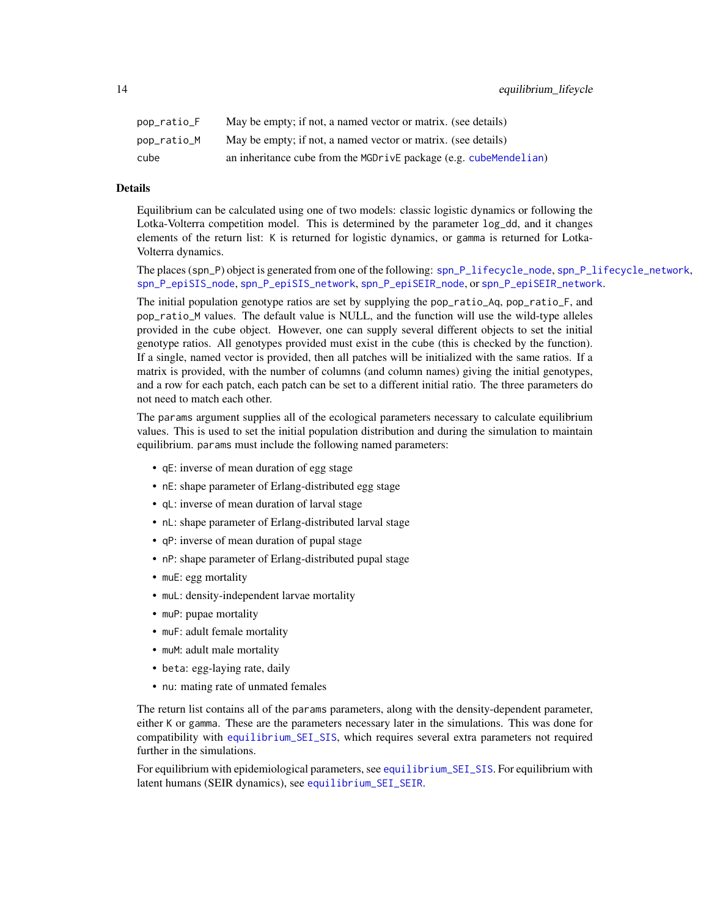<span id="page-13-0"></span>

| pop_ratio_F | May be empty; if not, a named vector or matrix. (see details)     |
|-------------|-------------------------------------------------------------------|
| pop_ratio_M | May be empty; if not, a named vector or matrix. (see details)     |
| cube        | an inheritance cube from the MGDrivE package (e.g. cubeMendelian) |

#### Details

Equilibrium can be calculated using one of two models: classic logistic dynamics or following the Lotka-Volterra competition model. This is determined by the parameter log\_dd, and it changes elements of the return list: K is returned for logistic dynamics, or gamma is returned for Lotka-Volterra dynamics.

The places (spn\_P) object is generated from one of the following: [spn\\_P\\_lifecycle\\_node](#page-37-1), [spn\\_P\\_lifecycle\\_network](#page-36-1), [spn\\_P\\_epiSIS\\_node](#page-35-1), [spn\\_P\\_epiSIS\\_network](#page-34-1), [spn\\_P\\_epiSEIR\\_node](#page-34-2), or [spn\\_P\\_epiSEIR\\_network](#page-33-1).

The initial population genotype ratios are set by supplying the pop\_ratio\_Aq, pop\_ratio\_F, and pop\_ratio\_M values. The default value is NULL, and the function will use the wild-type alleles provided in the cube object. However, one can supply several different objects to set the initial genotype ratios. All genotypes provided must exist in the cube (this is checked by the function). If a single, named vector is provided, then all patches will be initialized with the same ratios. If a matrix is provided, with the number of columns (and column names) giving the initial genotypes, and a row for each patch, each patch can be set to a different initial ratio. The three parameters do not need to match each other.

The params argument supplies all of the ecological parameters necessary to calculate equilibrium values. This is used to set the initial population distribution and during the simulation to maintain equilibrium. params must include the following named parameters:

- qE: inverse of mean duration of egg stage
- nE: shape parameter of Erlang-distributed egg stage
- qL: inverse of mean duration of larval stage
- nL: shape parameter of Erlang-distributed larval stage
- qP: inverse of mean duration of pupal stage
- nP: shape parameter of Erlang-distributed pupal stage
- muE: egg mortality
- muL: density-independent larvae mortality
- muP: pupae mortality
- muF: adult female mortality
- muM: adult male mortality
- beta: egg-laying rate, daily
- nu: mating rate of unmated females

The return list contains all of the params parameters, along with the density-dependent parameter, either K or gamma. These are the parameters necessary later in the simulations. This was done for compatibility with [equilibrium\\_SEI\\_SIS](#page-16-1), which requires several extra parameters not required further in the simulations.

For equilibrium with epidemiological parameters, see [equilibrium\\_SEI\\_SIS](#page-16-1). For equilibrium with latent humans (SEIR dynamics), see [equilibrium\\_SEI\\_SEIR](#page-14-1).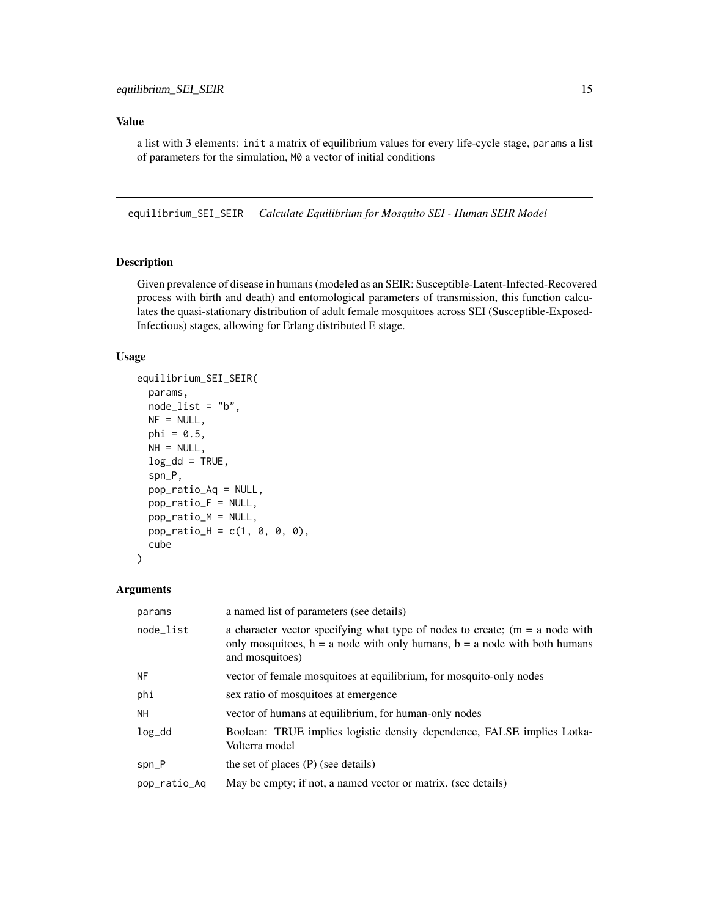#### <span id="page-14-0"></span>Value

a list with 3 elements: init a matrix of equilibrium values for every life-cycle stage, params a list of parameters for the simulation, M0 a vector of initial conditions

<span id="page-14-1"></span>equilibrium\_SEI\_SEIR *Calculate Equilibrium for Mosquito SEI - Human SEIR Model*

# Description

Given prevalence of disease in humans (modeled as an SEIR: Susceptible-Latent-Infected-Recovered process with birth and death) and entomological parameters of transmission, this function calculates the quasi-stationary distribution of adult female mosquitoes across SEI (Susceptible-Exposed-Infectious) stages, allowing for Erlang distributed E stage.

#### Usage

```
equilibrium_SEI_SEIR(
  params,
  node_list = "b",NF = NULL,phi = 0.5,
 NH = NULL,log_d d = TRUE,
  spn_P,
  pop_ratio_Aq = NULL,
  pop_ratio_F = NULL,
 pop_ratio_M = NULL,
  pop\_ratio_H = c(1, 0, 0, 0),cube
)
```

| params       | a named list of parameters (see details)                                                                                                                                           |
|--------------|------------------------------------------------------------------------------------------------------------------------------------------------------------------------------------|
| node_list    | a character vector specifying what type of nodes to create; $(m = a$ node with<br>only mosquitoes, $h = a$ node with only humans, $b = a$ node with both humans<br>and mosquitoes) |
| <b>NF</b>    | vector of female mosquitoes at equilibrium, for mosquito-only nodes                                                                                                                |
| phi          | sex ratio of mosquitoes at emergence                                                                                                                                               |
| NH           | vector of humans at equilibrium, for human-only nodes                                                                                                                              |
| $log_d$      | Boolean: TRUE implies logistic density dependence, FALSE implies Lotka-<br>Volterra model                                                                                          |
| $spn_P$      | the set of places $(P)$ (see details)                                                                                                                                              |
| pop_ratio_Aq | May be empty; if not, a named vector or matrix. (see details)                                                                                                                      |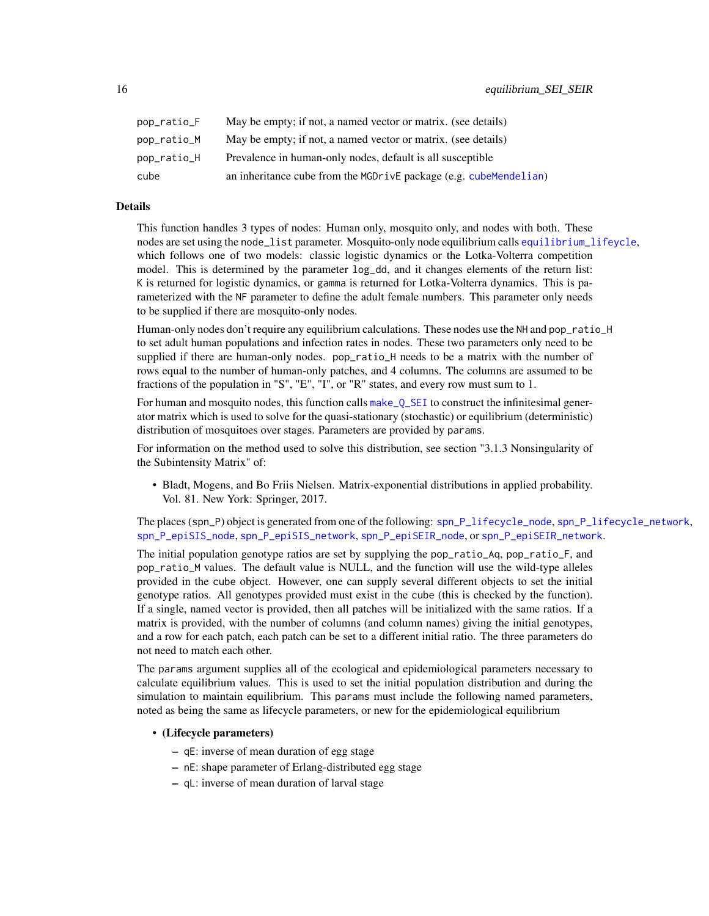<span id="page-15-0"></span>

| pop_ratio_F | May be empty; if not, a named vector or matrix. (see details)     |
|-------------|-------------------------------------------------------------------|
| pop_ratio_M | May be empty; if not, a named vector or matrix. (see details)     |
| pop_ratio_H | Prevalence in human-only nodes, default is all susceptible        |
| cube        | an inheritance cube from the MGDrivE package (e.g. cubeMendelian) |

# Details

This function handles 3 types of nodes: Human only, mosquito only, and nodes with both. These nodes are set using the node\_list parameter. Mosquito-only node equilibrium calls [equilibrium\\_lifeycle](#page-12-1), which follows one of two models: classic logistic dynamics or the Lotka-Volterra competition model. This is determined by the parameter log\_dd, and it changes elements of the return list: K is returned for logistic dynamics, or gamma is returned for Lotka-Volterra dynamics. This is parameterized with the NF parameter to define the adult female numbers. This parameter only needs to be supplied if there are mosquito-only nodes.

Human-only nodes don't require any equilibrium calculations. These nodes use the NH and pop\_ratio\_H to set adult human populations and infection rates in nodes. These two parameters only need to be supplied if there are human-only nodes. pop\_ratio\_H needs to be a matrix with the number of rows equal to the number of human-only patches, and 4 columns. The columns are assumed to be fractions of the population in "S", "E", "I", or "R" states, and every row must sum to 1.

For human and mosquito nodes, this function calls make  $Q$ <sub>SEI</sub> to construct the infinitesimal generator matrix which is used to solve for the quasi-stationary (stochastic) or equilibrium (deterministic) distribution of mosquitoes over stages. Parameters are provided by params.

For information on the method used to solve this distribution, see section "3.1.3 Nonsingularity of the Subintensity Matrix" of:

• Bladt, Mogens, and Bo Friis Nielsen. Matrix-exponential distributions in applied probability. Vol. 81. New York: Springer, 2017.

The places (spn\_P) object is generated from one of the following: [spn\\_P\\_lifecycle\\_node](#page-37-1), [spn\\_P\\_lifecycle\\_network](#page-36-1), [spn\\_P\\_epiSIS\\_node](#page-35-1), [spn\\_P\\_epiSIS\\_network](#page-34-1), [spn\\_P\\_epiSEIR\\_node](#page-34-2), or [spn\\_P\\_epiSEIR\\_network](#page-33-1).

The initial population genotype ratios are set by supplying the pop\_ratio\_Aq, pop\_ratio\_F, and pop\_ratio\_M values. The default value is NULL, and the function will use the wild-type alleles provided in the cube object. However, one can supply several different objects to set the initial genotype ratios. All genotypes provided must exist in the cube (this is checked by the function). If a single, named vector is provided, then all patches will be initialized with the same ratios. If a matrix is provided, with the number of columns (and column names) giving the initial genotypes, and a row for each patch, each patch can be set to a different initial ratio. The three parameters do not need to match each other.

The params argument supplies all of the ecological and epidemiological parameters necessary to calculate equilibrium values. This is used to set the initial population distribution and during the simulation to maintain equilibrium. This params must include the following named parameters, noted as being the same as lifecycle parameters, or new for the epidemiological equilibrium

#### • (Lifecycle parameters)

- qE: inverse of mean duration of egg stage
- nE: shape parameter of Erlang-distributed egg stage
- qL: inverse of mean duration of larval stage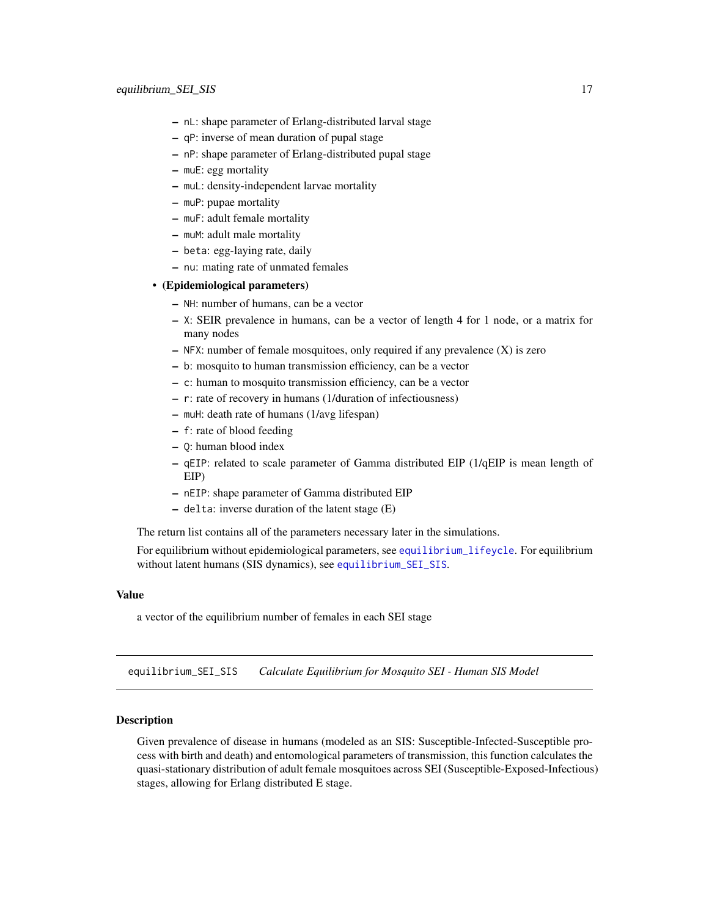- <span id="page-16-0"></span>– nL: shape parameter of Erlang-distributed larval stage
- qP: inverse of mean duration of pupal stage
- nP: shape parameter of Erlang-distributed pupal stage
- muE: egg mortality
- muL: density-independent larvae mortality
- muP: pupae mortality
- muF: adult female mortality
- muM: adult male mortality
- beta: egg-laying rate, daily
- nu: mating rate of unmated females

# • (Epidemiological parameters)

- NH: number of humans, can be a vector
- X: SEIR prevalence in humans, can be a vector of length 4 for 1 node, or a matrix for many nodes
- NFX: number of female mosquitoes, only required if any prevalence (X) is zero
- b: mosquito to human transmission efficiency, can be a vector
- c: human to mosquito transmission efficiency, can be a vector
- r: rate of recovery in humans (1/duration of infectiousness)
- muH: death rate of humans (1/avg lifespan)
- f: rate of blood feeding
- Q: human blood index
- qEIP: related to scale parameter of Gamma distributed EIP (1/qEIP is mean length of EIP)
- nEIP: shape parameter of Gamma distributed EIP
- delta: inverse duration of the latent stage (E)

The return list contains all of the parameters necessary later in the simulations.

For equilibrium without epidemiological parameters, see [equilibrium\\_lifeycle](#page-12-1). For equilibrium without latent humans (SIS dynamics), see [equilibrium\\_SEI\\_SIS](#page-16-1).

#### Value

a vector of the equilibrium number of females in each SEI stage

<span id="page-16-1"></span>equilibrium\_SEI\_SIS *Calculate Equilibrium for Mosquito SEI - Human SIS Model*

#### Description

Given prevalence of disease in humans (modeled as an SIS: Susceptible-Infected-Susceptible process with birth and death) and entomological parameters of transmission, this function calculates the quasi-stationary distribution of adult female mosquitoes across SEI (Susceptible-Exposed-Infectious) stages, allowing for Erlang distributed E stage.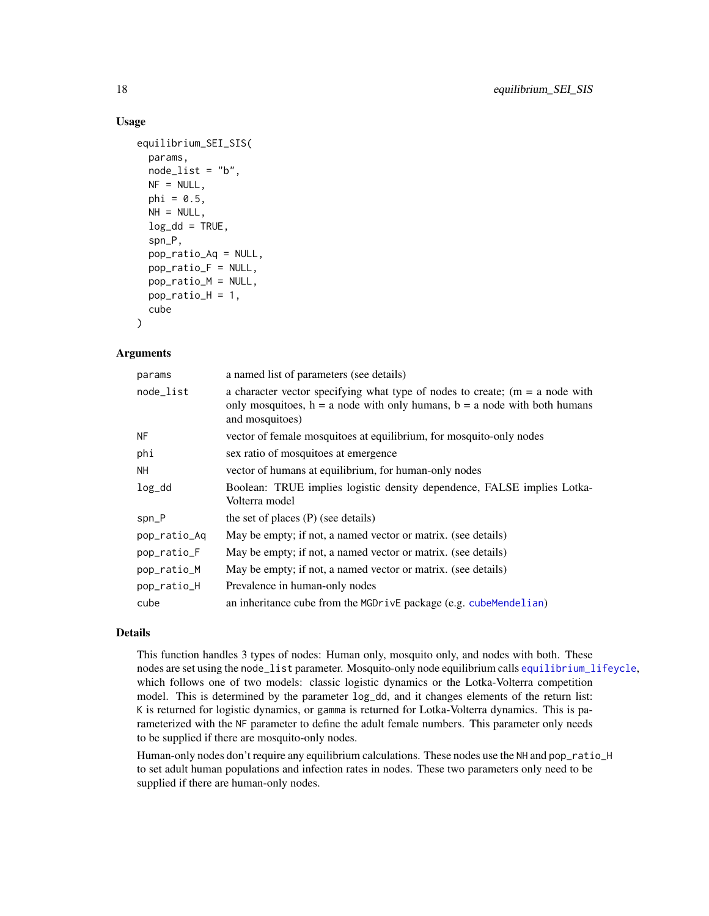#### Usage

```
equilibrium_SEI_SIS(
 params,
  node\_list = "b",NF = NULL,phi = 0.5,
 NH = NULL,
  log_d d = TRUE,
  spn_P,
 pop_ratio_Aq = NULL,
 pop_ratio_F = NULL,
 pop_ratio_M = NULL,
 pop\_ratio_H = 1,
  cube
)
```
# Arguments

| params       | a named list of parameters (see details)                                                                                                                                           |
|--------------|------------------------------------------------------------------------------------------------------------------------------------------------------------------------------------|
| node_list    | a character vector specifying what type of nodes to create; $(m = a$ node with<br>only mosquitoes, $h = a$ node with only humans, $b = a$ node with both humans<br>and mosquitoes) |
| <b>NF</b>    | vector of female mosquitoes at equilibrium, for mosquito-only nodes                                                                                                                |
| phi          | sex ratio of mosquitoes at emergence                                                                                                                                               |
| NH           | vector of humans at equilibrium, for human-only nodes                                                                                                                              |
| $log_d$      | Boolean: TRUE implies logistic density dependence, FALSE implies Lotka-<br>Volterra model                                                                                          |
| $spn_P$      | the set of places $(P)$ (see details)                                                                                                                                              |
| pop_ratio_Aq | May be empty; if not, a named vector or matrix. (see details)                                                                                                                      |
| pop_ratio_F  | May be empty; if not, a named vector or matrix. (see details)                                                                                                                      |
| pop_ratio_M  | May be empty; if not, a named vector or matrix. (see details)                                                                                                                      |
| pop_ratio_H  | Prevalence in human-only nodes                                                                                                                                                     |
| cube         | an inheritance cube from the MGDrivE package (e.g. cubeMendelian)                                                                                                                  |

# Details

This function handles 3 types of nodes: Human only, mosquito only, and nodes with both. These nodes are set using the node\_list parameter. Mosquito-only node equilibrium calls [equilibrium\\_lifeycle](#page-12-1), which follows one of two models: classic logistic dynamics or the Lotka-Volterra competition model. This is determined by the parameter log\_dd, and it changes elements of the return list: K is returned for logistic dynamics, or gamma is returned for Lotka-Volterra dynamics. This is parameterized with the NF parameter to define the adult female numbers. This parameter only needs to be supplied if there are mosquito-only nodes.

Human-only nodes don't require any equilibrium calculations. These nodes use the NH and pop\_ratio\_H to set adult human populations and infection rates in nodes. These two parameters only need to be supplied if there are human-only nodes.

<span id="page-17-0"></span>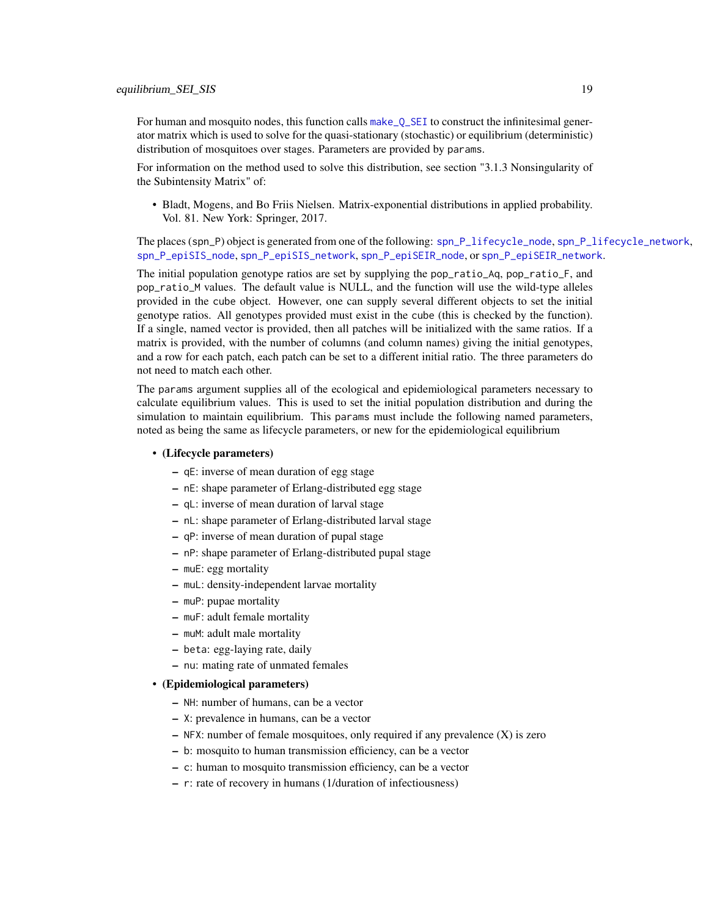<span id="page-18-0"></span>For human and mosquito nodes, this function calls [make\\_Q\\_SEI](#page-20-1) to construct the infinitesimal generator matrix which is used to solve for the quasi-stationary (stochastic) or equilibrium (deterministic) distribution of mosquitoes over stages. Parameters are provided by params.

For information on the method used to solve this distribution, see section "3.1.3 Nonsingularity of the Subintensity Matrix" of:

• Bladt, Mogens, and Bo Friis Nielsen. Matrix-exponential distributions in applied probability. Vol. 81. New York: Springer, 2017.

The places (spn\_P) object is generated from one of the following: [spn\\_P\\_lifecycle\\_node](#page-37-1), [spn\\_P\\_lifecycle\\_network](#page-36-1), [spn\\_P\\_epiSIS\\_node](#page-35-1), [spn\\_P\\_epiSIS\\_network](#page-34-1), [spn\\_P\\_epiSEIR\\_node](#page-34-2), or [spn\\_P\\_epiSEIR\\_network](#page-33-1).

The initial population genotype ratios are set by supplying the pop\_ratio\_Aq, pop\_ratio\_F, and pop\_ratio\_M values. The default value is NULL, and the function will use the wild-type alleles provided in the cube object. However, one can supply several different objects to set the initial genotype ratios. All genotypes provided must exist in the cube (this is checked by the function). If a single, named vector is provided, then all patches will be initialized with the same ratios. If a matrix is provided, with the number of columns (and column names) giving the initial genotypes, and a row for each patch, each patch can be set to a different initial ratio. The three parameters do not need to match each other.

The params argument supplies all of the ecological and epidemiological parameters necessary to calculate equilibrium values. This is used to set the initial population distribution and during the simulation to maintain equilibrium. This params must include the following named parameters, noted as being the same as lifecycle parameters, or new for the epidemiological equilibrium

#### • (Lifecycle parameters)

- qE: inverse of mean duration of egg stage
- nE: shape parameter of Erlang-distributed egg stage
- qL: inverse of mean duration of larval stage
- nL: shape parameter of Erlang-distributed larval stage
- qP: inverse of mean duration of pupal stage
- nP: shape parameter of Erlang-distributed pupal stage
- muE: egg mortality
- muL: density-independent larvae mortality
- muP: pupae mortality
- muF: adult female mortality
- muM: adult male mortality
- beta: egg-laying rate, daily
- nu: mating rate of unmated females

#### • (Epidemiological parameters)

- NH: number of humans, can be a vector
- X: prevalence in humans, can be a vector
- $-$  NFX: number of female mosquitoes, only required if any prevalence  $(X)$  is zero
- b: mosquito to human transmission efficiency, can be a vector
- c: human to mosquito transmission efficiency, can be a vector
- r: rate of recovery in humans (1/duration of infectiousness)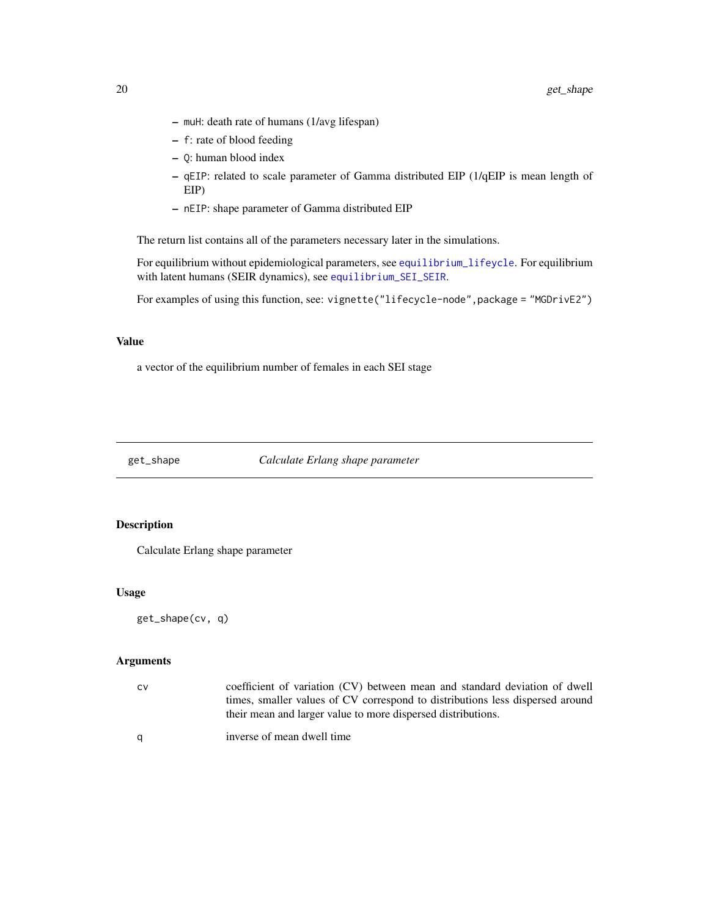- muH: death rate of humans (1/avg lifespan)
- f: rate of blood feeding
- Q: human blood index
- qEIP: related to scale parameter of Gamma distributed EIP (1/qEIP is mean length of EIP)
- nEIP: shape parameter of Gamma distributed EIP

The return list contains all of the parameters necessary later in the simulations.

For equilibrium without epidemiological parameters, see [equilibrium\\_lifeycle](#page-12-1). For equilibrium with latent humans (SEIR dynamics), see [equilibrium\\_SEI\\_SEIR](#page-14-1).

For examples of using this function, see: vignette("lifecycle-node",package = "MGDrivE2")

#### Value

a vector of the equilibrium number of females in each SEI stage

get\_shape *Calculate Erlang shape parameter*

# Description

Calculate Erlang shape parameter

# Usage

get\_shape(cv, q)

| CV | coefficient of variation (CV) between mean and standard deviation of dwell    |
|----|-------------------------------------------------------------------------------|
|    | times, smaller values of CV correspond to distributions less dispersed around |
|    | their mean and larger value to more dispersed distributions.                  |
| q  | inverse of mean dwell time                                                    |

<span id="page-19-0"></span>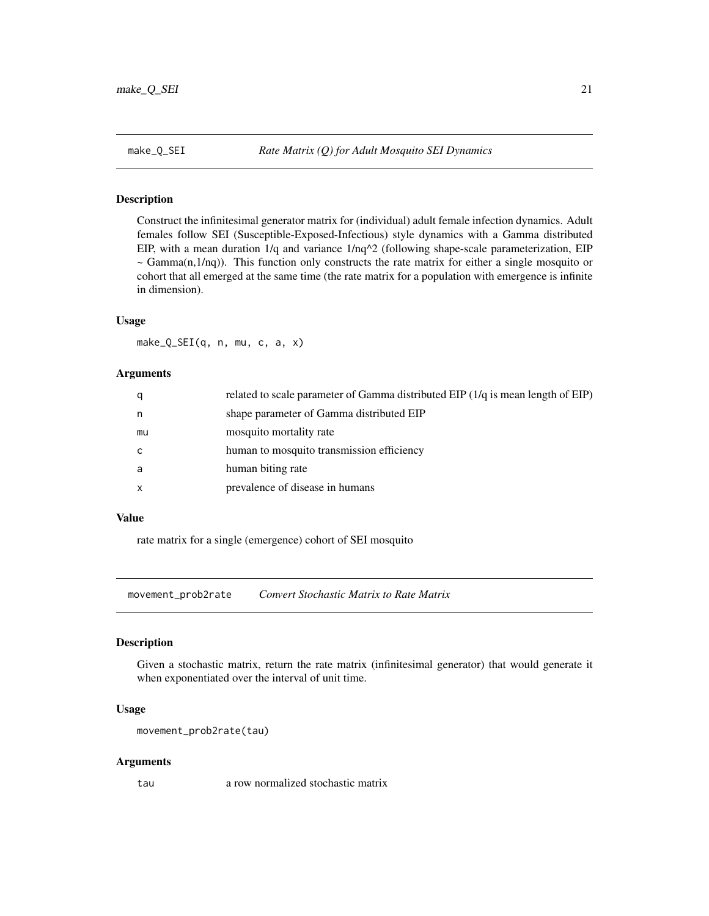<span id="page-20-1"></span><span id="page-20-0"></span>

#### Description

Construct the infinitesimal generator matrix for (individual) adult female infection dynamics. Adult females follow SEI (Susceptible-Exposed-Infectious) style dynamics with a Gamma distributed EIP, with a mean duration  $1/q$  and variance  $1/nq^2$  (following shape-scale parameterization, EIP  $\sim$  Gamma(n,1/nq)). This function only constructs the rate matrix for either a single mosquito or cohort that all emerged at the same time (the rate matrix for a population with emergence is infinite in dimension).

#### Usage

make\_Q\_SEI(q, n, mu, c, a, x)

#### Arguments

| q  | related to scale parameter of Gamma distributed EIP (1/q is mean length of EIP) |
|----|---------------------------------------------------------------------------------|
| n  | shape parameter of Gamma distributed EIP                                        |
| mu | mosquito mortality rate                                                         |
| C  | human to mosquito transmission efficiency                                       |
| a  | human biting rate                                                               |
| X  | prevalence of disease in humans                                                 |

#### Value

rate matrix for a single (emergence) cohort of SEI mosquito

movement\_prob2rate *Convert Stochastic Matrix to Rate Matrix*

# Description

Given a stochastic matrix, return the rate matrix (infinitesimal generator) that would generate it when exponentiated over the interval of unit time.

#### Usage

```
movement_prob2rate(tau)
```
#### Arguments

tau a row normalized stochastic matrix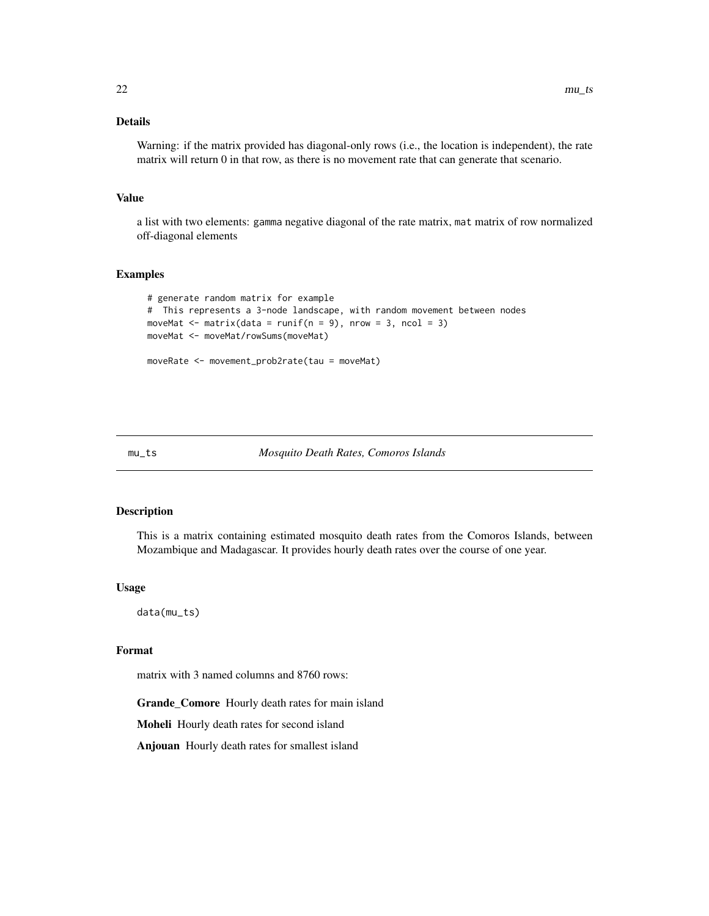# <span id="page-21-0"></span>Details

Warning: if the matrix provided has diagonal-only rows (i.e., the location is independent), the rate matrix will return 0 in that row, as there is no movement rate that can generate that scenario.

# Value

a list with two elements: gamma negative diagonal of the rate matrix, mat matrix of row normalized off-diagonal elements

#### Examples

```
# generate random matrix for example
# This represents a 3-node landscape, with random movement between nodes
moveMat \leq matrix(data = runif(n = 9), nrow = 3, ncol = 3)
moveMat <- moveMat/rowSums(moveMat)
```
moveRate <- movement\_prob2rate(tau = moveMat)

#### mu\_ts *Mosquito Death Rates, Comoros Islands*

#### Description

This is a matrix containing estimated mosquito death rates from the Comoros Islands, between Mozambique and Madagascar. It provides hourly death rates over the course of one year.

#### Usage

data(mu\_ts)

#### Format

matrix with 3 named columns and 8760 rows:

Grande\_Comore Hourly death rates for main island

Moheli Hourly death rates for second island

Anjouan Hourly death rates for smallest island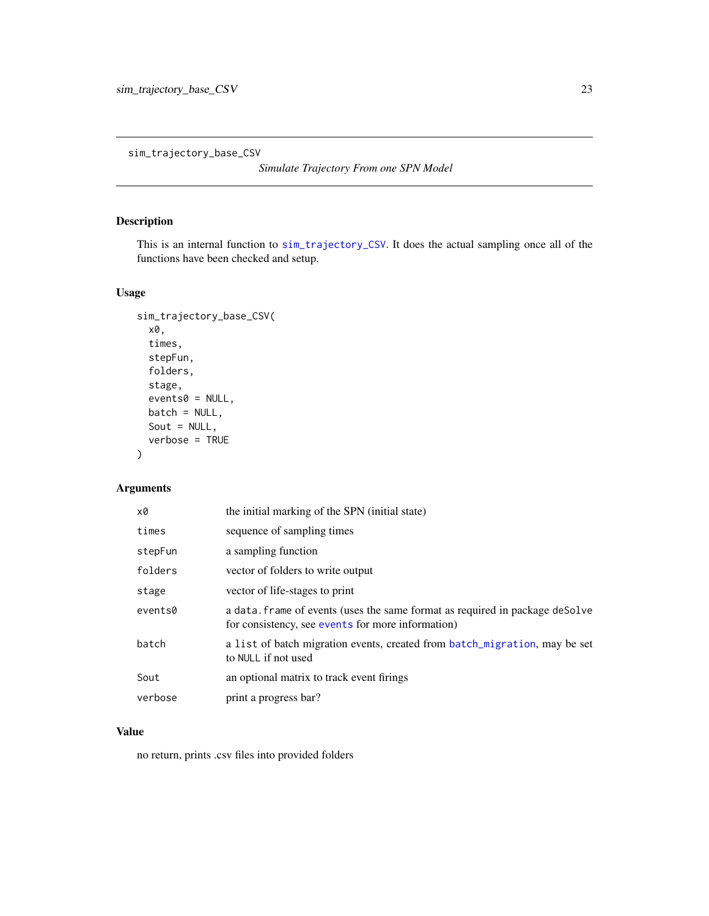<span id="page-22-0"></span>sim\_trajectory\_base\_CSV

*Simulate Trajectory From one SPN Model*

# Description

This is an internal function to [sim\\_trajectory\\_CSV](#page-24-1). It does the actual sampling once all of the functions have been checked and setup.

# Usage

```
sim_trajectory_base_CSV(
  x0,
  times,
  stepFun,
  folders,
  stage,
  events0 = NULL,batch = NULL,
  Sout = NULL,
  verbose = TRUE
)
```
#### Arguments

| x0      | the initial marking of the SPN (initial state)                                                                                    |
|---------|-----------------------------------------------------------------------------------------------------------------------------------|
| times   | sequence of sampling times                                                                                                        |
| stepFun | a sampling function                                                                                                               |
| folders | vector of folders to write output                                                                                                 |
| stage   | vector of life-stages to print                                                                                                    |
| events0 | a data. frame of events (uses the same format as required in package deSolve<br>for consistency, see events for more information) |
| batch   | a list of batch migration events, created from batch_migration, may be set<br>to NULL if not used                                 |
| Sout    | an optional matrix to track event firings                                                                                         |
| verbose | print a progress bar?                                                                                                             |

# Value

no return, prints .csv files into provided folders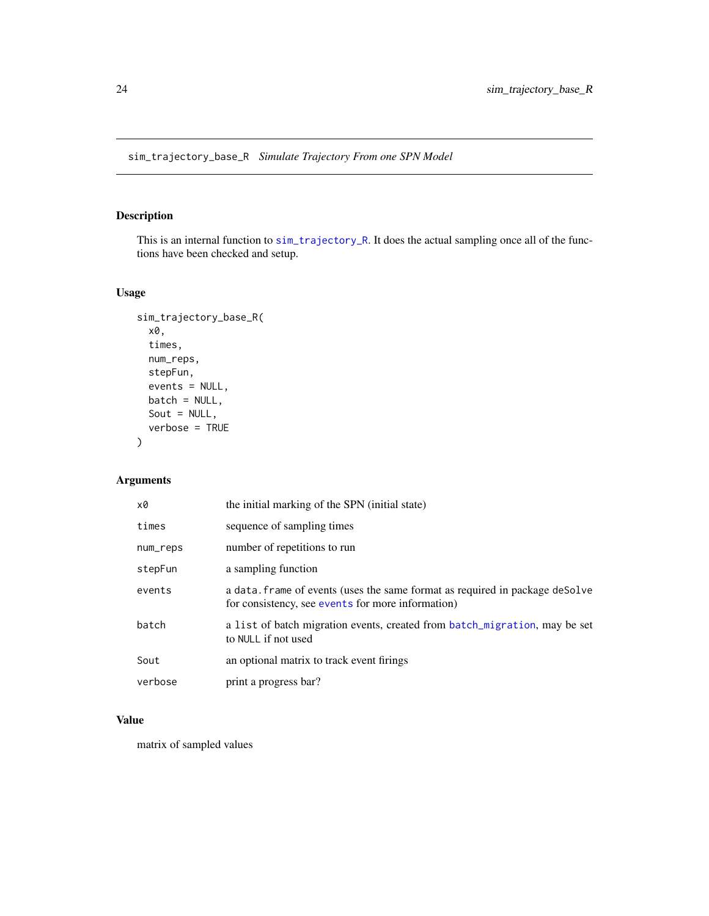# <span id="page-23-0"></span>Description

This is an internal function to [sim\\_trajectory\\_R](#page-25-1). It does the actual sampling once all of the functions have been checked and setup.

# Usage

```
sim_trajectory_base_R(
  x0,
  times,
  num_reps,
  stepFun,
  events = NULL,
  batch = NULL,
  Sout = NULL,
  verbose = TRUE
\mathcal{L}
```
# Arguments

| x0       | the initial marking of the SPN (initial state)                                                                                    |
|----------|-----------------------------------------------------------------------------------------------------------------------------------|
| times    | sequence of sampling times                                                                                                        |
| num_reps | number of repetitions to run                                                                                                      |
| stepFun  | a sampling function                                                                                                               |
| events   | a data. frame of events (uses the same format as required in package deSolve<br>for consistency, see events for more information) |
| batch    | a list of batch migration events, created from batch_migration, may be set<br>to NULL if not used                                 |
| Sout     | an optional matrix to track event firings                                                                                         |
| verbose  | print a progress bar?                                                                                                             |

#### Value

matrix of sampled values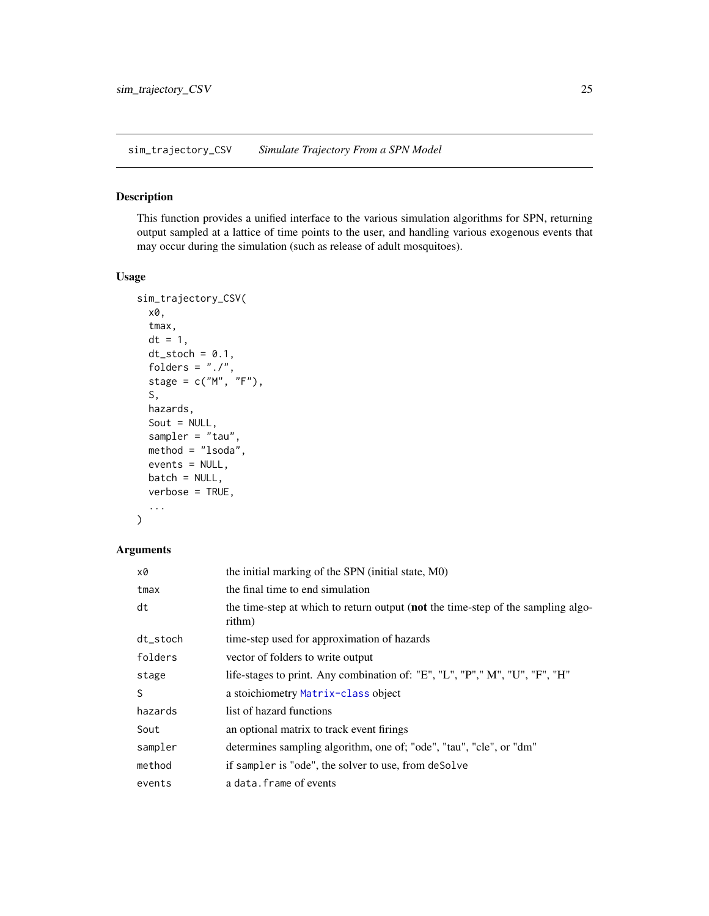<span id="page-24-1"></span><span id="page-24-0"></span>sim\_trajectory\_CSV *Simulate Trajectory From a SPN Model*

# Description

This function provides a unified interface to the various simulation algorithms for SPN, returning output sampled at a lattice of time points to the user, and handling various exogenous events that may occur during the simulation (such as release of adult mosquitoes).

#### Usage

```
sim_trajectory_CSV(
 x0,
  tmax,
 dt = 1,
 dt\_stock = 0.1,
  folders = "./",stage = c("M", "F"),
  S,
 hazards,
  Sout = NULL,
  sampler = "tau",
 method = "lsoda",
 events = NULL,
 batch = NULL,
 verbose = TRUE,
  ...
)
```

| x0       | the initial marking of the SPN (initial state, M0)                                         |  |
|----------|--------------------------------------------------------------------------------------------|--|
| tmax     | the final time to end simulation                                                           |  |
| dt       | the time-step at which to return output (not the time-step of the sampling algo-<br>rithm) |  |
| dt_stoch | time-step used for approximation of hazards                                                |  |
| folders  | vector of folders to write output                                                          |  |
| stage    | life-stages to print. Any combination of: "E", "L", "P"," M", "U", "F", "H"                |  |
| S        | a stoichiometry Matrix-class object                                                        |  |
| hazards  | list of hazard functions                                                                   |  |
| Sout     | an optional matrix to track event firings                                                  |  |
| sampler  | determines sampling algorithm, one of; "ode", "tau", "cle", or "dm"                        |  |
| method   | if sampler is "ode", the solver to use, from deSolve                                       |  |
| events   | a data. frame of events                                                                    |  |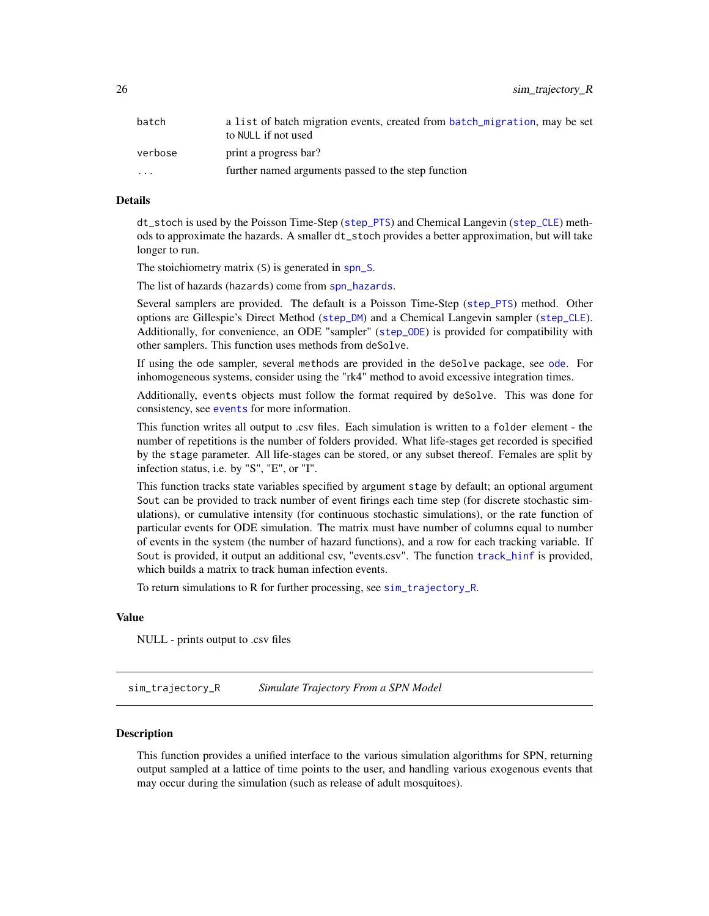<span id="page-25-0"></span>26 sim\_trajectory\_R

| batch                   | a list of batch migration events, created from batch_migration, may be set<br>to NULL if not used |
|-------------------------|---------------------------------------------------------------------------------------------------|
| verbose                 | print a progress bar?                                                                             |
| $\cdot$ $\cdot$ $\cdot$ | further named arguments passed to the step function                                               |

#### Details

dt\_stoch is used by the Poisson Time-Step ([step\\_PTS](#page-46-1)) and Chemical Langevin ([step\\_CLE](#page-44-1)) methods to approximate the hazards. A smaller dt\_stoch provides a better approximation, but will take longer to run.

The stoichiometry matrix (S) is generated in [spn\\_S](#page-37-2).

The list of hazards (hazards) come from [spn\\_hazards](#page-30-1).

Several samplers are provided. The default is a Poisson Time-Step ([step\\_PTS](#page-46-1)) method. Other options are Gillespie's Direct Method ([step\\_DM](#page-45-1)) and a Chemical Langevin sampler ([step\\_CLE](#page-44-1)). Additionally, for convenience, an ODE "sampler" ([step\\_ODE](#page-45-2)) is provided for compatibility with other samplers. This function uses methods from deSolve.

If using the ode sampler, several methods are provided in the deSolve package, see [ode](#page-0-0). For inhomogeneous systems, consider using the "rk4" method to avoid excessive integration times.

Additionally, events objects must follow the format required by deSolve. This was done for consistency, see [events](#page-0-0) for more information.

This function writes all output to .csv files. Each simulation is written to a folder element - the number of repetitions is the number of folders provided. What life-stages get recorded is specified by the stage parameter. All life-stages can be stored, or any subset thereof. Females are split by infection status, i.e. by "S", "E", or "I".

This function tracks state variables specified by argument stage by default; an optional argument Sout can be provided to track number of event firings each time step (for discrete stochastic simulations), or cumulative intensity (for continuous stochastic simulations), or the rate function of particular events for ODE simulation. The matrix must have number of columns equal to number of events in the system (the number of hazard functions), and a row for each tracking variable. If Sout is provided, it output an additional csv, "events.csv". The function [track\\_hinf](#page-56-1) is provided, which builds a matrix to track human infection events.

To return simulations to R for further processing, see [sim\\_trajectory\\_R](#page-25-1).

# Value

NULL - prints output to .csv files

<span id="page-25-1"></span>sim\_trajectory\_R *Simulate Trajectory From a SPN Model*

#### **Description**

This function provides a unified interface to the various simulation algorithms for SPN, returning output sampled at a lattice of time points to the user, and handling various exogenous events that may occur during the simulation (such as release of adult mosquitoes).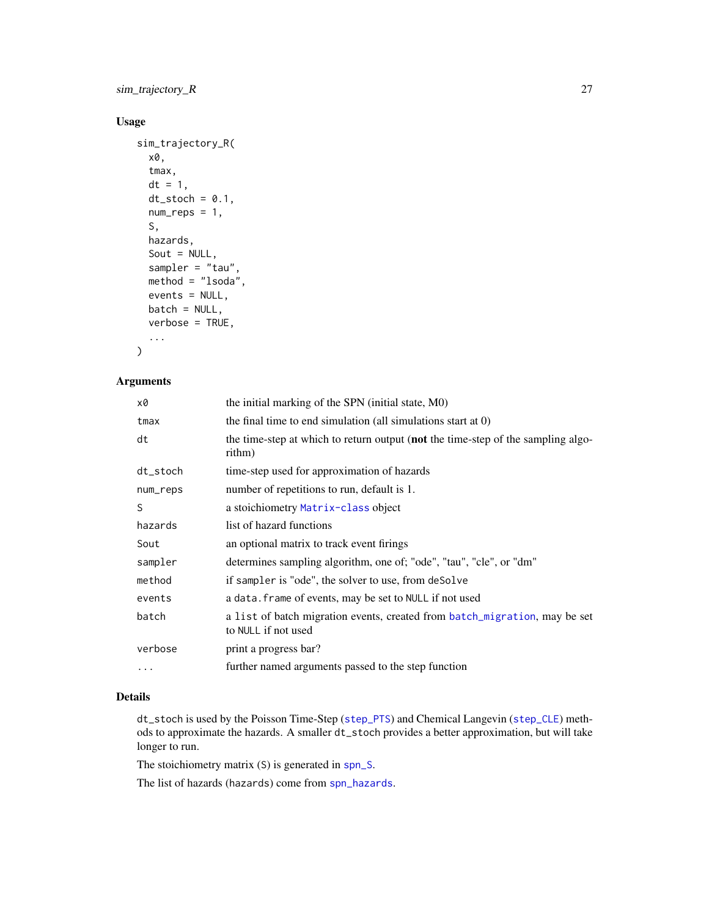# <span id="page-26-0"></span>sim\_trajectory\_R 27

# Usage

```
sim_trajectory_R(
  x0,
  tmax,
 dt = 1,
  dt\_stock = 0.1,num\_reps = 1,
  S,
 hazards,
  Sout = NULL,
  sampler = "tau",
 method = "lsoda",
 events = NULL,
 batch = NULL,
  verbose = TRUE,
  ...
\mathcal{L}
```
# Arguments

| x0       | the initial marking of the SPN (initial state, M0)                                                |
|----------|---------------------------------------------------------------------------------------------------|
| tmax     | the final time to end simulation (all simulations start at $0$ )                                  |
| dt       | the time-step at which to return output (not the time-step of the sampling algo-<br>rithm)        |
| dt_stoch | time-step used for approximation of hazards                                                       |
| num_reps | number of repetitions to run, default is 1.                                                       |
| S        | a stoichiometry Matrix-class object                                                               |
| hazards  | list of hazard functions                                                                          |
| Sout     | an optional matrix to track event firings                                                         |
| sampler  | determines sampling algorithm, one of; "ode", "tau", "cle", or "dm"                               |
| method   | if sampler is "ode", the solver to use, from deSolve                                              |
| events   | a data. frame of events, may be set to NULL if not used                                           |
| batch    | a list of batch migration events, created from batch_migration, may be set<br>to NULL if not used |
| verbose  | print a progress bar?                                                                             |
| .        | further named arguments passed to the step function                                               |

# Details

dt\_stoch is used by the Poisson Time-Step ([step\\_PTS](#page-46-1)) and Chemical Langevin ([step\\_CLE](#page-44-1)) methods to approximate the hazards. A smaller dt\_stoch provides a better approximation, but will take longer to run.

The stoichiometry matrix (S) is generated in [spn\\_S](#page-37-2).

The list of hazards (hazards) come from [spn\\_hazards](#page-30-1).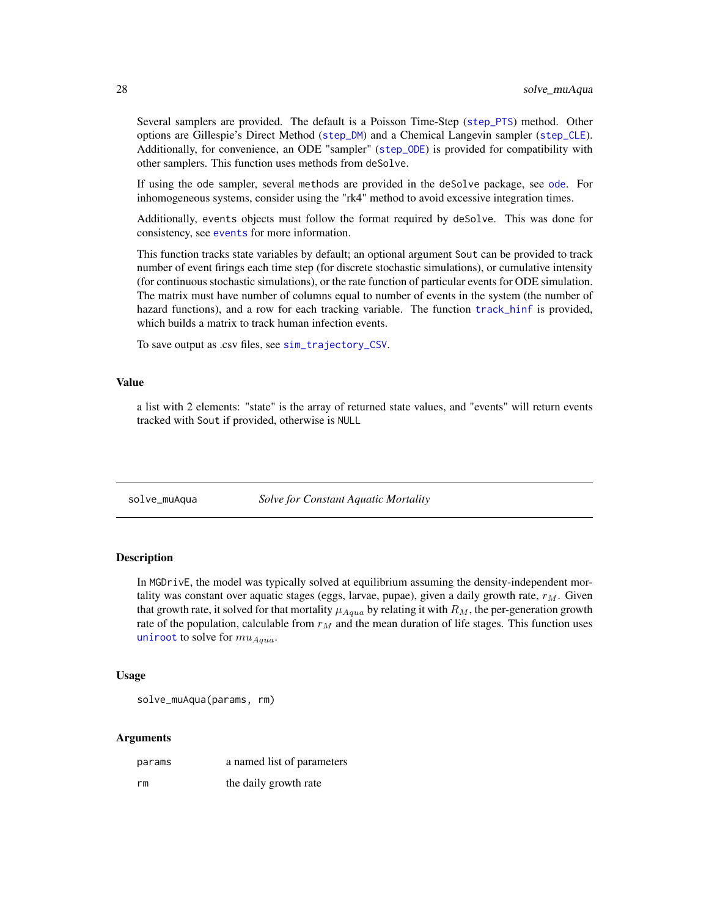Several samplers are provided. The default is a Poisson Time-Step ([step\\_PTS](#page-46-1)) method. Other options are Gillespie's Direct Method ([step\\_DM](#page-45-1)) and a Chemical Langevin sampler ([step\\_CLE](#page-44-1)). Additionally, for convenience, an ODE "sampler" ([step\\_ODE](#page-45-2)) is provided for compatibility with other samplers. This function uses methods from deSolve.

If using the ode sampler, several methods are provided in the deSolve package, see [ode](#page-0-0). For inhomogeneous systems, consider using the "rk4" method to avoid excessive integration times.

Additionally, events objects must follow the format required by deSolve. This was done for consistency, see [events](#page-0-0) for more information.

This function tracks state variables by default; an optional argument Sout can be provided to track number of event firings each time step (for discrete stochastic simulations), or cumulative intensity (for continuous stochastic simulations), or the rate function of particular events for ODE simulation. The matrix must have number of columns equal to number of events in the system (the number of hazard functions), and a row for each tracking variable. The function [track\\_hinf](#page-56-1) is provided, which builds a matrix to track human infection events.

To save output as .csv files, see [sim\\_trajectory\\_CSV](#page-24-1).

# Value

a list with 2 elements: "state" is the array of returned state values, and "events" will return events tracked with Sout if provided, otherwise is NULL

solve\_muAqua *Solve for Constant Aquatic Mortality*

#### Description

In MGDrivE, the model was typically solved at equilibrium assuming the density-independent mortality was constant over aquatic stages (eggs, larvae, pupae), given a daily growth rate,  $r<sub>M</sub>$ . Given that growth rate, it solved for that mortality  $\mu_{Aquad}$  by relating it with  $R_M$ , the per-generation growth rate of the population, calculable from  $r_M$  and the mean duration of life stages. This function uses [uniroot](#page-0-0) to solve for  $mu_{Aqua}$ .

#### Usage

solve\_muAqua(params, rm)

| params | a named list of parameters |
|--------|----------------------------|
| rm     | the daily growth rate      |

<span id="page-27-0"></span>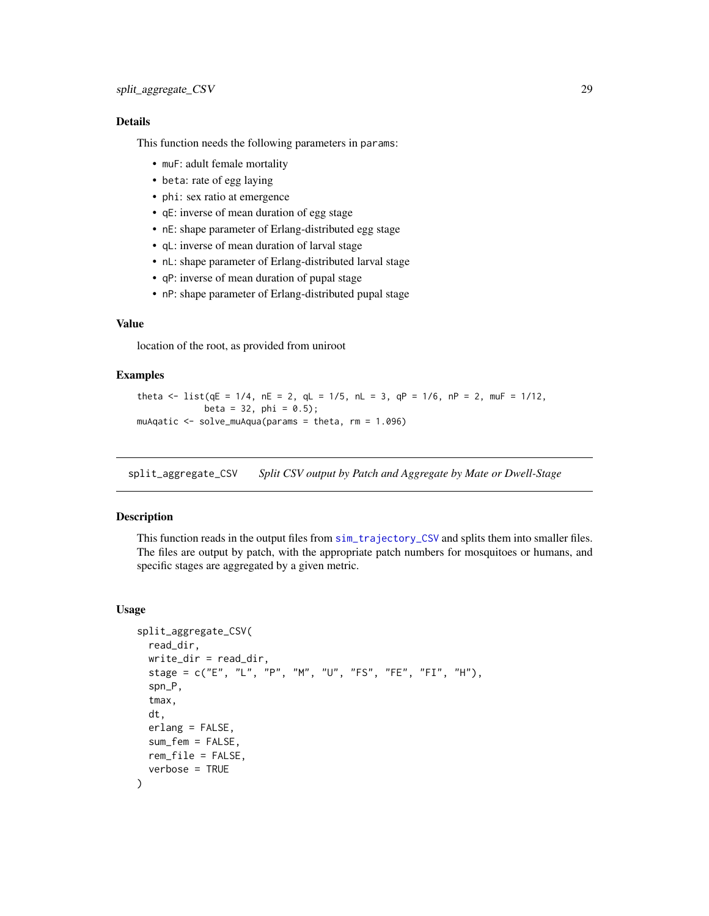# <span id="page-28-0"></span>Details

This function needs the following parameters in params:

- muF: adult female mortality
- beta: rate of egg laying
- phi: sex ratio at emergence
- qE: inverse of mean duration of egg stage
- nE: shape parameter of Erlang-distributed egg stage
- qL: inverse of mean duration of larval stage
- nL: shape parameter of Erlang-distributed larval stage
- qP: inverse of mean duration of pupal stage
- nP: shape parameter of Erlang-distributed pupal stage

# Value

location of the root, as provided from uniroot

# Examples

```
theta \le list(qE = 1/4, nE = 2, qL = 1/5, nL = 3, qP = 1/6, nP = 2, muF = 1/12,
            beta = 32, phi = 0.5;
muAqatic <- solve_muAqua(params = theta, rm = 1.096)
```
<span id="page-28-1"></span>split\_aggregate\_CSV *Split CSV output by Patch and Aggregate by Mate or Dwell-Stage*

# Description

This function reads in the output files from [sim\\_trajectory\\_CSV](#page-24-1) and splits them into smaller files. The files are output by patch, with the appropriate patch numbers for mosquitoes or humans, and specific stages are aggregated by a given metric.

# Usage

```
split_aggregate_CSV(
 read_dir,
 write\_dir = read\_dir,stage = c("E", "L", "P", "M", "U", "FS", "FE", "FI", "H"),
  spn_P,
  tmax,
  dt,
  erlang = FALSE,
  sum_fem = FALSE,
 rem_file = FALSE,
  verbose = TRUE
)
```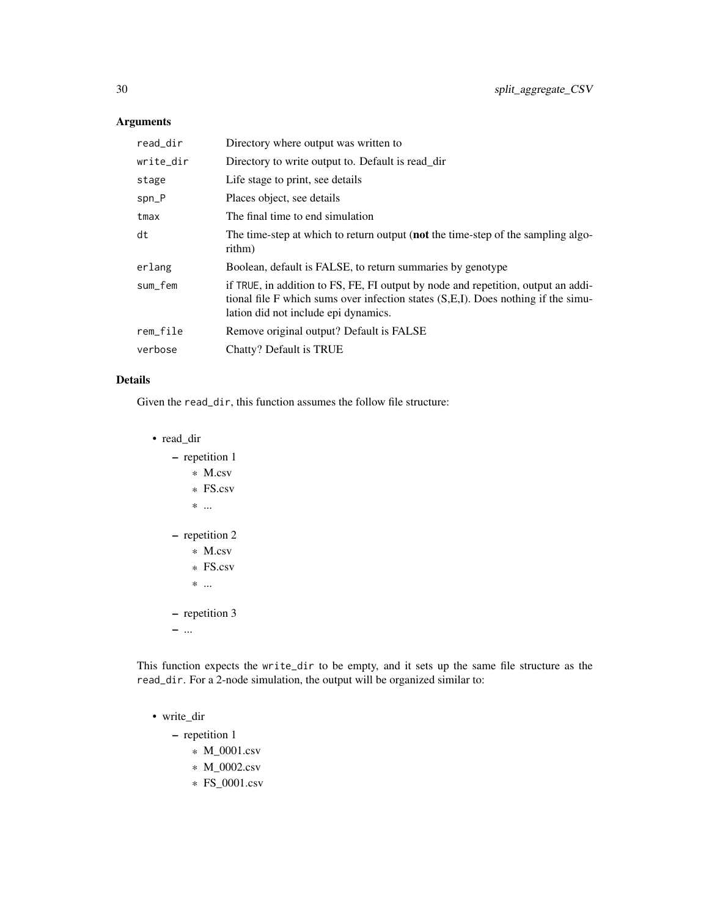# Arguments

| read_dir  | Directory where output was written to                                                                                                                                                                          |  |
|-----------|----------------------------------------------------------------------------------------------------------------------------------------------------------------------------------------------------------------|--|
| write_dir | Directory to write output to. Default is read_dir                                                                                                                                                              |  |
| stage     | Life stage to print, see details                                                                                                                                                                               |  |
| spn_P     | Places object, see details                                                                                                                                                                                     |  |
| tmax      | The final time to end simulation                                                                                                                                                                               |  |
| dt        | The time-step at which to return output (not the time-step of the sampling algo-<br>rithm)                                                                                                                     |  |
| erlang    | Boolean, default is FALSE, to return summaries by genotype                                                                                                                                                     |  |
| sum fem   | if TRUE, in addition to FS, FE, FI output by node and repetition, output an addi-<br>tional file F which sums over infection states (S,E,I). Does nothing if the simu-<br>lation did not include epi dynamics. |  |
| rem_file  | Remove original output? Default is FALSE                                                                                                                                                                       |  |
| verbose   | Chatty? Default is TRUE                                                                                                                                                                                        |  |

# Details

Given the read\_dir, this function assumes the follow file structure:

• read\_dir

| repetition 1<br>$*$ M.csv<br>$*$ FS csv<br>*<br>repetition 2<br>$*$ M.csv<br>$*$ FS.csv<br>$*$ |
|------------------------------------------------------------------------------------------------|
| repetition 3                                                                                   |
|                                                                                                |

This function expects the write\_dir to be empty, and it sets up the same file structure as the read\_dir. For a 2-node simulation, the output will be organized similar to:

# • write\_dir

– repetition 1

- \* M\_0001.csv
- \* M\_0002.csv
- \* FS\_0001.csv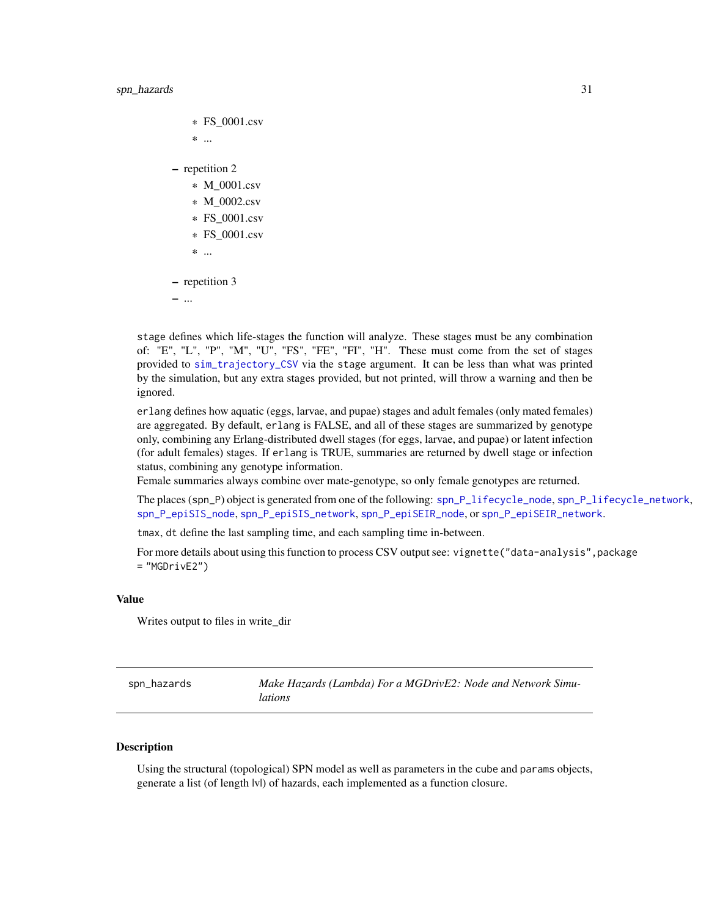```
* FS_0001.csv
    * ...
– repetition 2
    * M_0001.csv
    * M_0002.csv
    * FS_0001.csv
    * FS_0001.csv
    * ...
– repetition 3
– ...
```
stage defines which life-stages the function will analyze. These stages must be any combination of: "E", "L", "P", "M", "U", "FS", "FE", "FI", "H". These must come from the set of stages provided to [sim\\_trajectory\\_CSV](#page-24-1) via the stage argument. It can be less than what was printed by the simulation, but any extra stages provided, but not printed, will throw a warning and then be ignored.

erlang defines how aquatic (eggs, larvae, and pupae) stages and adult females (only mated females) are aggregated. By default, erlang is FALSE, and all of these stages are summarized by genotype only, combining any Erlang-distributed dwell stages (for eggs, larvae, and pupae) or latent infection (for adult females) stages. If erlang is TRUE, summaries are returned by dwell stage or infection status, combining any genotype information.

Female summaries always combine over mate-genotype, so only female genotypes are returned.

The places (spn\_P) object is generated from one of the following: [spn\\_P\\_lifecycle\\_node](#page-37-1), [spn\\_P\\_lifecycle\\_network](#page-36-1), [spn\\_P\\_epiSIS\\_node](#page-35-1), [spn\\_P\\_epiSIS\\_network](#page-34-1), [spn\\_P\\_epiSEIR\\_node](#page-34-2), or [spn\\_P\\_epiSEIR\\_network](#page-33-1).

tmax, dt define the last sampling time, and each sampling time in-between.

For more details about using this function to process CSV output see: vignette("data-analysis", package  $=$  "MGDrivE2")

# Value

Writes output to files in write\_dir

<span id="page-30-1"></span>

| spn_hazards | Make Hazards (Lambda) For a MGDrivE2: Node and Network Simu- |
|-------------|--------------------------------------------------------------|
|             | <i>lations</i>                                               |

#### **Description**

Using the structural (topological) SPN model as well as parameters in the cube and params objects, generate a list (of length |v|) of hazards, each implemented as a function closure.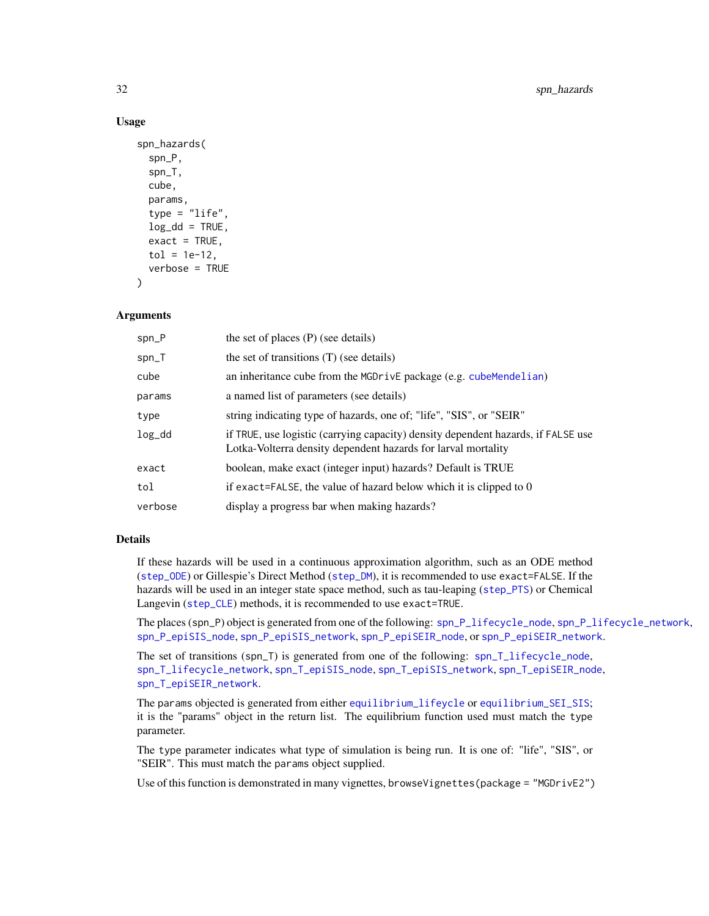#### Usage

```
spn_hazards(
  spn_P,
  spn_T,
  cube,
 params,
  type = "life",log_d d = TRUE,
  exact = TRUE,tol = 1e-12,verbose = TRUE
)
```
# Arguments

| $spn_P$ | the set of places $(P)$ (see details)                                                                                                              |
|---------|----------------------------------------------------------------------------------------------------------------------------------------------------|
| spn_T   | the set of transitions (T) (see details)                                                                                                           |
| cube    | an inheritance cube from the MGDrivE package (e.g. cubeMendelian)                                                                                  |
| params  | a named list of parameters (see details)                                                                                                           |
| type    | string indicating type of hazards, one of; "life", "SIS", or "SEIR"                                                                                |
| $log_d$ | if TRUE, use logistic (carrying capacity) density dependent hazards, if FALSE use<br>Lotka-Volterra density dependent hazards for larval mortality |
| exact   | boolean, make exact (integer input) hazards? Default is TRUE                                                                                       |
| tol     | if exact=FALSE, the value of hazard below which it is clipped to $0$                                                                               |
| verbose | display a progress bar when making hazards?                                                                                                        |

#### Details

If these hazards will be used in a continuous approximation algorithm, such as an ODE method ([step\\_ODE](#page-45-2)) or Gillespie's Direct Method ([step\\_DM](#page-45-1)), it is recommended to use exact=FALSE. If the hazards will be used in an integer state space method, such as tau-leaping ([step\\_PTS](#page-46-1)) or Chemical Langevin ([step\\_CLE](#page-44-1)) methods, it is recommended to use exact=TRUE.

The places (spn\_P) object is generated from one of the following: [spn\\_P\\_lifecycle\\_node](#page-37-1), [spn\\_P\\_lifecycle\\_network](#page-36-1), [spn\\_P\\_epiSIS\\_node](#page-35-1), [spn\\_P\\_epiSIS\\_network](#page-34-1), [spn\\_P\\_epiSEIR\\_node](#page-34-2), or [spn\\_P\\_epiSEIR\\_network](#page-33-1).

The set of transitions (spn\_T) is generated from one of the following: [spn\\_T\\_lifecycle\\_node](#page-43-1), [spn\\_T\\_lifecycle\\_network](#page-42-1), [spn\\_T\\_epiSIS\\_node](#page-41-1), [spn\\_T\\_epiSIS\\_network](#page-40-1), [spn\\_T\\_epiSEIR\\_node](#page-39-1), [spn\\_T\\_epiSEIR\\_network](#page-38-1).

The params objected is generated from either [equilibrium\\_lifeycle](#page-12-1) or [equilibrium\\_SEI\\_SIS](#page-16-1); it is the "params" object in the return list. The equilibrium function used must match the type parameter.

The type parameter indicates what type of simulation is being run. It is one of: "life", "SIS", or "SEIR". This must match the params object supplied.

Use of this function is demonstrated in many vignettes, browseVignettes(package = "MGDrivE2")

<span id="page-31-0"></span>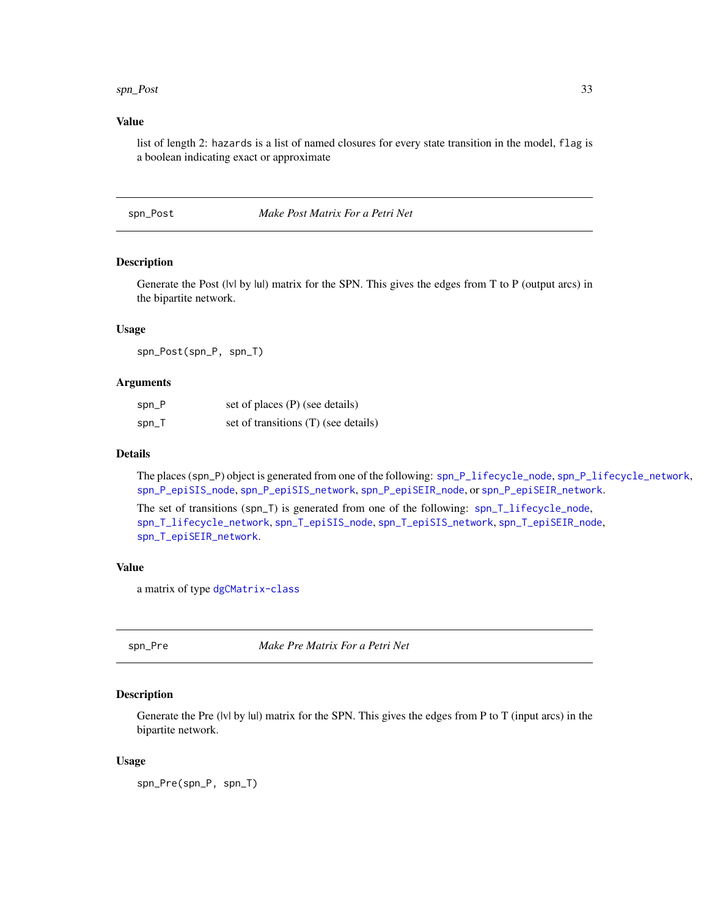#### <span id="page-32-0"></span>spn\_Post 33

### Value

list of length 2: hazards is a list of named closures for every state transition in the model, flag is a boolean indicating exact or approximate

<span id="page-32-2"></span>spn\_Post *Make Post Matrix For a Petri Net*

#### Description

Generate the Post (|v| by |u|) matrix for the SPN. This gives the edges from T to P (output arcs) in the bipartite network.

#### Usage

spn\_Post(spn\_P, spn\_T)

# Arguments

| spn_P | set of places (P) (see details)      |
|-------|--------------------------------------|
| spn_T | set of transitions (T) (see details) |

#### Details

The places (spn\_P) object is generated from one of the following: [spn\\_P\\_lifecycle\\_node](#page-37-1), [spn\\_P\\_lifecycle\\_network](#page-36-1), [spn\\_P\\_epiSIS\\_node](#page-35-1), [spn\\_P\\_epiSIS\\_network](#page-34-1), [spn\\_P\\_epiSEIR\\_node](#page-34-2), or [spn\\_P\\_epiSEIR\\_network](#page-33-1).

The set of transitions (spn\_T) is generated from one of the following: [spn\\_T\\_lifecycle\\_node](#page-43-1), [spn\\_T\\_lifecycle\\_network](#page-42-1), [spn\\_T\\_epiSIS\\_node](#page-41-1), [spn\\_T\\_epiSIS\\_network](#page-40-1), [spn\\_T\\_epiSEIR\\_node](#page-39-1), [spn\\_T\\_epiSEIR\\_network](#page-38-1).

# Value

a matrix of type [dgCMatrix-class](#page-0-0)

<span id="page-32-1"></span>spn\_Pre *Make Pre Matrix For a Petri Net*

# Description

Generate the Pre ( $|v|$  by  $|u|$ ) matrix for the SPN. This gives the edges from P to T (input arcs) in the bipartite network.

#### Usage

spn\_Pre(spn\_P, spn\_T)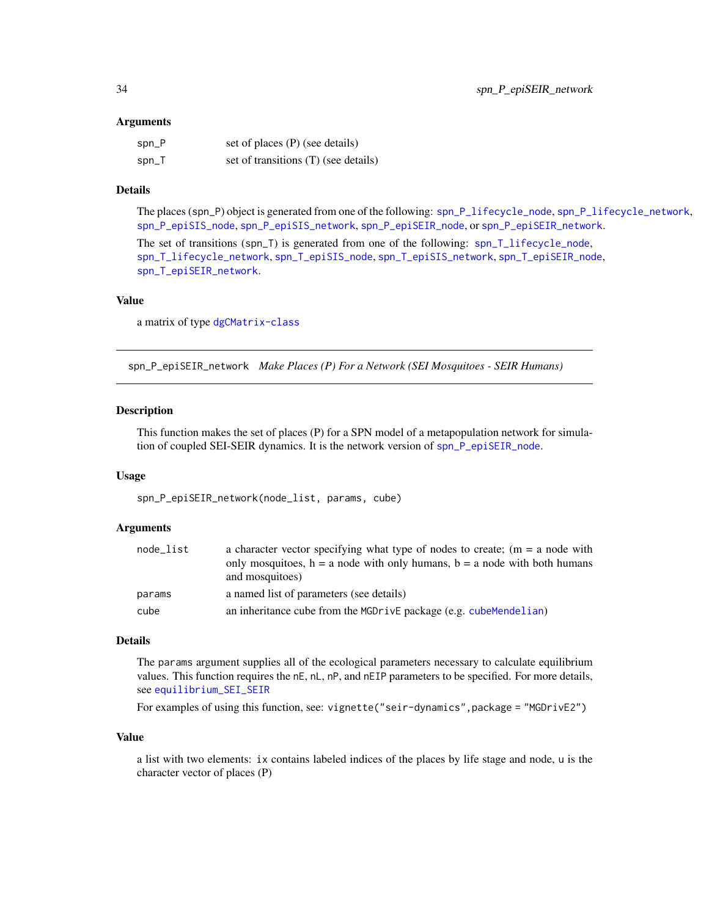#### <span id="page-33-0"></span>Arguments

| $spin_P$ | set of places (P) (see details)      |
|----------|--------------------------------------|
| $spin_T$ | set of transitions (T) (see details) |

# Details

The places (spn\_P) object is generated from one of the following: [spn\\_P\\_lifecycle\\_node](#page-37-1), [spn\\_P\\_lifecycle\\_network](#page-36-1), [spn\\_P\\_epiSIS\\_node](#page-35-1), [spn\\_P\\_epiSIS\\_network](#page-34-1), [spn\\_P\\_epiSEIR\\_node](#page-34-2), or [spn\\_P\\_epiSEIR\\_network](#page-33-1).

The set of transitions (spn\_T) is generated from one of the following: [spn\\_T\\_lifecycle\\_node](#page-43-1), [spn\\_T\\_lifecycle\\_network](#page-42-1), [spn\\_T\\_epiSIS\\_node](#page-41-1), [spn\\_T\\_epiSIS\\_network](#page-40-1), [spn\\_T\\_epiSEIR\\_node](#page-39-1), [spn\\_T\\_epiSEIR\\_network](#page-38-1).

# Value

a matrix of type [dgCMatrix-class](#page-0-0)

<span id="page-33-1"></span>spn\_P\_epiSEIR\_network *Make Places (P) For a Network (SEI Mosquitoes - SEIR Humans)*

#### Description

This function makes the set of places (P) for a SPN model of a metapopulation network for simulation of coupled SEI-SEIR dynamics. It is the network version of [spn\\_P\\_epiSEIR\\_node](#page-34-2).

#### Usage

spn\_P\_epiSEIR\_network(node\_list, params, cube)

#### Arguments

| node list | a character vector specifying what type of nodes to create; $(m = a$ node with<br>only mosquitoes, $h = a$ node with only humans, $b = a$ node with both humans |
|-----------|-----------------------------------------------------------------------------------------------------------------------------------------------------------------|
|           | and mosquitoes)                                                                                                                                                 |
| params    | a named list of parameters (see details)                                                                                                                        |
| cube      | an inheritance cube from the MGDrivE package (e.g. cubeMendelian)                                                                                               |

#### Details

The params argument supplies all of the ecological parameters necessary to calculate equilibrium values. This function requires the nE, nL, nP, and nEIP parameters to be specified. For more details, see [equilibrium\\_SEI\\_SEIR](#page-14-1)

For examples of using this function, see: vignette("seir-dynamics",package = "MGDrivE2")

# Value

a list with two elements: ix contains labeled indices of the places by life stage and node, u is the character vector of places (P)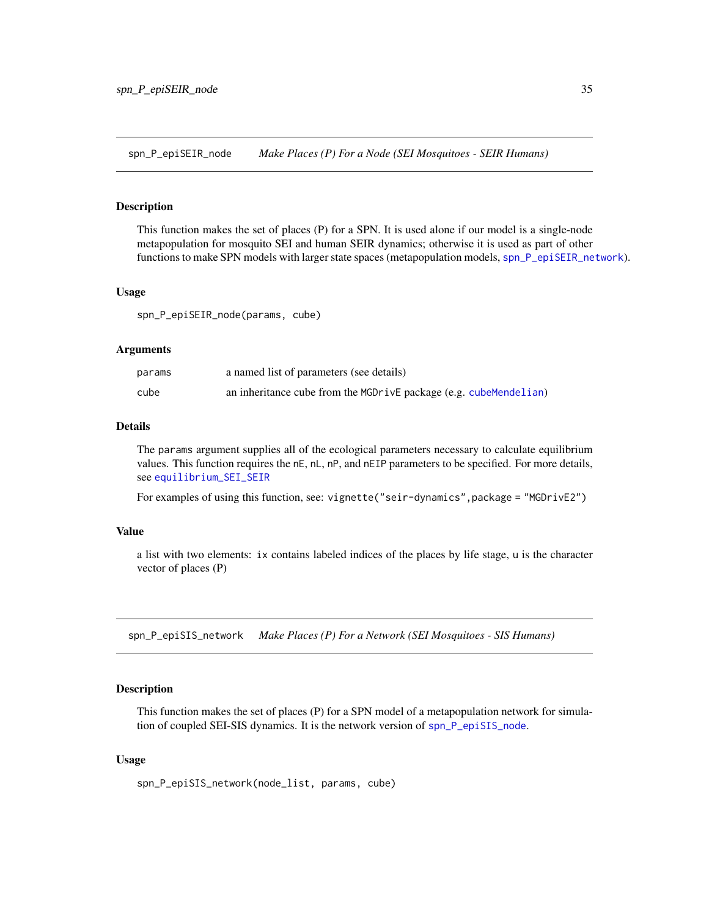<span id="page-34-2"></span><span id="page-34-0"></span>spn\_P\_epiSEIR\_node *Make Places (P) For a Node (SEI Mosquitoes - SEIR Humans)*

#### Description

This function makes the set of places (P) for a SPN. It is used alone if our model is a single-node metapopulation for mosquito SEI and human SEIR dynamics; otherwise it is used as part of other functions to make SPN models with larger state spaces (metapopulation models, [spn\\_P\\_epiSEIR\\_network](#page-33-1)).

#### Usage

spn\_P\_epiSEIR\_node(params, cube)

#### Arguments

| params | a named list of parameters (see details)                          |
|--------|-------------------------------------------------------------------|
| cube   | an inheritance cube from the MGDrivE package (e.g. cubeMendelian) |

# Details

The params argument supplies all of the ecological parameters necessary to calculate equilibrium values. This function requires the nE, nL, nP, and nEIP parameters to be specified. For more details, see [equilibrium\\_SEI\\_SEIR](#page-14-1)

For examples of using this function, see: vignette("seir-dynamics",package = "MGDrivE2")

#### Value

a list with two elements: ix contains labeled indices of the places by life stage, u is the character vector of places (P)

<span id="page-34-1"></span>spn\_P\_epiSIS\_network *Make Places (P) For a Network (SEI Mosquitoes - SIS Humans)*

#### Description

This function makes the set of places (P) for a SPN model of a metapopulation network for simulation of coupled SEI-SIS dynamics. It is the network version of [spn\\_P\\_epiSIS\\_node](#page-35-1).

#### Usage

spn\_P\_epiSIS\_network(node\_list, params, cube)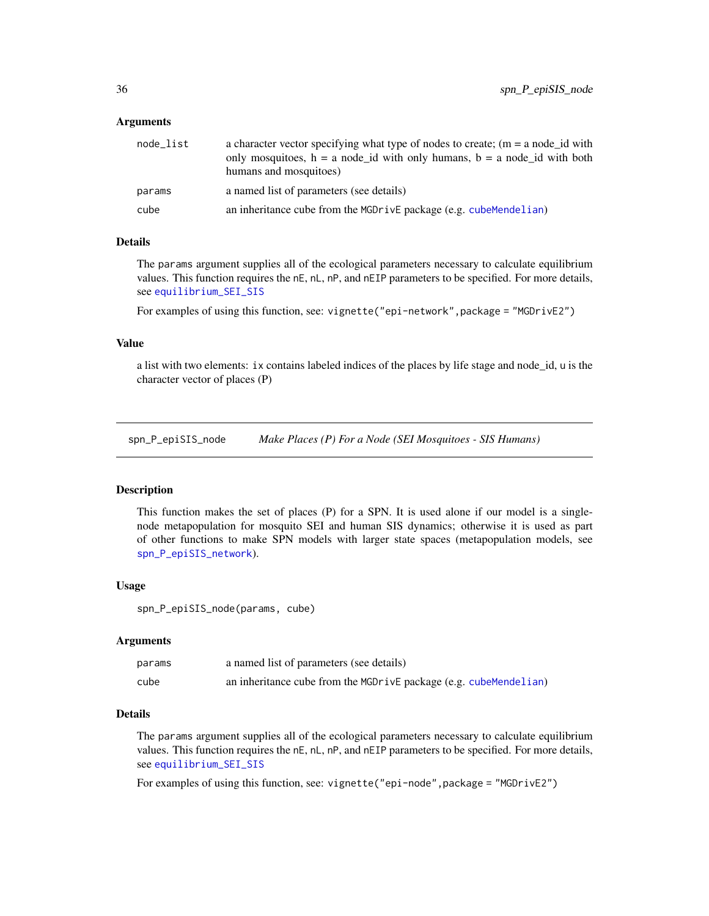#### <span id="page-35-0"></span>Arguments

| node_list | a character vector specifying what type of nodes to create; $(m = a$ node id with<br>only mosquitoes, $h = a$ node id with only humans, $b = a$ node id with both<br>humans and mosquitoes) |
|-----------|---------------------------------------------------------------------------------------------------------------------------------------------------------------------------------------------|
| params    | a named list of parameters (see details)                                                                                                                                                    |
| cube      | an inheritance cube from the MGDr ive package (e.g. cube Mendelian)                                                                                                                         |

# Details

The params argument supplies all of the ecological parameters necessary to calculate equilibrium values. This function requires the nE, nL, nP, and nEIP parameters to be specified. For more details, see [equilibrium\\_SEI\\_SIS](#page-16-1)

For examples of using this function, see: vignette("epi-network", package = "MGDrivE2")

### Value

a list with two elements: ix contains labeled indices of the places by life stage and node\_id, u is the character vector of places (P)

<span id="page-35-1"></span>spn\_P\_epiSIS\_node *Make Places (P) For a Node (SEI Mosquitoes - SIS Humans)*

# Description

This function makes the set of places (P) for a SPN. It is used alone if our model is a singlenode metapopulation for mosquito SEI and human SIS dynamics; otherwise it is used as part of other functions to make SPN models with larger state spaces (metapopulation models, see [spn\\_P\\_epiSIS\\_network](#page-34-1)).

#### Usage

spn\_P\_epiSIS\_node(params, cube)

#### Arguments

| params | a named list of parameters (see details)                          |
|--------|-------------------------------------------------------------------|
| cube   | an inheritance cube from the MGDrivE package (e.g. cubeMendelian) |

#### Details

The params argument supplies all of the ecological parameters necessary to calculate equilibrium values. This function requires the nE, nL, nP, and nEIP parameters to be specified. For more details, see [equilibrium\\_SEI\\_SIS](#page-16-1)

For examples of using this function, see: vignette("epi-node",package = "MGDrivE2")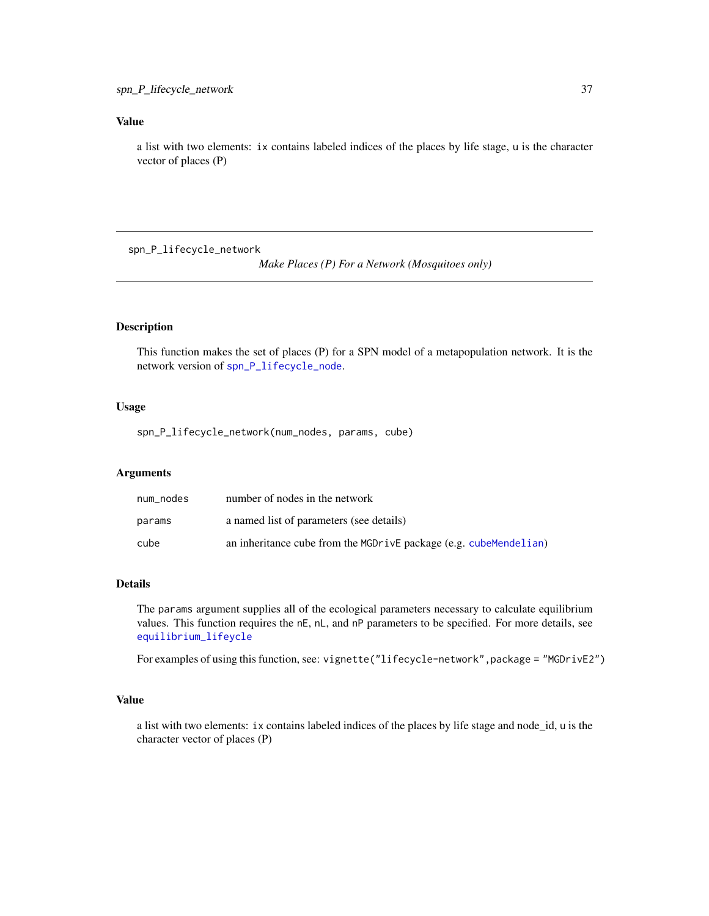# <span id="page-36-0"></span>Value

a list with two elements: ix contains labeled indices of the places by life stage, u is the character vector of places (P)

<span id="page-36-1"></span>spn\_P\_lifecycle\_network

*Make Places (P) For a Network (Mosquitoes only)*

#### Description

This function makes the set of places (P) for a SPN model of a metapopulation network. It is the network version of [spn\\_P\\_lifecycle\\_node](#page-37-1).

# Usage

spn\_P\_lifecycle\_network(num\_nodes, params, cube)

#### Arguments

| num nodes | number of nodes in the network                                    |
|-----------|-------------------------------------------------------------------|
| params    | a named list of parameters (see details)                          |
| cube      | an inheritance cube from the MGDrivE package (e.g. cubeMendelian) |

# Details

The params argument supplies all of the ecological parameters necessary to calculate equilibrium values. This function requires the nE, nL, and nP parameters to be specified. For more details, see [equilibrium\\_lifeycle](#page-12-1)

For examples of using this function, see: vignette("lifecycle-network", package = "MGDrivE2")

# Value

a list with two elements: ix contains labeled indices of the places by life stage and node\_id, u is the character vector of places (P)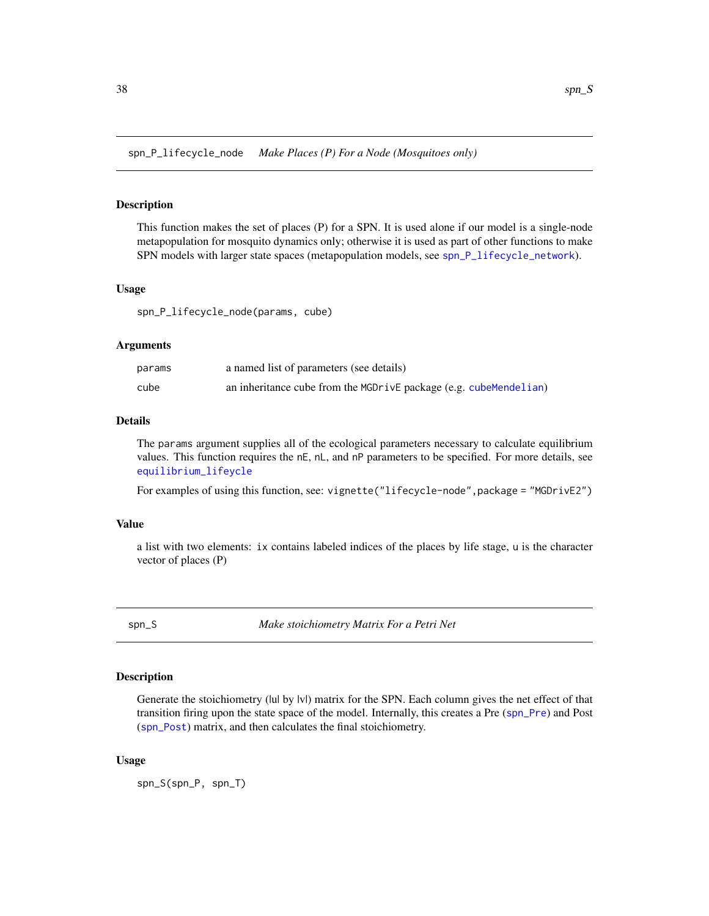<span id="page-37-1"></span><span id="page-37-0"></span>spn\_P\_lifecycle\_node *Make Places (P) For a Node (Mosquitoes only)*

## Description

This function makes the set of places (P) for a SPN. It is used alone if our model is a single-node metapopulation for mosquito dynamics only; otherwise it is used as part of other functions to make SPN models with larger state spaces (metapopulation models, see [spn\\_P\\_lifecycle\\_network](#page-36-1)).

#### Usage

spn\_P\_lifecycle\_node(params, cube)

#### Arguments

| params | a named list of parameters (see details)                          |
|--------|-------------------------------------------------------------------|
| cube   | an inheritance cube from the MGDrivE package (e.g. cubeMendelian) |

# Details

The params argument supplies all of the ecological parameters necessary to calculate equilibrium values. This function requires the nE, nL, and nP parameters to be specified. For more details, see [equilibrium\\_lifeycle](#page-12-1)

For examples of using this function, see: vignette("lifecycle-node",package = "MGDrivE2")

#### Value

a list with two elements: ix contains labeled indices of the places by life stage, u is the character vector of places (P)

<span id="page-37-2"></span>

spn\_S *Make stoichiometry Matrix For a Petri Net*

#### Description

Generate the stoichiometry (lul by |v|) matrix for the SPN. Each column gives the net effect of that transition firing upon the state space of the model. Internally, this creates a Pre ([spn\\_Pre](#page-32-1)) and Post ([spn\\_Post](#page-32-2)) matrix, and then calculates the final stoichiometry.

#### Usage

spn\_S(spn\_P, spn\_T)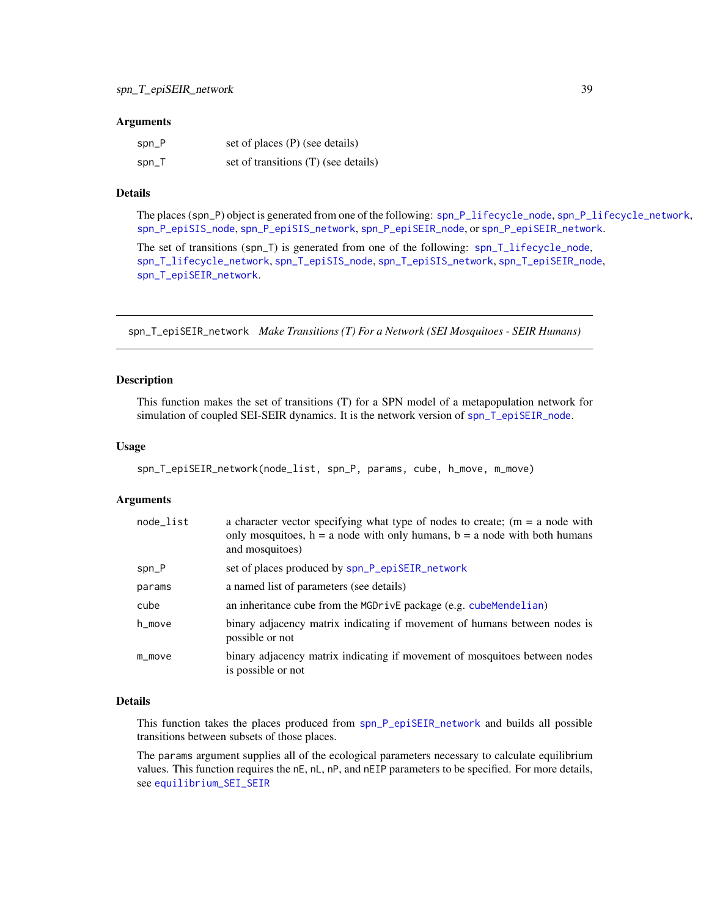#### <span id="page-38-0"></span>**Arguments**

| $spin_P$ | set of places (P) (see details)      |
|----------|--------------------------------------|
| $spin_T$ | set of transitions (T) (see details) |

# Details

The places (spn\_P) object is generated from one of the following: [spn\\_P\\_lifecycle\\_node](#page-37-1), [spn\\_P\\_lifecycle\\_network](#page-36-1), [spn\\_P\\_epiSIS\\_node](#page-35-1), [spn\\_P\\_epiSIS\\_network](#page-34-1), [spn\\_P\\_epiSEIR\\_node](#page-34-2), or [spn\\_P\\_epiSEIR\\_network](#page-33-1).

The set of transitions (spn\_T) is generated from one of the following: [spn\\_T\\_lifecycle\\_node](#page-43-1), [spn\\_T\\_lifecycle\\_network](#page-42-1), [spn\\_T\\_epiSIS\\_node](#page-41-1), [spn\\_T\\_epiSIS\\_network](#page-40-1), [spn\\_T\\_epiSEIR\\_node](#page-39-1), [spn\\_T\\_epiSEIR\\_network](#page-38-1).

<span id="page-38-1"></span>spn\_T\_epiSEIR\_network *Make Transitions (T) For a Network (SEI Mosquitoes - SEIR Humans)*

#### Description

This function makes the set of transitions (T) for a SPN model of a metapopulation network for simulation of coupled SEI-SEIR dynamics. It is the network version of [spn\\_T\\_epiSEIR\\_node](#page-39-1).

#### Usage

```
spn_T_epiSEIR_network(node_list, spn_P, params, cube, h_move, m_move)
```
#### Arguments

| node_list | a character vector specifying what type of nodes to create; $(m = a$ node with<br>only mosquitoes, $h = a$ node with only humans, $b = a$ node with both humans<br>and mosquitoes) |
|-----------|------------------------------------------------------------------------------------------------------------------------------------------------------------------------------------|
| $spn_P$   | set of places produced by spn_P_epiSEIR_network                                                                                                                                    |
| params    | a named list of parameters (see details)                                                                                                                                           |
| cube      | an inheritance cube from the MGDrivE package (e.g. cubeMendelian)                                                                                                                  |
| h_move    | binary adjacency matrix indicating if movement of humans between nodes is<br>possible or not                                                                                       |
| $m$ _move | binary adjacency matrix indicating if movement of mosquitoes between nodes<br>is possible or not                                                                                   |

#### Details

This function takes the places produced from [spn\\_P\\_epiSEIR\\_network](#page-33-1) and builds all possible transitions between subsets of those places.

The params argument supplies all of the ecological parameters necessary to calculate equilibrium values. This function requires the nE, nL, nP, and nEIP parameters to be specified. For more details, see [equilibrium\\_SEI\\_SEIR](#page-14-1)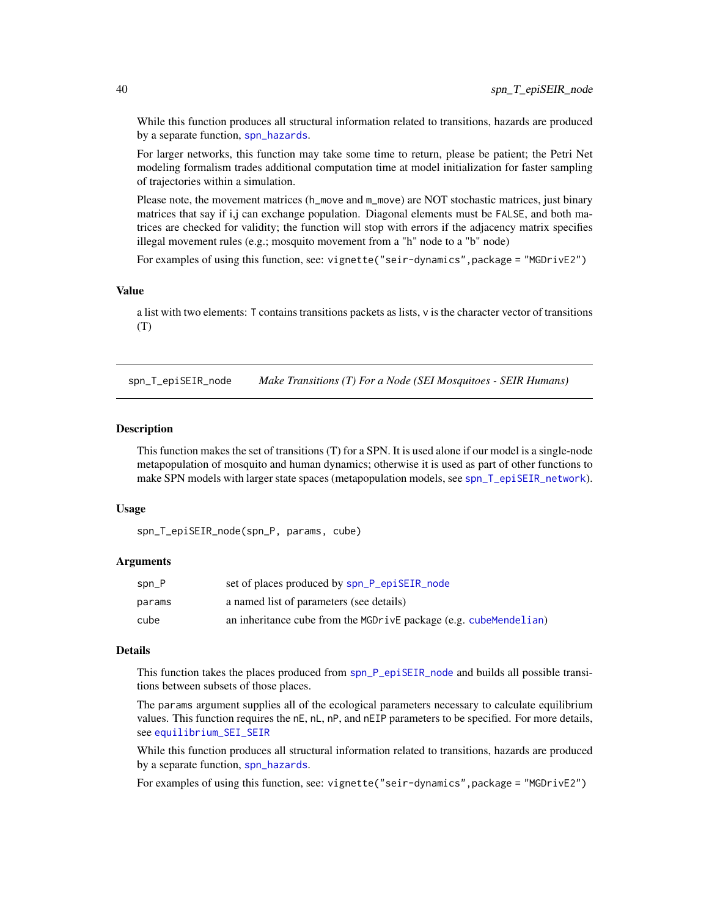While this function produces all structural information related to transitions, hazards are produced by a separate function, [spn\\_hazards](#page-30-1).

For larger networks, this function may take some time to return, please be patient; the Petri Net modeling formalism trades additional computation time at model initialization for faster sampling of trajectories within a simulation.

Please note, the movement matrices (h\_move and m\_move) are NOT stochastic matrices, just binary matrices that say if i,j can exchange population. Diagonal elements must be FALSE, and both matrices are checked for validity; the function will stop with errors if the adjacency matrix specifies illegal movement rules (e.g.; mosquito movement from a "h" node to a "b" node)

For examples of using this function, see: vignette("seir-dynamics", package = "MGDrivE2")

#### Value

a list with two elements: T contains transitions packets as lists, v is the character vector of transitions (T)

<span id="page-39-1"></span>spn\_T\_epiSEIR\_node *Make Transitions (T) For a Node (SEI Mosquitoes - SEIR Humans)*

#### **Description**

This function makes the set of transitions (T) for a SPN. It is used alone if our model is a single-node metapopulation of mosquito and human dynamics; otherwise it is used as part of other functions to make SPN models with larger state spaces (metapopulation models, see [spn\\_T\\_epiSEIR\\_network](#page-38-1)).

#### Usage

spn\_T\_epiSEIR\_node(spn\_P, params, cube)

#### Arguments

| $spn_P$ | set of places produced by spn_P_epiSEIR_node                      |
|---------|-------------------------------------------------------------------|
| params  | a named list of parameters (see details)                          |
| cube    | an inheritance cube from the MGDrivE package (e.g. cubeMendelian) |

#### Details

This function takes the places produced from [spn\\_P\\_epiSEIR\\_node](#page-34-2) and builds all possible transitions between subsets of those places.

The params argument supplies all of the ecological parameters necessary to calculate equilibrium values. This function requires the nE, nL, nP, and nEIP parameters to be specified. For more details, see [equilibrium\\_SEI\\_SEIR](#page-14-1)

While this function produces all structural information related to transitions, hazards are produced by a separate function, [spn\\_hazards](#page-30-1).

For examples of using this function, see: vignette("seir-dynamics",package = "MGDrivE2")

<span id="page-39-0"></span>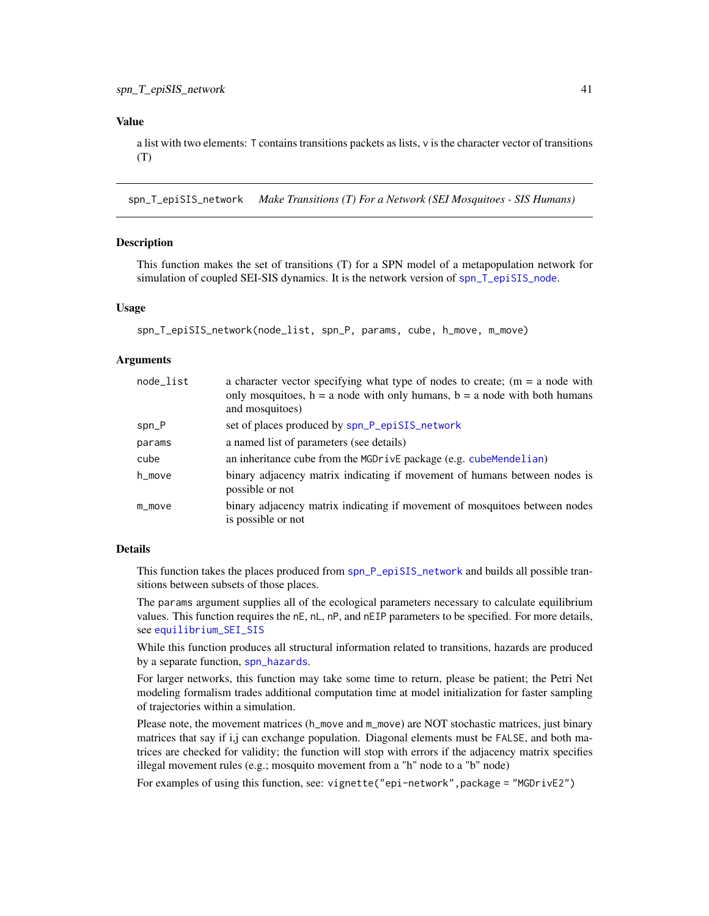# <span id="page-40-0"></span>Value

a list with two elements: T contains transitions packets as lists, v is the character vector of transitions (T)

<span id="page-40-1"></span>spn\_T\_epiSIS\_network *Make Transitions (T) For a Network (SEI Mosquitoes - SIS Humans)*

#### Description

This function makes the set of transitions (T) for a SPN model of a metapopulation network for simulation of coupled SEI-SIS dynamics. It is the network version of [spn\\_T\\_epiSIS\\_node](#page-41-1).

#### Usage

```
spn_T_epiSIS_network(node_list, spn_P, params, cube, h_move, m_move)
```
#### Arguments

| node_list | a character vector specifying what type of nodes to create; $(m = a$ node with<br>only mosquitoes, $h = a$ node with only humans, $b = a$ node with both humans<br>and mosquitoes) |
|-----------|------------------------------------------------------------------------------------------------------------------------------------------------------------------------------------|
| $spn_P$   | set of places produced by spn_P_epiSIS_network                                                                                                                                     |
| params    | a named list of parameters (see details)                                                                                                                                           |
| cube      | an inheritance cube from the MGDrivE package (e.g. cubeMendelian)                                                                                                                  |
| h_move    | binary adjacency matrix indicating if movement of humans between nodes is<br>possible or not                                                                                       |
| $m$ _move | binary adjacency matrix indicating if movement of mosquitoes between nodes<br>is possible or not                                                                                   |

#### Details

This function takes the places produced from [spn\\_P\\_epiSIS\\_network](#page-34-1) and builds all possible transitions between subsets of those places.

The params argument supplies all of the ecological parameters necessary to calculate equilibrium values. This function requires the nE, nL, nP, and nEIP parameters to be specified. For more details, see [equilibrium\\_SEI\\_SIS](#page-16-1)

While this function produces all structural information related to transitions, hazards are produced by a separate function, [spn\\_hazards](#page-30-1).

For larger networks, this function may take some time to return, please be patient; the Petri Net modeling formalism trades additional computation time at model initialization for faster sampling of trajectories within a simulation.

Please note, the movement matrices (h\_move and m\_move) are NOT stochastic matrices, just binary matrices that say if i,j can exchange population. Diagonal elements must be FALSE, and both matrices are checked for validity; the function will stop with errors if the adjacency matrix specifies illegal movement rules (e.g.; mosquito movement from a "h" node to a "b" node)

For examples of using this function, see: vignette("epi-network", package = "MGDrivE2")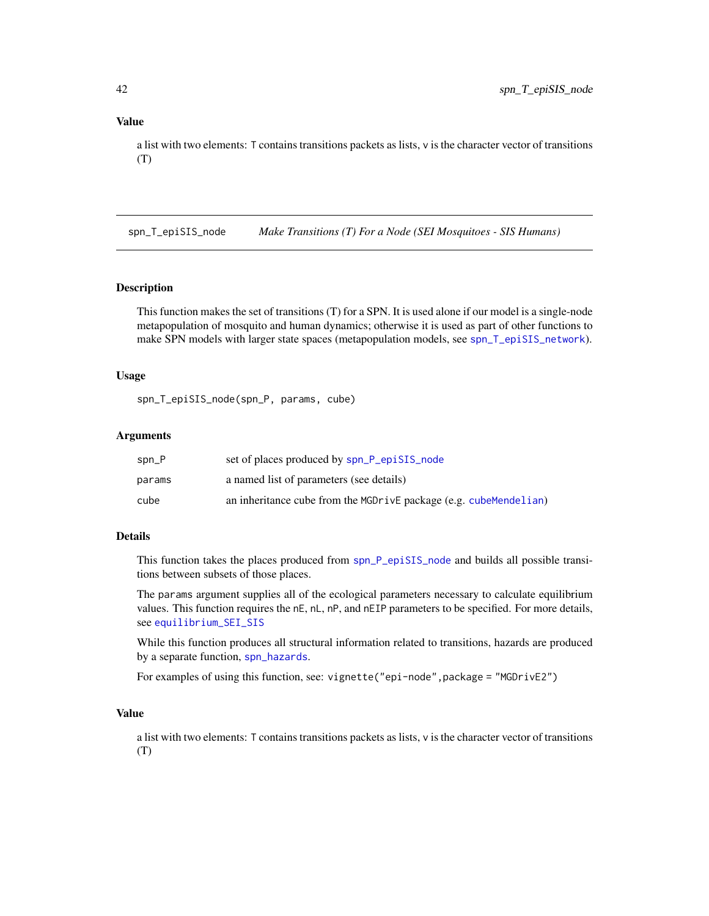<span id="page-41-0"></span>a list with two elements: T contains transitions packets as lists, v is the character vector of transitions (T)

<span id="page-41-1"></span>spn\_T\_epiSIS\_node *Make Transitions (T) For a Node (SEI Mosquitoes - SIS Humans)*

# **Description**

This function makes the set of transitions (T) for a SPN. It is used alone if our model is a single-node metapopulation of mosquito and human dynamics; otherwise it is used as part of other functions to make SPN models with larger state spaces (metapopulation models, see [spn\\_T\\_epiSIS\\_network](#page-40-1)).

#### Usage

spn\_T\_epiSIS\_node(spn\_P, params, cube)

## Arguments

| spn_P  | set of places produced by spn_P_epiSIS_node                       |
|--------|-------------------------------------------------------------------|
| params | a named list of parameters (see details)                          |
| cube   | an inheritance cube from the MGDrivE package (e.g. cubeMendelian) |

# Details

This function takes the places produced from [spn\\_P\\_epiSIS\\_node](#page-35-1) and builds all possible transitions between subsets of those places.

The params argument supplies all of the ecological parameters necessary to calculate equilibrium values. This function requires the nE, nL, nP, and nEIP parameters to be specified. For more details, see [equilibrium\\_SEI\\_SIS](#page-16-1)

While this function produces all structural information related to transitions, hazards are produced by a separate function, [spn\\_hazards](#page-30-1).

For examples of using this function, see: vignette("epi-node",package = "MGDrivE2")

#### Value

a list with two elements: T contains transitions packets as lists, v is the character vector of transitions (T)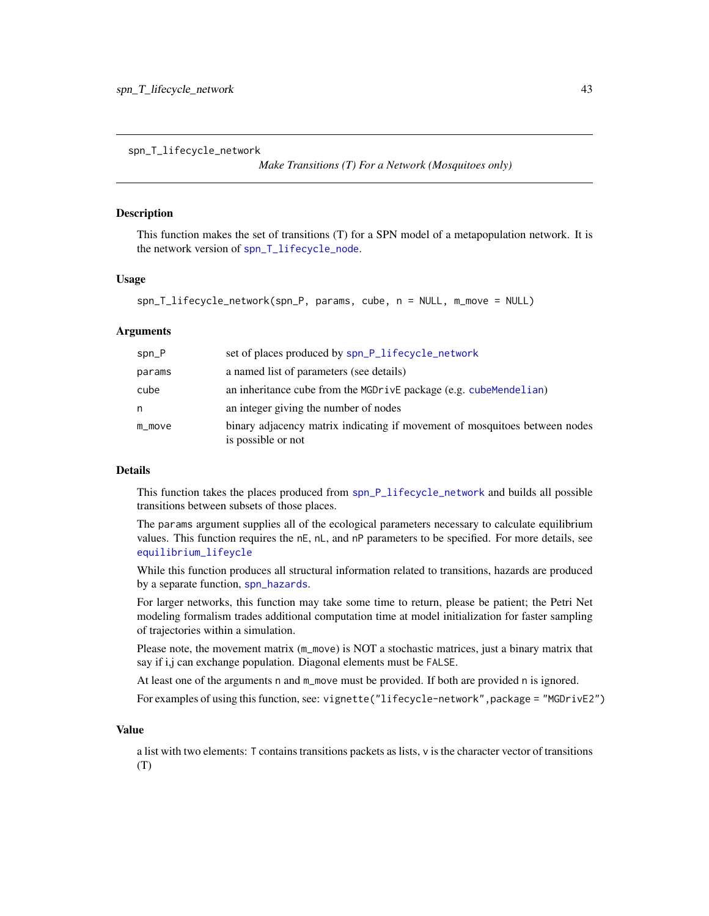<span id="page-42-1"></span><span id="page-42-0"></span>spn\_T\_lifecycle\_network

```
Make Transitions (T) For a Network (Mosquitoes only)
```
#### **Description**

This function makes the set of transitions (T) for a SPN model of a metapopulation network. It is the network version of [spn\\_T\\_lifecycle\\_node](#page-43-1).

### Usage

```
spn_T_lifecycle_network(spn_P, params, cube, n = NULL, m_move = NULL)
```
#### **Arguments**

| $spn_P$   | set of places produced by spn_P_lifecycle_network                                                |
|-----------|--------------------------------------------------------------------------------------------------|
| params    | a named list of parameters (see details)                                                         |
| cube      | an inheritance cube from the MGDrivE package (e.g. cubeMendelian)                                |
| n         | an integer giving the number of nodes                                                            |
| $m$ _move | binary adjacency matrix indicating if movement of mosquitoes between nodes<br>is possible or not |

# Details

This function takes the places produced from [spn\\_P\\_lifecycle\\_network](#page-36-1) and builds all possible transitions between subsets of those places.

The params argument supplies all of the ecological parameters necessary to calculate equilibrium values. This function requires the nE, nL, and nP parameters to be specified. For more details, see [equilibrium\\_lifeycle](#page-12-1)

While this function produces all structural information related to transitions, hazards are produced by a separate function, [spn\\_hazards](#page-30-1).

For larger networks, this function may take some time to return, please be patient; the Petri Net modeling formalism trades additional computation time at model initialization for faster sampling of trajectories within a simulation.

Please note, the movement matrix (m\_move) is NOT a stochastic matrices, just a binary matrix that say if i,j can exchange population. Diagonal elements must be FALSE.

At least one of the arguments n and m\_move must be provided. If both are provided n is ignored.

For examples of using this function, see: vignette("lifecycle-network", package = "MGDrivE2")

#### Value

a list with two elements: T contains transitions packets as lists, v is the character vector of transitions (T)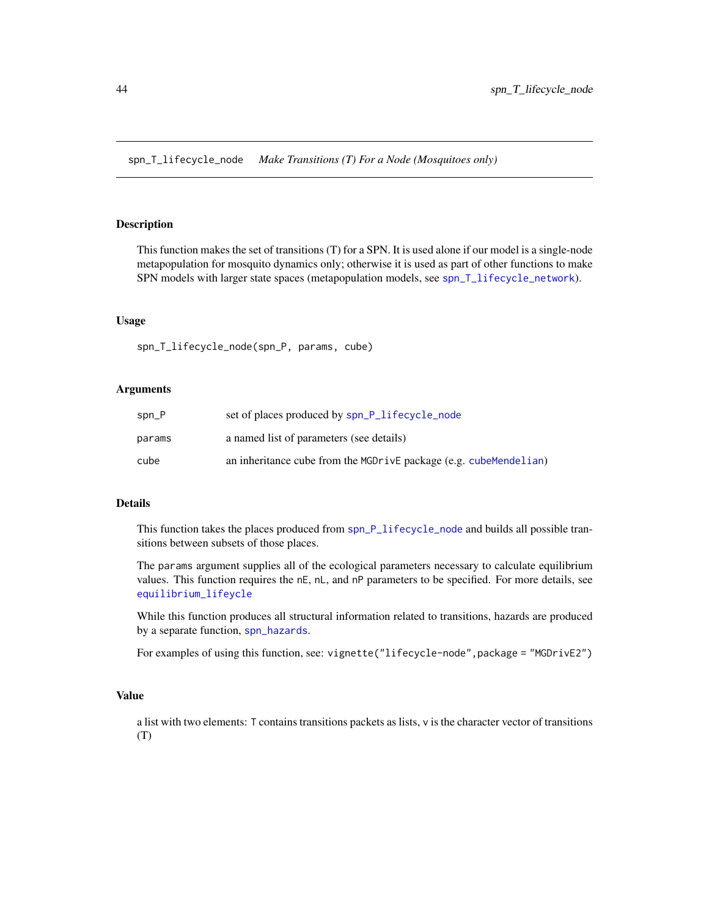<span id="page-43-1"></span><span id="page-43-0"></span>spn\_T\_lifecycle\_node *Make Transitions (T) For a Node (Mosquitoes only)*

# Description

This function makes the set of transitions (T) for a SPN. It is used alone if our model is a single-node metapopulation for mosquito dynamics only; otherwise it is used as part of other functions to make SPN models with larger state spaces (metapopulation models, see [spn\\_T\\_lifecycle\\_network](#page-42-1)).

#### Usage

spn\_T\_lifecycle\_node(spn\_P, params, cube)

#### Arguments

| $spn_P$ | set of places produced by spn_P_lifecycle_node                    |
|---------|-------------------------------------------------------------------|
| params  | a named list of parameters (see details)                          |
| cube    | an inheritance cube from the MGDrivE package (e.g. cubeMendelian) |

#### Details

This function takes the places produced from [spn\\_P\\_lifecycle\\_node](#page-37-1) and builds all possible transitions between subsets of those places.

The params argument supplies all of the ecological parameters necessary to calculate equilibrium values. This function requires the nE, nL, and nP parameters to be specified. For more details, see [equilibrium\\_lifeycle](#page-12-1)

While this function produces all structural information related to transitions, hazards are produced by a separate function, [spn\\_hazards](#page-30-1).

For examples of using this function, see: vignette("lifecycle-node", package = "MGDrivE2")

#### Value

a list with two elements: T contains transitions packets as lists, v is the character vector of transitions (T)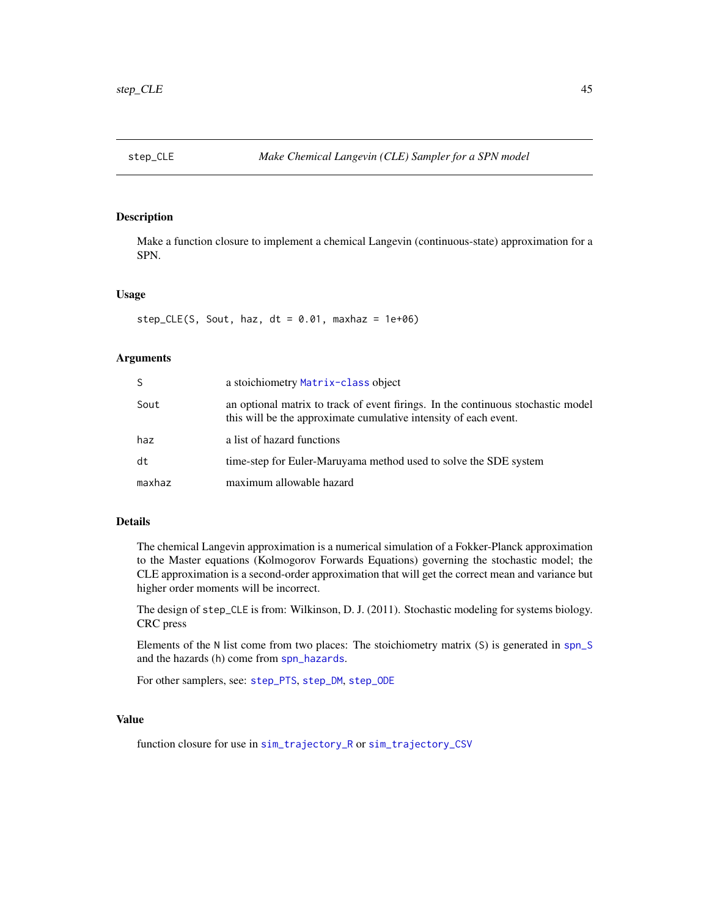<span id="page-44-1"></span><span id="page-44-0"></span>

# Description

Make a function closure to implement a chemical Langevin (continuous-state) approximation for a SPN.

#### Usage

step\_CLE(S, Sout, haz,  $dt = 0.01$ , maxhaz = 1e+06)

# Arguments

| S      | a stoichiometry Matrix-class object                                                                                                                  |  |
|--------|------------------------------------------------------------------------------------------------------------------------------------------------------|--|
| Sout   | an optional matrix to track of event firings. In the continuous stochastic model<br>this will be the approximate cumulative intensity of each event. |  |
| haz    | a list of hazard functions                                                                                                                           |  |
| dt     | time-step for Euler-Maruyama method used to solve the SDE system                                                                                     |  |
| maxhaz | maximum allowable hazard                                                                                                                             |  |

# Details

The chemical Langevin approximation is a numerical simulation of a Fokker-Planck approximation to the Master equations (Kolmogorov Forwards Equations) governing the stochastic model; the CLE approximation is a second-order approximation that will get the correct mean and variance but higher order moments will be incorrect.

The design of step\_CLE is from: Wilkinson, D. J. (2011). Stochastic modeling for systems biology. CRC press

Elements of the N list come from two places: The stoichiometry matrix (S) is generated in [spn\\_S](#page-37-2) and the hazards (h) come from [spn\\_hazards](#page-30-1).

For other samplers, see: [step\\_PTS](#page-46-1), [step\\_DM](#page-45-1), [step\\_ODE](#page-45-2)

# Value

function closure for use in [sim\\_trajectory\\_R](#page-25-1) or [sim\\_trajectory\\_CSV](#page-24-1)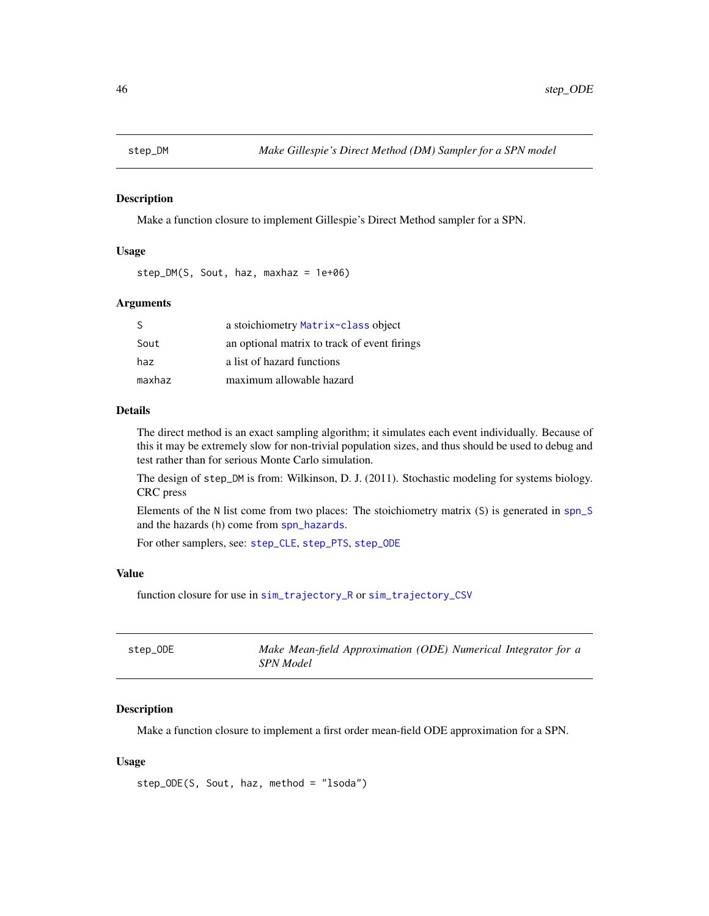<span id="page-45-1"></span><span id="page-45-0"></span>

#### Description

Make a function closure to implement Gillespie's Direct Method sampler for a SPN.

#### Usage

step\_DM(S, Sout, haz, maxhaz = 1e+06)

#### Arguments

| S      | a stoichiometry Matrix-class object          |
|--------|----------------------------------------------|
| Sout   | an optional matrix to track of event firings |
| haz    | a list of hazard functions                   |
| maxhaz | maximum allowable hazard                     |

# Details

The direct method is an exact sampling algorithm; it simulates each event individually. Because of this it may be extremely slow for non-trivial population sizes, and thus should be used to debug and test rather than for serious Monte Carlo simulation.

The design of step\_DM is from: Wilkinson, D. J. (2011). Stochastic modeling for systems biology. CRC press

Elements of the N list come from two places: The stoichiometry matrix (S) is generated in [spn\\_S](#page-37-2) and the hazards (h) come from [spn\\_hazards](#page-30-1).

For other samplers, see: [step\\_CLE](#page-44-1), [step\\_PTS](#page-46-1), [step\\_ODE](#page-45-2)

# Value

function closure for use in [sim\\_trajectory\\_R](#page-25-1) or [sim\\_trajectory\\_CSV](#page-24-1)

<span id="page-45-2"></span>

| step_ODE | Make Mean-field Approximation (ODE) Numerical Integrator for a |
|----------|----------------------------------------------------------------|
|          | <i>SPN Model</i>                                               |

# Description

Make a function closure to implement a first order mean-field ODE approximation for a SPN.

#### Usage

step\_ODE(S, Sout, haz, method = "lsoda")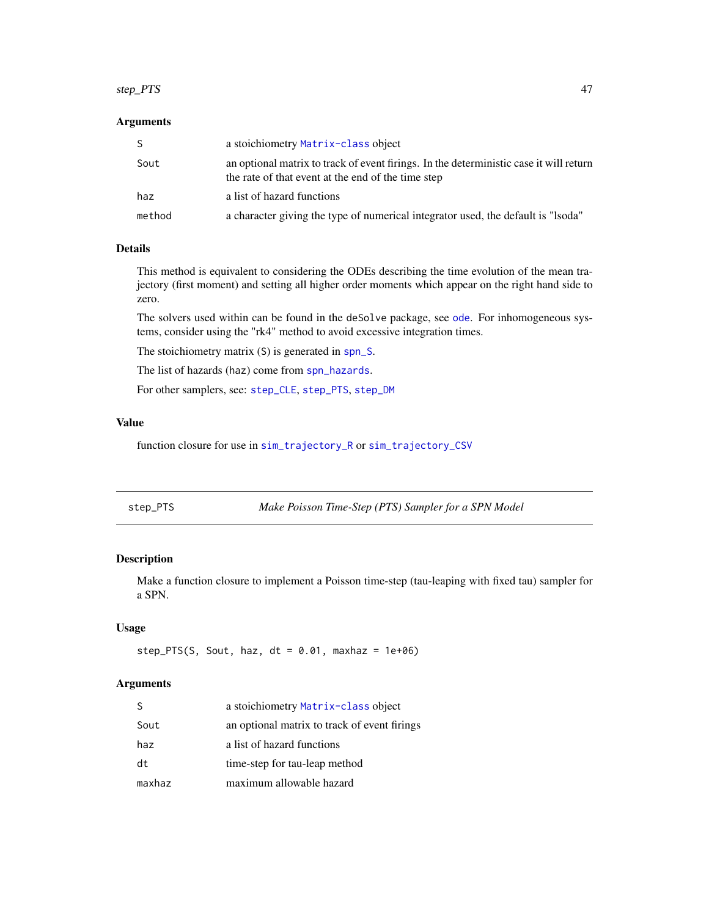#### <span id="page-46-0"></span>step\_PTS 47

# Arguments

| S.     | a stoichiometry Matrix-class object                                                                                                          |
|--------|----------------------------------------------------------------------------------------------------------------------------------------------|
| Sout   | an optional matrix to track of event firings. In the deterministic case it will return<br>the rate of that event at the end of the time step |
| haz    | a list of hazard functions                                                                                                                   |
| method | a character giving the type of numerical integrator used, the default is "lsoda"                                                             |

# Details

This method is equivalent to considering the ODEs describing the time evolution of the mean trajectory (first moment) and setting all higher order moments which appear on the right hand side to zero.

The solvers used within can be found in the deSolve package, see [ode](#page-0-0). For inhomogeneous systems, consider using the "rk4" method to avoid excessive integration times.

The stoichiometry matrix (S) is generated in [spn\\_S](#page-37-2).

The list of hazards (haz) come from [spn\\_hazards](#page-30-1).

For other samplers, see: [step\\_CLE](#page-44-1), [step\\_PTS](#page-46-1), [step\\_DM](#page-45-1)

# Value

function closure for use in [sim\\_trajectory\\_R](#page-25-1) or [sim\\_trajectory\\_CSV](#page-24-1)

<span id="page-46-1"></span>

| step_PTS | Make Poisson Time-Step (PTS) Sampler for a SPN Model |
|----------|------------------------------------------------------|
|----------|------------------------------------------------------|

# Description

Make a function closure to implement a Poisson time-step (tau-leaping with fixed tau) sampler for a SPN.

#### Usage

```
step_PTS(S, Sout, haz, dt = 0.01, maxhaz = 1e+06)
```

| S.     | a stoichiometry Matrix-class object          |
|--------|----------------------------------------------|
| Sout   | an optional matrix to track of event firings |
| haz    | a list of hazard functions                   |
| dt     | time-step for tau-leap method                |
| maxhaz | maximum allowable hazard                     |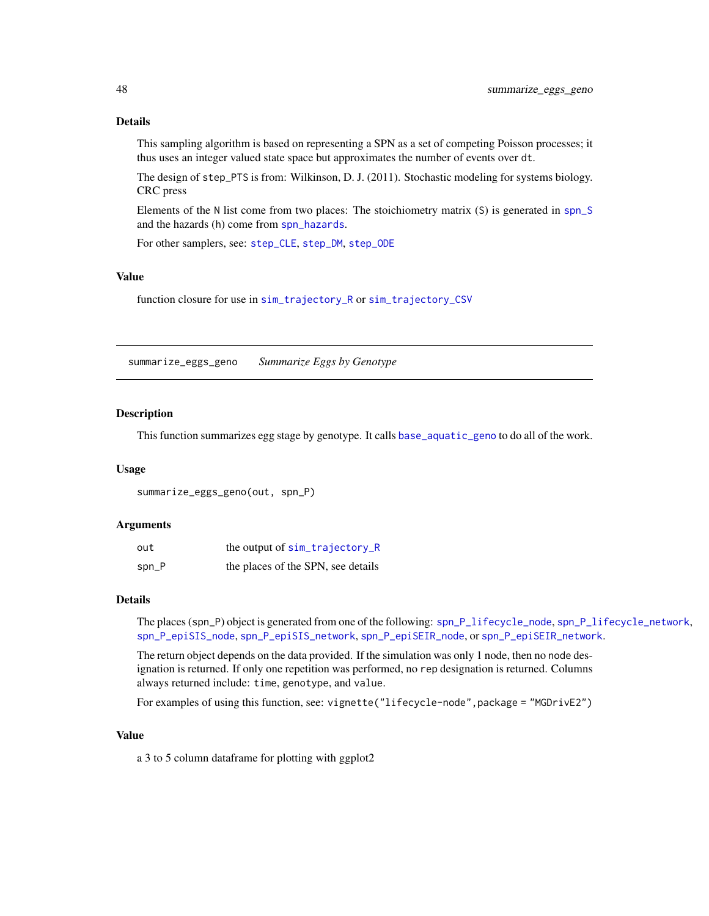# Details

This sampling algorithm is based on representing a SPN as a set of competing Poisson processes; it thus uses an integer valued state space but approximates the number of events over dt.

The design of step\_PTS is from: Wilkinson, D. J. (2011). Stochastic modeling for systems biology. CRC press

Elements of the N list come from two places: The stoichiometry matrix (S) is generated in [spn\\_S](#page-37-2) and the hazards (h) come from [spn\\_hazards](#page-30-1).

For other samplers, see: [step\\_CLE](#page-44-1), [step\\_DM](#page-45-1), [step\\_ODE](#page-45-2)

# Value

function closure for use in [sim\\_trajectory\\_R](#page-25-1) or [sim\\_trajectory\\_CSV](#page-24-1)

<span id="page-47-1"></span>summarize\_eggs\_geno *Summarize Eggs by Genotype*

#### Description

This function summarizes egg stage by genotype. It calls [base\\_aquatic\\_geno](#page-2-1) to do all of the work.

#### Usage

```
summarize_eggs_geno(out, spn_P)
```
#### Arguments

| out      | the output of sim_trajectory_R     |
|----------|------------------------------------|
| $spin_P$ | the places of the SPN, see details |

#### Details

The places (spn\_P) object is generated from one of the following: [spn\\_P\\_lifecycle\\_node](#page-37-1), [spn\\_P\\_lifecycle\\_network](#page-36-1), [spn\\_P\\_epiSIS\\_node](#page-35-1), [spn\\_P\\_epiSIS\\_network](#page-34-1), [spn\\_P\\_epiSEIR\\_node](#page-34-2), or [spn\\_P\\_epiSEIR\\_network](#page-33-1).

The return object depends on the data provided. If the simulation was only 1 node, then no node designation is returned. If only one repetition was performed, no rep designation is returned. Columns always returned include: time, genotype, and value.

For examples of using this function, see: vignette("lifecycle-node", package = "MGDrivE2")

#### Value

a 3 to 5 column dataframe for plotting with ggplot2

<span id="page-47-0"></span>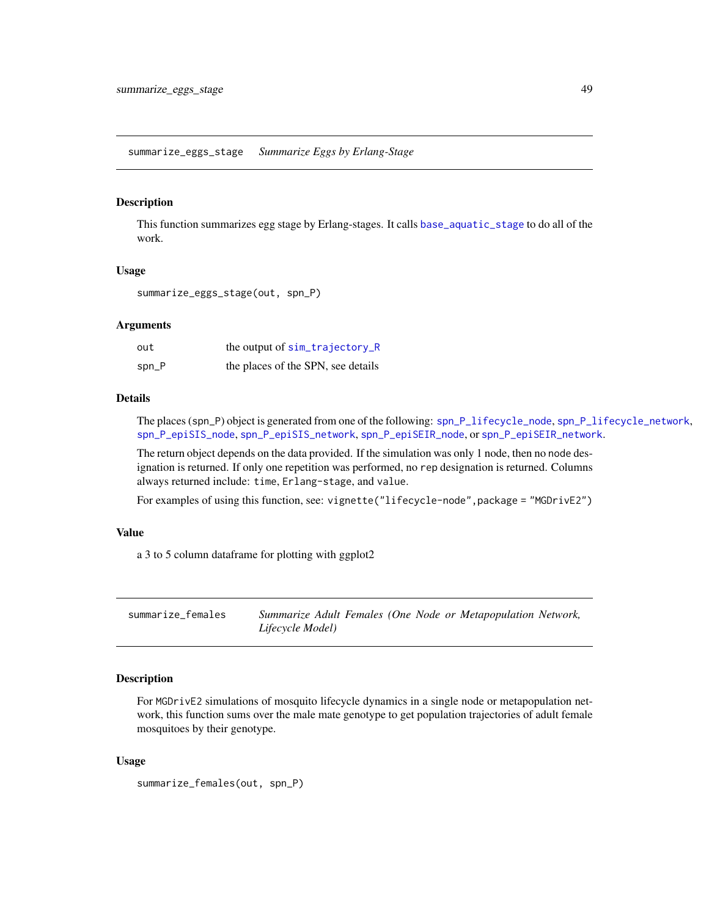<span id="page-48-1"></span><span id="page-48-0"></span>summarize\_eggs\_stage *Summarize Eggs by Erlang-Stage*

# Description

This function summarizes egg stage by Erlang-stages. It calls [base\\_aquatic\\_stage](#page-3-1) to do all of the work.

#### Usage

summarize\_eggs\_stage(out, spn\_P)

#### Arguments

| out      | the output of sim_trajectory_R     |
|----------|------------------------------------|
| $spin_P$ | the places of the SPN, see details |

# Details

The places (spn\_P) object is generated from one of the following: [spn\\_P\\_lifecycle\\_node](#page-37-1), [spn\\_P\\_lifecycle\\_network](#page-36-1), [spn\\_P\\_epiSIS\\_node](#page-35-1), [spn\\_P\\_epiSIS\\_network](#page-34-1), [spn\\_P\\_epiSEIR\\_node](#page-34-2), or [spn\\_P\\_epiSEIR\\_network](#page-33-1).

The return object depends on the data provided. If the simulation was only 1 node, then no node designation is returned. If only one repetition was performed, no rep designation is returned. Columns always returned include: time, Erlang-stage, and value.

For examples of using this function, see: vignette("lifecycle-node", package = "MGDrivE2")

#### Value

a 3 to 5 column dataframe for plotting with ggplot2

summarize\_females *Summarize Adult Females (One Node or Metapopulation Network, Lifecycle Model)*

# Description

For MGDrivE2 simulations of mosquito lifecycle dynamics in a single node or metapopulation network, this function sums over the male mate genotype to get population trajectories of adult female mosquitoes by their genotype.

#### Usage

```
summarize_females(out, spn_P)
```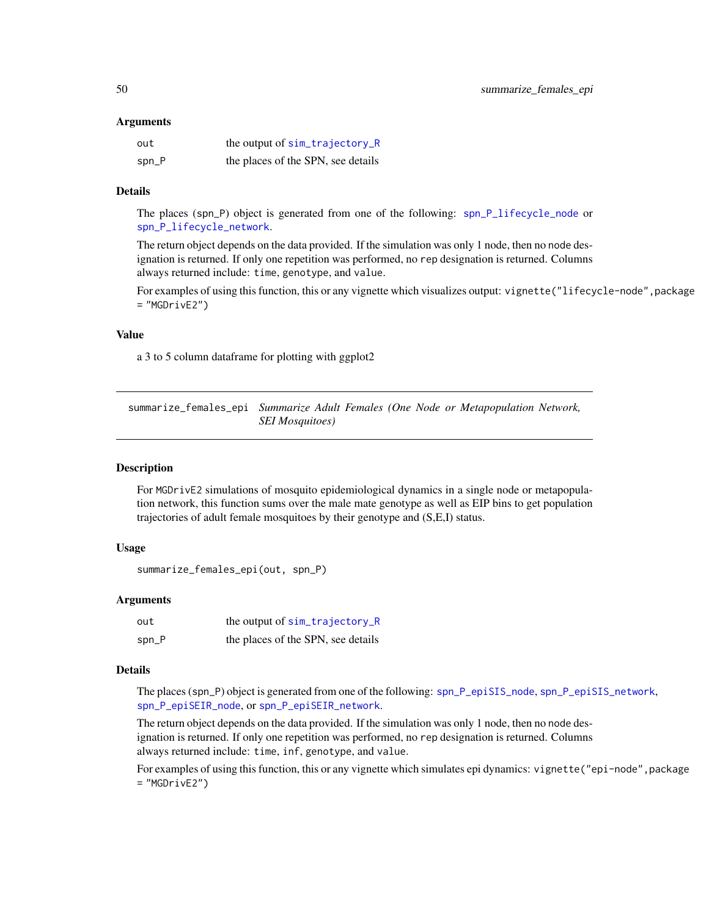#### <span id="page-49-0"></span>Arguments

| out     | the output of sim_trajectory_R     |
|---------|------------------------------------|
| $spn_P$ | the places of the SPN, see details |

# Details

The places (spn\_P) object is generated from one of the following: [spn\\_P\\_lifecycle\\_node](#page-37-1) or [spn\\_P\\_lifecycle\\_network](#page-36-1).

The return object depends on the data provided. If the simulation was only 1 node, then no node designation is returned. If only one repetition was performed, no rep designation is returned. Columns always returned include: time, genotype, and value.

For examples of using this function, this or any vignette which visualizes output: vignette("lifecycle-node", package = "MGDrivE2")

#### Value

a 3 to 5 column dataframe for plotting with ggplot2

summarize\_females\_epi *Summarize Adult Females (One Node or Metapopulation Network, SEI Mosquitoes)*

#### Description

For MGDrivE2 simulations of mosquito epidemiological dynamics in a single node or metapopulation network, this function sums over the male mate genotype as well as EIP bins to get population trajectories of adult female mosquitoes by their genotype and (S,E,I) status.

# Usage

```
summarize_females_epi(out, spn_P)
```
### Arguments

| out   | the output of sim_trajectory_R     |
|-------|------------------------------------|
| spn_P | the places of the SPN, see details |

# Details

The places (spn\_P) object is generated from one of the following: [spn\\_P\\_epiSIS\\_node](#page-35-1), [spn\\_P\\_epiSIS\\_network](#page-34-1), [spn\\_P\\_epiSEIR\\_node](#page-34-2), or [spn\\_P\\_epiSEIR\\_network](#page-33-1).

The return object depends on the data provided. If the simulation was only 1 node, then no node designation is returned. If only one repetition was performed, no rep designation is returned. Columns always returned include: time, inf, genotype, and value.

For examples of using this function, this or any vignette which simulates epi dynamics: vignette("epi-node",package  $=$  "MGDrivE2")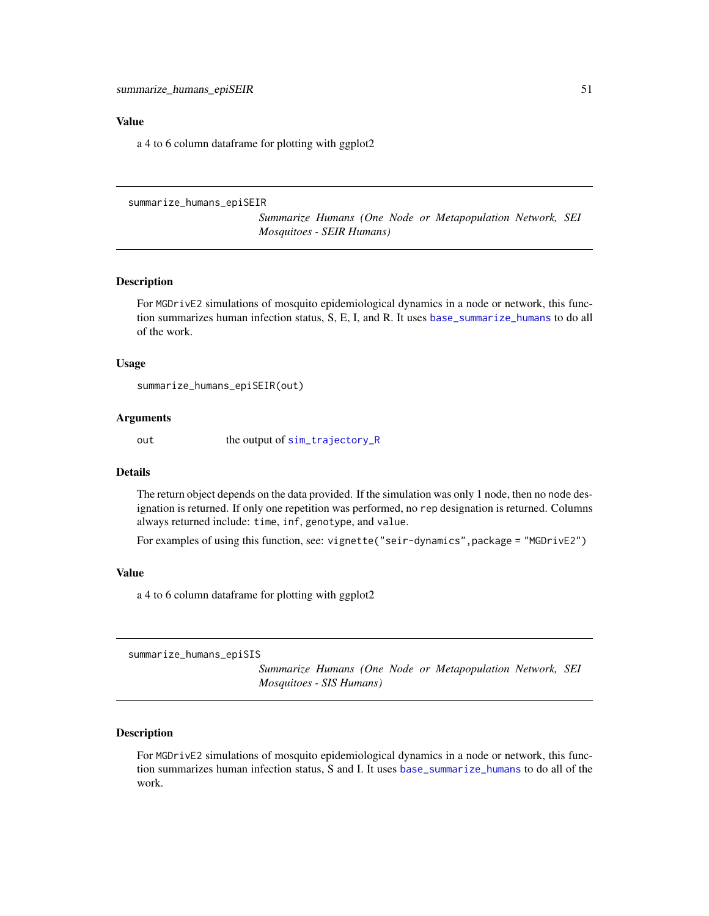#### <span id="page-50-0"></span>Value

a 4 to 6 column dataframe for plotting with ggplot2

```
summarize_humans_epiSEIR
```
*Summarize Humans (One Node or Metapopulation Network, SEI Mosquitoes - SEIR Humans)*

# Description

For MGDrivE2 simulations of mosquito epidemiological dynamics in a node or network, this function summarizes human infection status, S, E, I, and R. It uses [base\\_summarize\\_humans](#page-8-1) to do all of the work.

#### Usage

summarize\_humans\_epiSEIR(out)

#### Arguments

out the output of [sim\\_trajectory\\_R](#page-25-1)

## Details

The return object depends on the data provided. If the simulation was only 1 node, then no node designation is returned. If only one repetition was performed, no rep designation is returned. Columns always returned include: time, inf, genotype, and value.

For examples of using this function, see: vignette("seir-dynamics",package = "MGDrivE2")

## Value

a 4 to 6 column dataframe for plotting with ggplot2

<span id="page-50-1"></span>summarize\_humans\_epiSIS

*Summarize Humans (One Node or Metapopulation Network, SEI Mosquitoes - SIS Humans)*

# Description

For MGDrivE2 simulations of mosquito epidemiological dynamics in a node or network, this function summarizes human infection status, S and I. It uses [base\\_summarize\\_humans](#page-8-1) to do all of the work.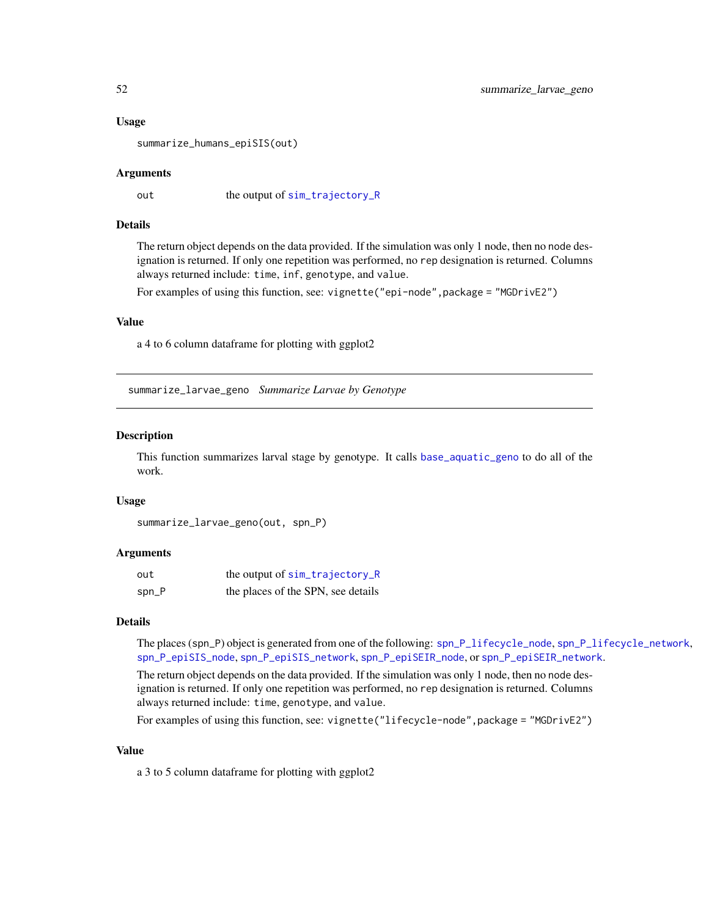#### Usage

summarize\_humans\_epiSIS(out)

#### Arguments

out the output of [sim\\_trajectory\\_R](#page-25-1)

#### Details

The return object depends on the data provided. If the simulation was only 1 node, then no node designation is returned. If only one repetition was performed, no rep designation is returned. Columns always returned include: time, inf, genotype, and value.

For examples of using this function, see: vignette("epi-node",package = "MGDrivE2")

#### Value

a 4 to 6 column dataframe for plotting with ggplot2

<span id="page-51-1"></span>summarize\_larvae\_geno *Summarize Larvae by Genotype*

#### Description

This function summarizes larval stage by genotype. It calls [base\\_aquatic\\_geno](#page-2-1) to do all of the work.

#### Usage

```
summarize_larvae_geno(out, spn_P)
```
#### Arguments

| out   | the output of sim_trajectory_R     |
|-------|------------------------------------|
| spn_P | the places of the SPN, see details |

#### Details

The places (spn\_P) object is generated from one of the following: [spn\\_P\\_lifecycle\\_node](#page-37-1), [spn\\_P\\_lifecycle\\_network](#page-36-1), [spn\\_P\\_epiSIS\\_node](#page-35-1), [spn\\_P\\_epiSIS\\_network](#page-34-1), [spn\\_P\\_epiSEIR\\_node](#page-34-2), or [spn\\_P\\_epiSEIR\\_network](#page-33-1).

The return object depends on the data provided. If the simulation was only 1 node, then no node designation is returned. If only one repetition was performed, no rep designation is returned. Columns always returned include: time, genotype, and value.

For examples of using this function, see: vignette("lifecycle-node",package = "MGDrivE2")

#### Value

a 3 to 5 column dataframe for plotting with ggplot2

<span id="page-51-0"></span>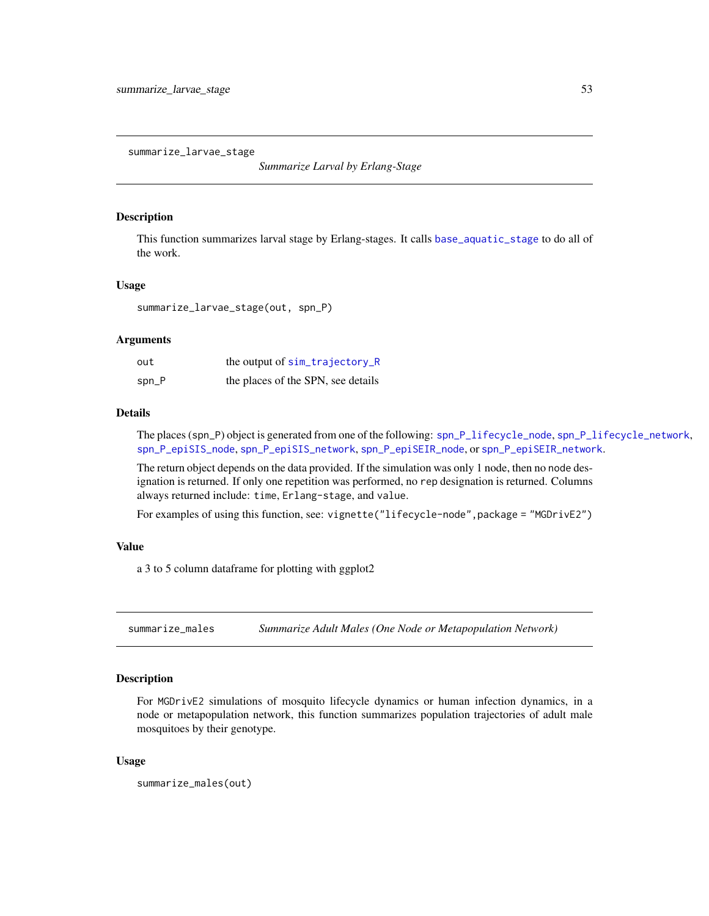<span id="page-52-1"></span><span id="page-52-0"></span>summarize\_larvae\_stage

*Summarize Larval by Erlang-Stage*

#### **Description**

This function summarizes larval stage by Erlang-stages. It calls [base\\_aquatic\\_stage](#page-3-1) to do all of the work.

# Usage

summarize\_larvae\_stage(out, spn\_P)

#### Arguments

| out     | the output of sim_trajectory_R     |
|---------|------------------------------------|
| $spn_P$ | the places of the SPN, see details |

# Details

The places (spn\_P) object is generated from one of the following: [spn\\_P\\_lifecycle\\_node](#page-37-1), [spn\\_P\\_lifecycle\\_network](#page-36-1), [spn\\_P\\_epiSIS\\_node](#page-35-1), [spn\\_P\\_epiSIS\\_network](#page-34-1), [spn\\_P\\_epiSEIR\\_node](#page-34-2), or [spn\\_P\\_epiSEIR\\_network](#page-33-1).

The return object depends on the data provided. If the simulation was only 1 node, then no node designation is returned. If only one repetition was performed, no rep designation is returned. Columns always returned include: time, Erlang-stage, and value.

For examples of using this function, see: vignette("lifecycle-node", package = "MGDrivE2")

# Value

a 3 to 5 column dataframe for plotting with ggplot2

summarize\_males *Summarize Adult Males (One Node or Metapopulation Network)*

#### Description

For MGDrivE2 simulations of mosquito lifecycle dynamics or human infection dynamics, in a node or metapopulation network, this function summarizes population trajectories of adult male mosquitoes by their genotype.

#### Usage

summarize\_males(out)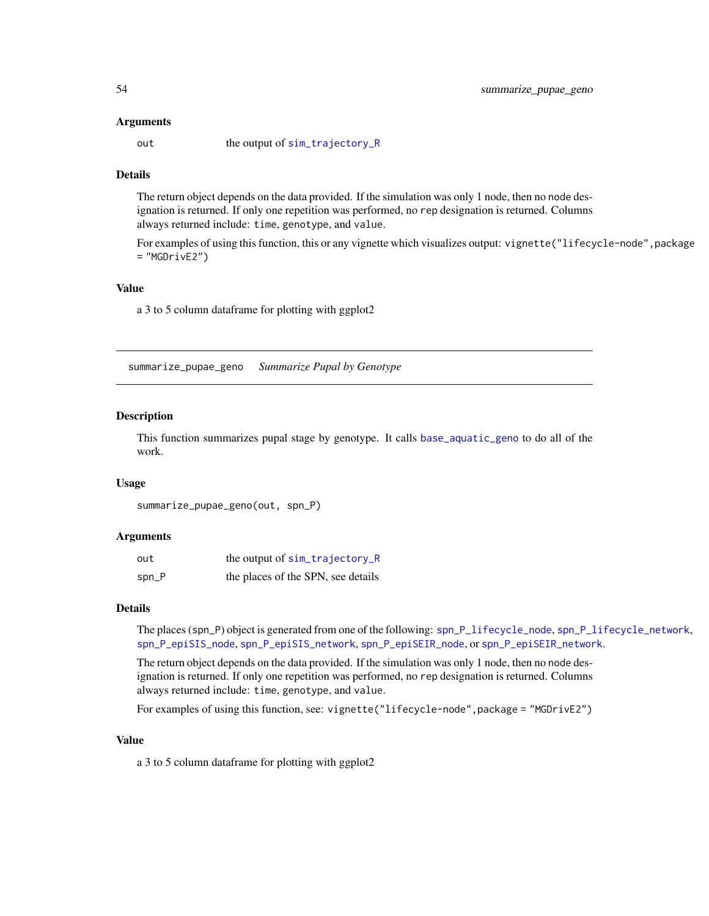#### <span id="page-53-0"></span>Arguments

out the output of [sim\\_trajectory\\_R](#page-25-1)

# **Details**

The return object depends on the data provided. If the simulation was only 1 node, then no node designation is returned. If only one repetition was performed, no rep designation is returned. Columns always returned include: time, genotype, and value.

For examples of using this function, this or any vignette which visualizes output: vignette("lifecycle-node", package  $=$  "MGDrivE2")

#### Value

a 3 to 5 column dataframe for plotting with ggplot2

<span id="page-53-1"></span>summarize\_pupae\_geno *Summarize Pupal by Genotype*

#### Description

This function summarizes pupal stage by genotype. It calls [base\\_aquatic\\_geno](#page-2-1) to do all of the work.

#### Usage

```
summarize_pupae_geno(out, spn_P)
```
#### Arguments

| out   | the output of sim_trajectory_R     |
|-------|------------------------------------|
| spn_P | the places of the SPN, see details |

#### Details

The places (spn\_P) object is generated from one of the following: [spn\\_P\\_lifecycle\\_node](#page-37-1), [spn\\_P\\_lifecycle\\_network](#page-36-1), [spn\\_P\\_epiSIS\\_node](#page-35-1), [spn\\_P\\_epiSIS\\_network](#page-34-1), [spn\\_P\\_epiSEIR\\_node](#page-34-2), or [spn\\_P\\_epiSEIR\\_network](#page-33-1).

The return object depends on the data provided. If the simulation was only 1 node, then no node designation is returned. If only one repetition was performed, no rep designation is returned. Columns always returned include: time, genotype, and value.

For examples of using this function, see: vignette("lifecycle-node",package = "MGDrivE2")

#### Value

a 3 to 5 column dataframe for plotting with ggplot2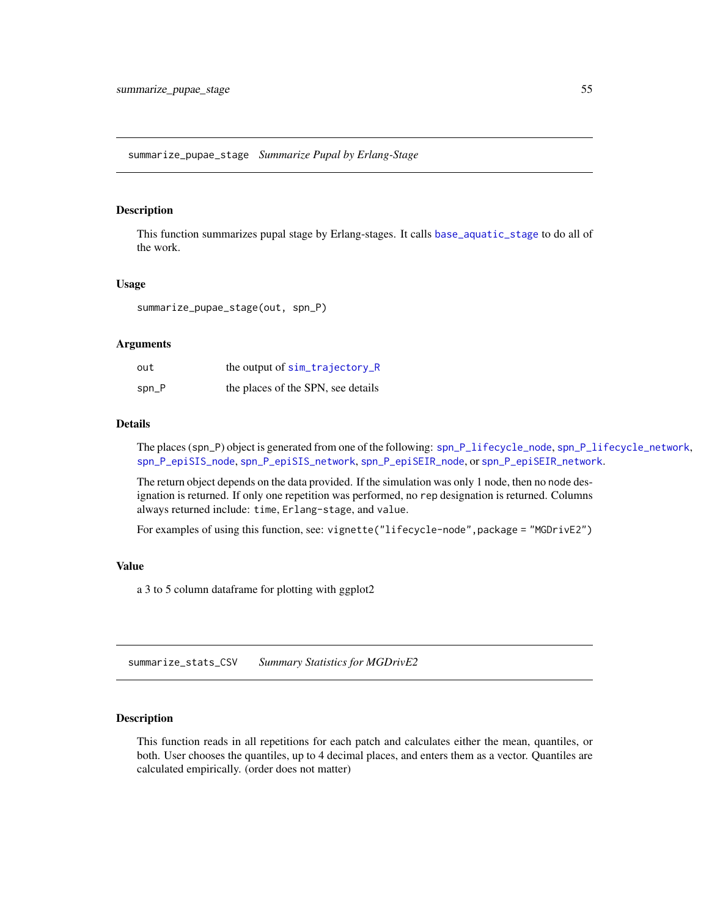# <span id="page-54-1"></span><span id="page-54-0"></span>Description

This function summarizes pupal stage by Erlang-stages. It calls [base\\_aquatic\\_stage](#page-3-1) to do all of the work.

#### Usage

summarize\_pupae\_stage(out, spn\_P)

#### Arguments

| out     | the output of sim_trajectory_R     |
|---------|------------------------------------|
| $spn_P$ | the places of the SPN, see details |

#### Details

The places (spn\_P) object is generated from one of the following: [spn\\_P\\_lifecycle\\_node](#page-37-1), [spn\\_P\\_lifecycle\\_network](#page-36-1), [spn\\_P\\_epiSIS\\_node](#page-35-1), [spn\\_P\\_epiSIS\\_network](#page-34-1), [spn\\_P\\_epiSEIR\\_node](#page-34-2), or [spn\\_P\\_epiSEIR\\_network](#page-33-1).

The return object depends on the data provided. If the simulation was only 1 node, then no node designation is returned. If only one repetition was performed, no rep designation is returned. Columns always returned include: time, Erlang-stage, and value.

For examples of using this function, see: vignette("lifecycle-node", package = "MGDrivE2")

# Value

a 3 to 5 column dataframe for plotting with ggplot2

<span id="page-54-2"></span>summarize\_stats\_CSV *Summary Statistics for MGDrivE2*

# Description

This function reads in all repetitions for each patch and calculates either the mean, quantiles, or both. User chooses the quantiles, up to 4 decimal places, and enters them as a vector. Quantiles are calculated empirically. (order does not matter)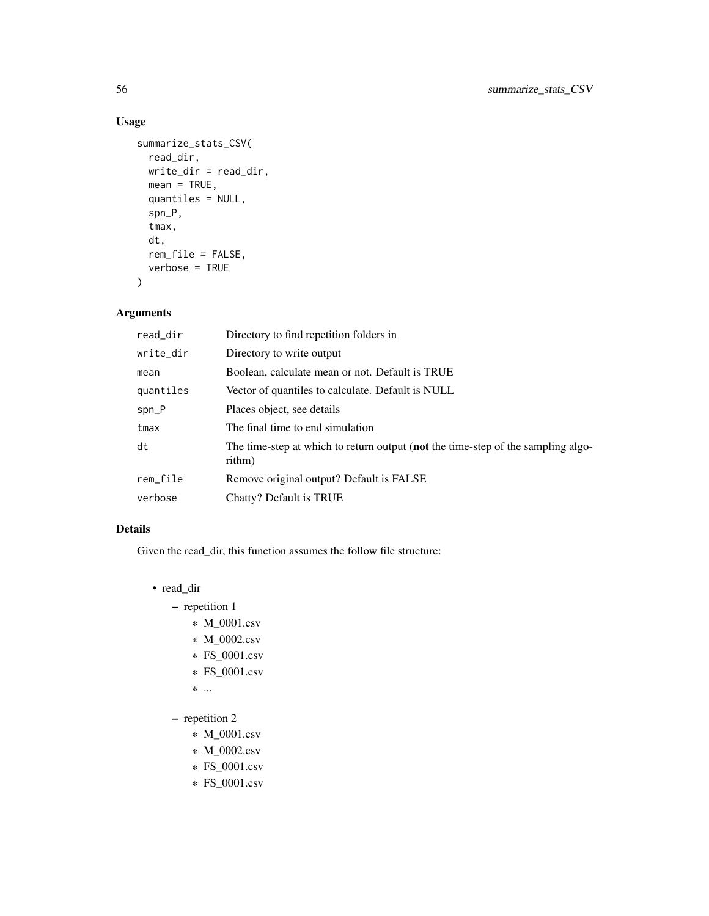# Usage

```
summarize_stats_CSV(
  read_dir,
 write_dir = read_dir,
 mean = TRUE,quantiles = NULL,
  spn_P,
  tmax,
 dt,
 rem_file = FALSE,
  verbose = TRUE
\mathcal{L}
```
# Arguments

| read_dir  | Directory to find repetition folders in                                                            |
|-----------|----------------------------------------------------------------------------------------------------|
| write_dir | Directory to write output                                                                          |
| mean      | Boolean, calculate mean or not. Default is TRUE                                                    |
| quantiles | Vector of quantiles to calculate. Default is NULL                                                  |
| $spn_P$   | Places object, see details                                                                         |
| tmax      | The final time to end simulation                                                                   |
| dt        | The time-step at which to return output ( <b>not</b> the time-step of the sampling algo-<br>rithm) |
| rem_file  | Remove original output? Default is FALSE                                                           |
| verbose   | Chatty? Default is TRUE                                                                            |

# Details

Given the read\_dir, this function assumes the follow file structure:

- read\_dir
	- repetition 1
		- \* M\_0001.csv
		- \* M\_0002.csv
		- \* FS\_0001.csv
		- \* FS\_0001.csv
		- \* ...
	- repetition 2
		- \* M\_0001.csv
		- \* M\_0002.csv
		- \* FS\_0001.csv
		- \* FS\_0001.csv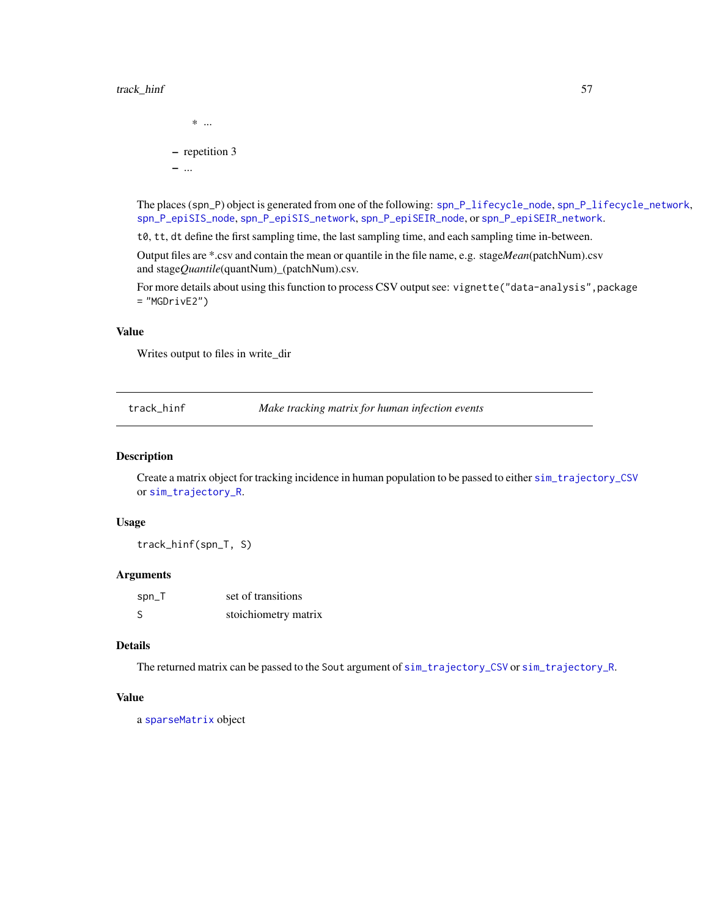<span id="page-56-0"></span>

The places (spn\_P) object is generated from one of the following: [spn\\_P\\_lifecycle\\_node](#page-37-1), [spn\\_P\\_lifecycle\\_network](#page-36-1), [spn\\_P\\_epiSIS\\_node](#page-35-1), [spn\\_P\\_epiSIS\\_network](#page-34-1), [spn\\_P\\_epiSEIR\\_node](#page-34-2), or [spn\\_P\\_epiSEIR\\_network](#page-33-1).

t0, tt, dt define the first sampling time, the last sampling time, and each sampling time in-between.

Output files are \*.csv and contain the mean or quantile in the file name, e.g. stage*Mean*(patchNum).csv and stage*Quantile*(quantNum)\_(patchNum).csv.

For more details about using this function to process CSV output see: vignette("data-analysis", package  $=$  "MGDrivE2")

#### Value

Writes output to files in write\_dir

<span id="page-56-1"></span>track\_hinf *Make tracking matrix for human infection events*

#### Description

Create a matrix object for tracking incidence in human population to be passed to either [sim\\_trajectory\\_CSV](#page-24-1) or [sim\\_trajectory\\_R](#page-25-1).

# Usage

track\_hinf(spn\_T, S)

# Arguments

| $spin_T$ | set of transitions   |
|----------|----------------------|
| S        | stoichiometry matrix |

## Details

The returned matrix can be passed to the Sout argument of [sim\\_trajectory\\_CSV](#page-24-1) or [sim\\_trajectory\\_R](#page-25-1).

#### Value

a [sparseMatrix](#page-0-0) object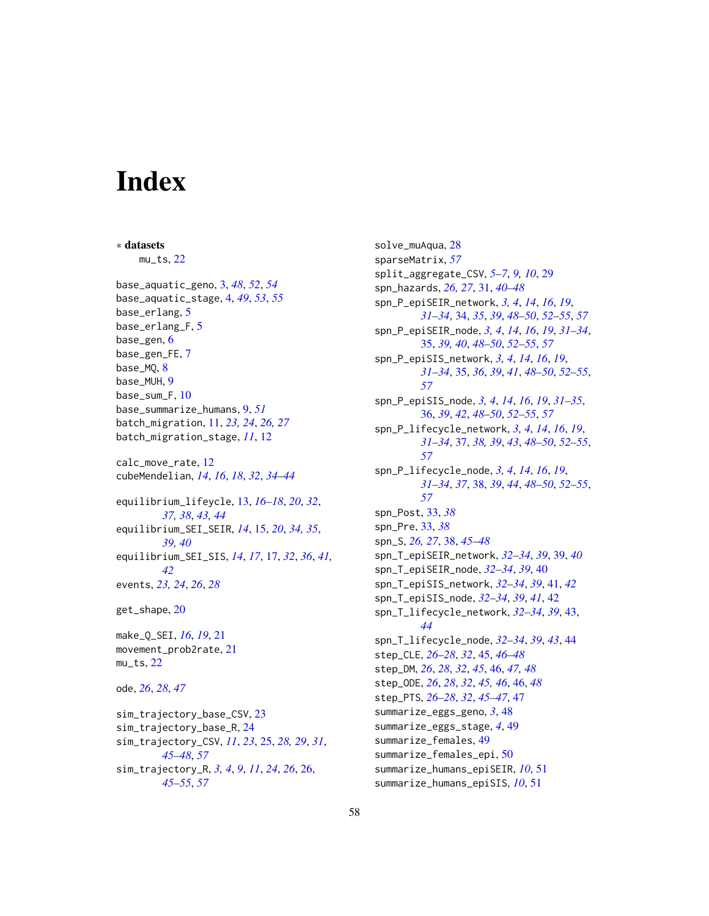# <span id="page-57-0"></span>**Index**

∗ datasets mu\_ts, [22](#page-21-0) base\_aquatic\_geno, [3,](#page-2-0) *[48](#page-47-0)*, *[52](#page-51-0)*, *[54](#page-53-0)* base\_aquatic\_stage, [4,](#page-3-0) *[49](#page-48-0)*, *[53](#page-52-0)*, *[55](#page-54-0)* base\_erlang, [5](#page-4-0) base\_erlang\_F, [5](#page-4-0) base\_gen, [6](#page-5-0) base\_gen\_FE, [7](#page-6-0) base\_MQ, [8](#page-7-0) base\_MUH, [9](#page-8-0) base\_sum\_F, [10](#page-9-0) base\_summarize\_humans, [9,](#page-8-0) *[51](#page-50-0)* batch\_migration, [11,](#page-10-0) *[23,](#page-22-0) [24](#page-23-0)*, *[26,](#page-25-0) [27](#page-26-0)* batch\_migration\_stage, *[11](#page-10-0)*, [12](#page-11-0) calc\_move\_rate, [12](#page-11-0) cubeMendelian, *[14](#page-13-0)*, *[16](#page-15-0)*, *[18](#page-17-0)*, *[32](#page-31-0)*, *[34–](#page-33-0)[44](#page-43-0)* equilibrium\_lifeycle, [13,](#page-12-0) *[16–](#page-15-0)[18](#page-17-0)*, *[20](#page-19-0)*, *[32](#page-31-0)*, *[37,](#page-36-0) [38](#page-37-0)*, *[43,](#page-42-0) [44](#page-43-0)* equilibrium\_SEI\_SEIR, *[14](#page-13-0)*, [15,](#page-14-0) *[20](#page-19-0)*, *[34,](#page-33-0) [35](#page-34-0)*, *[39,](#page-38-0) [40](#page-39-0)* equilibrium\_SEI\_SIS, *[14](#page-13-0)*, *[17](#page-16-0)*, [17,](#page-16-0) *[32](#page-31-0)*, *[36](#page-35-0)*, *[41,](#page-40-0) [42](#page-41-0)* events, *[23,](#page-22-0) [24](#page-23-0)*, *[26](#page-25-0)*, *[28](#page-27-0)* get\_shape, [20](#page-19-0) make\_Q\_SEI, *[16](#page-15-0)*, *[19](#page-18-0)*, [21](#page-20-0) movement\_prob2rate, [21](#page-20-0)  $mu_t$ s, [22](#page-21-0) ode, *[26](#page-25-0)*, *[28](#page-27-0)*, *[47](#page-46-0)* sim\_trajectory\_base\_CSV, [23](#page-22-0) sim\_trajectory\_base\_R, [24](#page-23-0) sim\_trajectory\_CSV, *[11](#page-10-0)*, *[23](#page-22-0)*, [25,](#page-24-0) *[28,](#page-27-0) [29](#page-28-0)*, *[31](#page-30-0)*, *[45](#page-44-0)[–48](#page-47-0)*, *[57](#page-56-0)* sim\_trajectory\_R, *[3,](#page-2-0) [4](#page-3-0)*, *[9](#page-8-0)*, *[11](#page-10-0)*, *[24](#page-23-0)*, *[26](#page-25-0)*, [26,](#page-25-0) *[45](#page-44-0)[–55](#page-54-0)*, *[57](#page-56-0)*

solve\_muAqua, [28](#page-27-0) sparseMatrix, *[57](#page-56-0)* split\_aggregate\_CSV, *[5](#page-4-0)[–7](#page-6-0)*, *[9,](#page-8-0) [10](#page-9-0)*, [29](#page-28-0) spn\_hazards, *[26,](#page-25-0) [27](#page-26-0)*, [31,](#page-30-0) *[40](#page-39-0)[–48](#page-47-0)* spn\_P\_epiSEIR\_network, *[3,](#page-2-0) [4](#page-3-0)*, *[14](#page-13-0)*, *[16](#page-15-0)*, *[19](#page-18-0)*, *[31](#page-30-0)[–34](#page-33-0)*, [34,](#page-33-0) *[35](#page-34-0)*, *[39](#page-38-0)*, *[48](#page-47-0)[–50](#page-49-0)*, *[52](#page-51-0)[–55](#page-54-0)*, *[57](#page-56-0)* spn\_P\_epiSEIR\_node, *[3,](#page-2-0) [4](#page-3-0)*, *[14](#page-13-0)*, *[16](#page-15-0)*, *[19](#page-18-0)*, *[31](#page-30-0)[–34](#page-33-0)*, [35,](#page-34-0) *[39,](#page-38-0) [40](#page-39-0)*, *[48](#page-47-0)[–50](#page-49-0)*, *[52](#page-51-0)[–55](#page-54-0)*, *[57](#page-56-0)* spn\_P\_epiSIS\_network, *[3,](#page-2-0) [4](#page-3-0)*, *[14](#page-13-0)*, *[16](#page-15-0)*, *[19](#page-18-0)*, *[31](#page-30-0)[–34](#page-33-0)*, [35,](#page-34-0) *[36](#page-35-0)*, *[39](#page-38-0)*, *[41](#page-40-0)*, *[48](#page-47-0)[–50](#page-49-0)*, *[52](#page-51-0)[–55](#page-54-0)*, *[57](#page-56-0)* spn\_P\_epiSIS\_node, *[3,](#page-2-0) [4](#page-3-0)*, *[14](#page-13-0)*, *[16](#page-15-0)*, *[19](#page-18-0)*, *[31](#page-30-0)[–35](#page-34-0)*, [36,](#page-35-0) *[39](#page-38-0)*, *[42](#page-41-0)*, *[48](#page-47-0)[–50](#page-49-0)*, *[52](#page-51-0)[–55](#page-54-0)*, *[57](#page-56-0)* spn\_P\_lifecycle\_network, *[3,](#page-2-0) [4](#page-3-0)*, *[14](#page-13-0)*, *[16](#page-15-0)*, *[19](#page-18-0)*, *[31](#page-30-0)[–34](#page-33-0)*, [37,](#page-36-0) *[38,](#page-37-0) [39](#page-38-0)*, *[43](#page-42-0)*, *[48](#page-47-0)[–50](#page-49-0)*, *[52](#page-51-0)[–55](#page-54-0)*, *[57](#page-56-0)* spn\_P\_lifecycle\_node, *[3,](#page-2-0) [4](#page-3-0)*, *[14](#page-13-0)*, *[16](#page-15-0)*, *[19](#page-18-0)*, *[31](#page-30-0)[–34](#page-33-0)*, *[37](#page-36-0)*, [38,](#page-37-0) *[39](#page-38-0)*, *[44](#page-43-0)*, *[48](#page-47-0)[–50](#page-49-0)*, *[52](#page-51-0)[–55](#page-54-0)*, *[57](#page-56-0)* spn\_Post, [33,](#page-32-0) *[38](#page-37-0)* spn\_Pre, [33,](#page-32-0) *[38](#page-37-0)* spn\_S, *[26,](#page-25-0) [27](#page-26-0)*, [38,](#page-37-0) *[45](#page-44-0)[–48](#page-47-0)* spn\_T\_epiSEIR\_network, *[32](#page-31-0)[–34](#page-33-0)*, *[39](#page-38-0)*, [39,](#page-38-0) *[40](#page-39-0)* spn\_T\_epiSEIR\_node, *[32](#page-31-0)[–34](#page-33-0)*, *[39](#page-38-0)*, [40](#page-39-0) spn\_T\_epiSIS\_network, *[32](#page-31-0)[–34](#page-33-0)*, *[39](#page-38-0)*, [41,](#page-40-0) *[42](#page-41-0)* spn\_T\_epiSIS\_node, *[32](#page-31-0)[–34](#page-33-0)*, *[39](#page-38-0)*, *[41](#page-40-0)*, [42](#page-41-0) spn\_T\_lifecycle\_network, *[32](#page-31-0)[–34](#page-33-0)*, *[39](#page-38-0)*, [43,](#page-42-0) *[44](#page-43-0)* spn\_T\_lifecycle\_node, *[32](#page-31-0)[–34](#page-33-0)*, *[39](#page-38-0)*, *[43](#page-42-0)*, [44](#page-43-0) step\_CLE, *[26](#page-25-0)[–28](#page-27-0)*, *[32](#page-31-0)*, [45,](#page-44-0) *[46](#page-45-0)[–48](#page-47-0)* step\_DM, *[26](#page-25-0)*, *[28](#page-27-0)*, *[32](#page-31-0)*, *[45](#page-44-0)*, [46,](#page-45-0) *[47,](#page-46-0) [48](#page-47-0)* step\_ODE, *[26](#page-25-0)*, *[28](#page-27-0)*, *[32](#page-31-0)*, *[45,](#page-44-0) [46](#page-45-0)*, [46,](#page-45-0) *[48](#page-47-0)* step\_PTS, *[26](#page-25-0)[–28](#page-27-0)*, *[32](#page-31-0)*, *[45](#page-44-0)[–47](#page-46-0)*, [47](#page-46-0) summarize\_eggs\_geno, *[3](#page-2-0)*, [48](#page-47-0) summarize\_eggs\_stage, *[4](#page-3-0)*, [49](#page-48-0) summarize\_females, [49](#page-48-0) summarize\_females\_epi, [50](#page-49-0) summarize\_humans\_epiSEIR, *[10](#page-9-0)*, [51](#page-50-0) summarize\_humans\_epiSIS, *[10](#page-9-0)*, [51](#page-50-0)